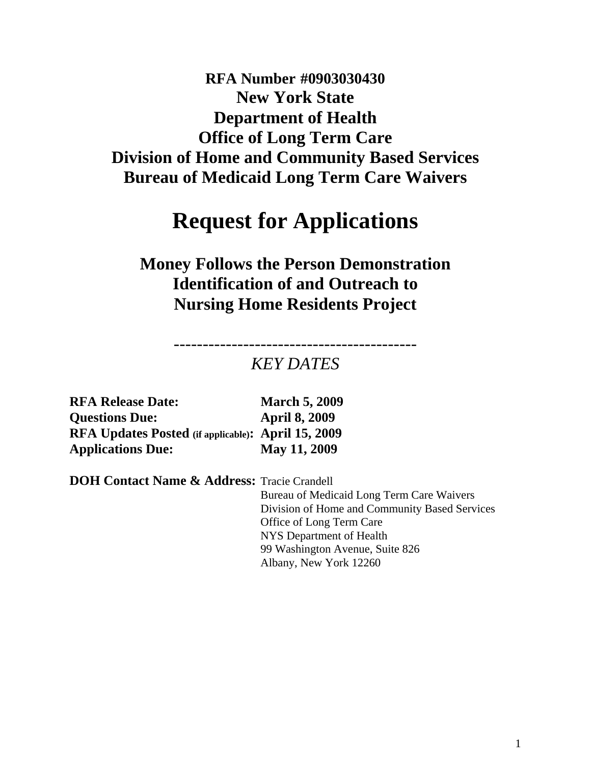## **RFA Number #0903030430 New York State Department of Health Office of Long Term Care Division of Home and Community Based Services Bureau of Medicaid Long Term Care Waivers**

## **Request for Applications**

## **Money Follows the Person Demonstration Identification of and Outreach to Nursing Home Residents Project**

*------------------------------------------* 

## *KEY DATES*

| <b>RFA Release Date:</b>                                  | <b>March 5, 2009</b> |
|-----------------------------------------------------------|----------------------|
| <b>Ouestions Due:</b>                                     | <b>April 8, 2009</b> |
| <b>RFA Updates Posted (if applicable): April 15, 2009</b> |                      |
| <b>Applications Due:</b>                                  | <b>May 11, 2009</b>  |

**DOH Contact Name & Address:** Tracie Crandell

Bureau of Medicaid Long Term Care Waivers Division of Home and Community Based Services Office of Long Term Care NYS Department of Health 99 Washington Avenue, Suite 826 Albany, New York 12260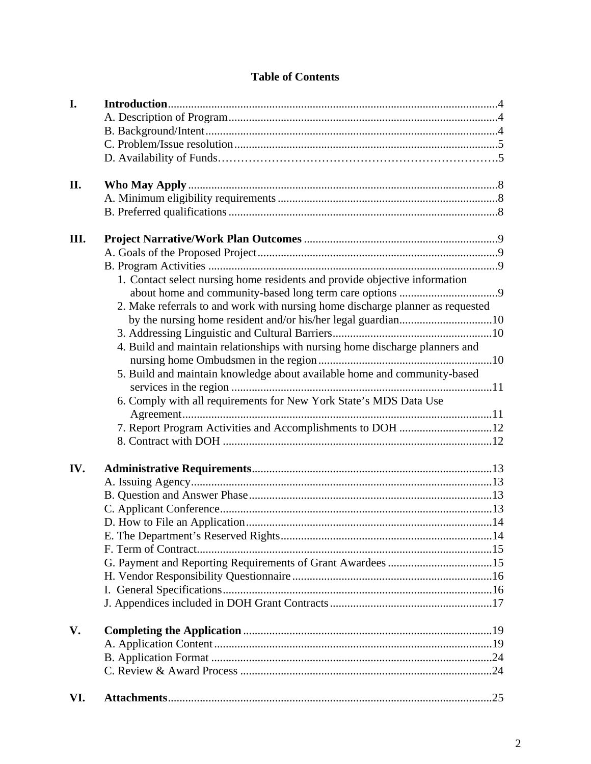|  | <b>Table of Contents</b> |
|--|--------------------------|
|  |                          |

| I.   |                                                                                |  |
|------|--------------------------------------------------------------------------------|--|
|      |                                                                                |  |
|      |                                                                                |  |
|      |                                                                                |  |
|      |                                                                                |  |
|      |                                                                                |  |
| П.   |                                                                                |  |
|      |                                                                                |  |
|      |                                                                                |  |
| III. |                                                                                |  |
|      |                                                                                |  |
|      |                                                                                |  |
|      |                                                                                |  |
|      | 1. Contact select nursing home residents and provide objective information     |  |
|      |                                                                                |  |
|      | 2. Make referrals to and work with nursing home discharge planner as requested |  |
|      |                                                                                |  |
|      |                                                                                |  |
|      | 4. Build and maintain relationships with nursing home discharge planners and   |  |
|      |                                                                                |  |
|      | 5. Build and maintain knowledge about available home and community-based       |  |
|      |                                                                                |  |
|      | 6. Comply with all requirements for New York State's MDS Data Use              |  |
|      |                                                                                |  |
|      | 7. Report Program Activities and Accomplishments to DOH 12                     |  |
|      |                                                                                |  |
|      |                                                                                |  |
| IV.  |                                                                                |  |
|      |                                                                                |  |
|      |                                                                                |  |
|      |                                                                                |  |
|      |                                                                                |  |
|      |                                                                                |  |
|      |                                                                                |  |
|      | G. Payment and Reporting Requirements of Grant Awardees 15                     |  |
|      |                                                                                |  |
|      |                                                                                |  |
|      |                                                                                |  |
|      |                                                                                |  |
| V.   |                                                                                |  |
|      |                                                                                |  |
|      |                                                                                |  |
|      |                                                                                |  |
| VI.  |                                                                                |  |
|      |                                                                                |  |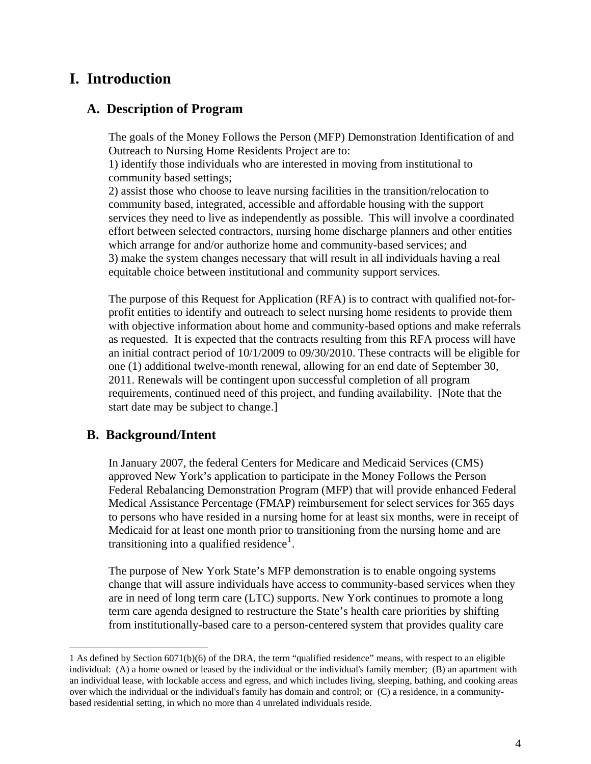## **I. Introduction**

#### **A. Description of Program**

The goals of the Money Follows the Person (MFP) Demonstration Identification of and Outreach to Nursing Home Residents Project are to:

1) identify those individuals who are interested in moving from institutional to community based settings;

2) assist those who choose to leave nursing facilities in the transition/relocation to community based, integrated, accessible and affordable housing with the support services they need to live as independently as possible. This will involve a coordinated effort between selected contractors, nursing home discharge planners and other entities which arrange for and/or authorize home and community-based services; and 3) make the system changes necessary that will result in all individuals having a real equitable choice between institutional and community support services.

The purpose of this Request for Application (RFA) is to contract with qualified not-forprofit entities to identify and outreach to select nursing home residents to provide them with objective information about home and community-based options and make referrals as requested. It is expected that the contracts resulting from this RFA process will have an initial contract period of 10/1/2009 to 09/30/2010. These contracts will be eligible for one (1) additional twelve-month renewal, allowing for an end date of September 30, 2011. Renewals will be contingent upon successful completion of all program requirements, continued need of this project, and funding availability. [Note that the start date may be subject to change.]

#### **B. Background/Intent**

 $\overline{a}$ 

In January 2007, the federal Centers for Medicare and Medicaid Services (CMS) approved New York's application to participate in the Money Follows the Person Federal Rebalancing Demonstration Program (MFP) that will provide enhanced Federal Medical Assistance Percentage (FMAP) reimbursement for select services for 365 days to persons who have resided in a nursing home for at least six months, were in receipt of Medicaid for at least one month prior to transitioning from the nursing home and are transitioning into a qualified residence<sup>[1](#page-3-0)</sup>.

The purpose of New York State's MFP demonstration is to enable ongoing systems change that will assure individuals have access to community-based services when they are in need of long term care (LTC) supports. New York continues to promote a long term care agenda designed to restructure the State's health care priorities by shifting from institutionally-based care to a person-centered system that provides quality care

<span id="page-3-0"></span><sup>1</sup> As defined by Section 6071(b)(6) of the DRA, the term "qualified residence" means, with respect to an eligible individual: (A) a home owned or leased by the individual or the individual's family member; (B) an apartment with an individual lease, with lockable access and egress, and which includes living, sleeping, bathing, and cooking areas over which the individual or the individual's family has domain and control; or (C) a residence, in a communitybased residential setting, in which no more than 4 unrelated individuals reside.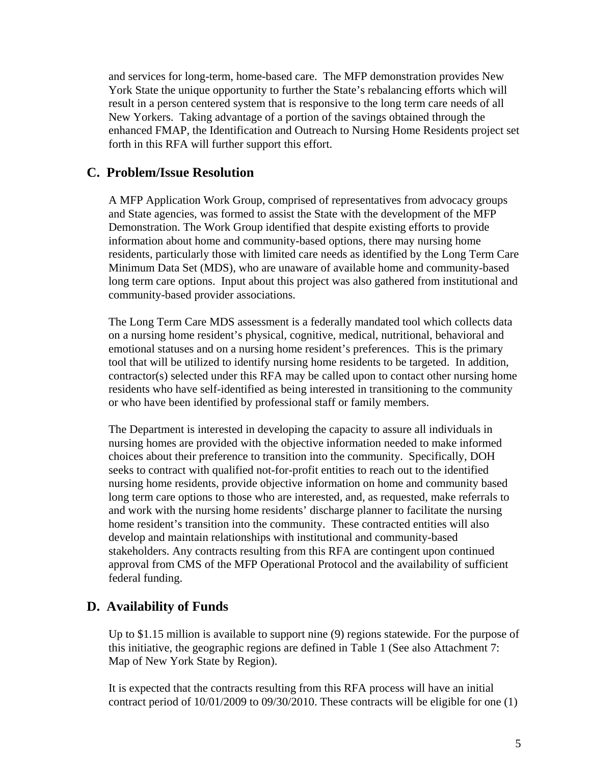and services for long-term, home-based care. The MFP demonstration provides New York State the unique opportunity to further the State's rebalancing efforts which will result in a person centered system that is responsive to the long term care needs of all New Yorkers. Taking advantage of a portion of the savings obtained through the enhanced FMAP, the Identification and Outreach to Nursing Home Residents project set forth in this RFA will further support this effort.

#### **C. Problem/Issue Resolution**

A MFP Application Work Group, comprised of representatives from advocacy groups and State agencies, was formed to assist the State with the development of the MFP Demonstration. The Work Group identified that despite existing efforts to provide information about home and community-based options, there may nursing home residents, particularly those with limited care needs as identified by the Long Term Care Minimum Data Set (MDS), who are unaware of available home and community-based long term care options. Input about this project was also gathered from institutional and community-based provider associations.

The Long Term Care MDS assessment is a federally mandated tool which collects data on a nursing home resident's physical, cognitive, medical, nutritional, behavioral and emotional statuses and on a nursing home resident's preferences. This is the primary tool that will be utilized to identify nursing home residents to be targeted. In addition, contractor(s) selected under this RFA may be called upon to contact other nursing home residents who have self-identified as being interested in transitioning to the community or who have been identified by professional staff or family members.

The Department is interested in developing the capacity to assure all individuals in nursing homes are provided with the objective information needed to make informed choices about their preference to transition into the community. Specifically, DOH seeks to contract with qualified not-for-profit entities to reach out to the identified nursing home residents, provide objective information on home and community based long term care options to those who are interested, and, as requested, make referrals to and work with the nursing home residents' discharge planner to facilitate the nursing home resident's transition into the community. These contracted entities will also develop and maintain relationships with institutional and community-based stakeholders. Any contracts resulting from this RFA are contingent upon continued approval from CMS of the MFP Operational Protocol and the availability of sufficient federal funding.

#### **D. Availability of Funds**

Up to \$1.15 million is available to support nine (9) regions statewide. For the purpose of this initiative, the geographic regions are defined in Table 1 (See also Attachment 7: Map of New York State by Region).

It is expected that the contracts resulting from this RFA process will have an initial contract period of 10/01/2009 to 09/30/2010. These contracts will be eligible for one (1)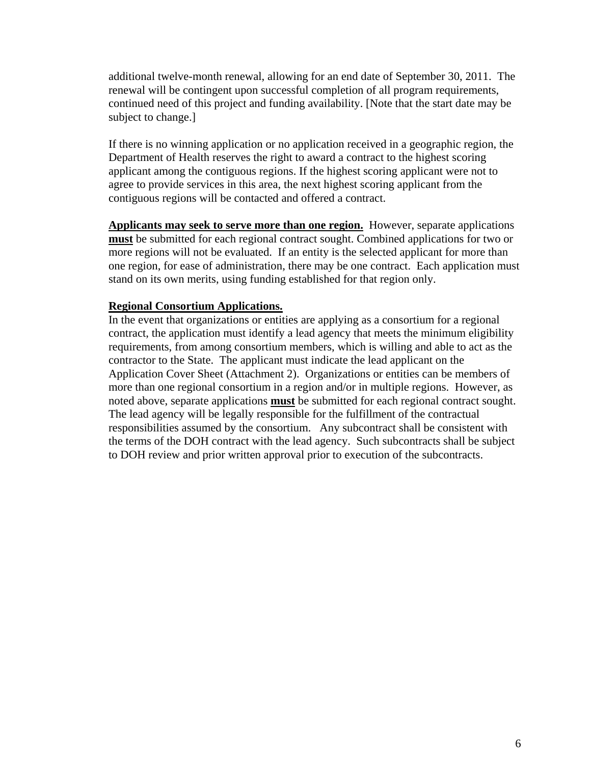additional twelve-month renewal, allowing for an end date of September 30, 2011. The renewal will be contingent upon successful completion of all program requirements, continued need of this project and funding availability. [Note that the start date may be subject to change.]

If there is no winning application or no application received in a geographic region, the Department of Health reserves the right to award a contract to the highest scoring applicant among the contiguous regions. If the highest scoring applicant were not to agree to provide services in this area, the next highest scoring applicant from the contiguous regions will be contacted and offered a contract.

**Applicants may seek to serve more than one region.** However, separate applications **must** be submitted for each regional contract sought. Combined applications for two or more regions will not be evaluated. If an entity is the selected applicant for more than one region, for ease of administration, there may be one contract. Each application must stand on its own merits, using funding established for that region only.

#### **Regional Consortium Applications.**

In the event that organizations or entities are applying as a consortium for a regional contract, the application must identify a lead agency that meets the minimum eligibility requirements, from among consortium members, which is willing and able to act as the contractor to the State. The applicant must indicate the lead applicant on the Application Cover Sheet (Attachment 2). Organizations or entities can be members of more than one regional consortium in a region and/or in multiple regions. However, as noted above, separate applications **must** be submitted for each regional contract sought. The lead agency will be legally responsible for the fulfillment of the contractual responsibilities assumed by the consortium. Any subcontract shall be consistent with the terms of the DOH contract with the lead agency. Such subcontracts shall be subject to DOH review and prior written approval prior to execution of the subcontracts.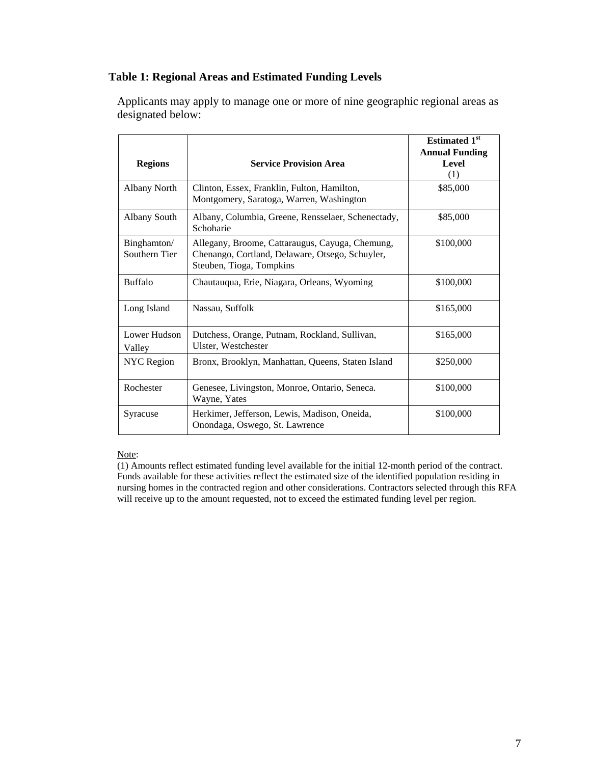#### **Table 1: Regional Areas and Estimated Funding Levels**

Applicants may apply to manage one or more of nine geographic regional areas as designated below:

| <b>Regions</b>                                                         | <b>Service Provision Area</b>                                                                                                  | <b>Estimated 1st</b><br><b>Annual Funding</b><br>Level<br>(1) |
|------------------------------------------------------------------------|--------------------------------------------------------------------------------------------------------------------------------|---------------------------------------------------------------|
| <b>Albany North</b>                                                    | Clinton, Essex, Franklin, Fulton, Hamilton,<br>Montgomery, Saratoga, Warren, Washington                                        | \$85,000                                                      |
| <b>Albany South</b>                                                    | Albany, Columbia, Greene, Rensselaer, Schenectady,<br>Schoharie                                                                | \$85,000                                                      |
| Binghamton/<br>Southern Tier                                           | Allegany, Broome, Cattaraugus, Cayuga, Chemung,<br>Chenango, Cortland, Delaware, Otsego, Schuyler,<br>Steuben, Tioga, Tompkins |                                                               |
| <b>Buffalo</b>                                                         | Chautauqua, Erie, Niagara, Orleans, Wyoming                                                                                    | \$100,000                                                     |
| Long Island                                                            | Nassau, Suffolk                                                                                                                | \$165,000                                                     |
| Lower Hudson<br>Valley                                                 | Dutchess, Orange, Putnam, Rockland, Sullivan,<br>Ulster, Westchester                                                           | \$165,000                                                     |
| <b>NYC</b> Region<br>Bronx, Brooklyn, Manhattan, Queens, Staten Island |                                                                                                                                | \$250,000                                                     |
| Rochester                                                              | Genesee, Livingston, Monroe, Ontario, Seneca.<br>Wayne, Yates                                                                  | \$100,000                                                     |
| Syracuse                                                               | Herkimer, Jefferson, Lewis, Madison, Oneida,<br>Onondaga, Oswego, St. Lawrence                                                 | \$100,000                                                     |

#### Note:

(1) Amounts reflect estimated funding level available for the initial 12-month period of the contract. Funds available for these activities reflect the estimated size of the identified population residing in nursing homes in the contracted region and other considerations. Contractors selected through this RFA will receive up to the amount requested, not to exceed the estimated funding level per region.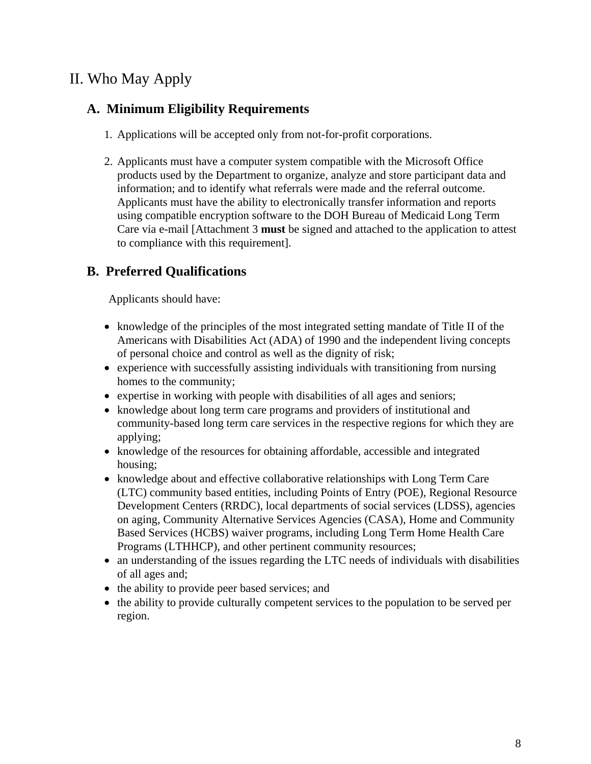## II. Who May Apply

#### **A. Minimum Eligibility Requirements**

- 1. Applications will be accepted only from not-for-profit corporations.
- 2. Applicants must have a computer system compatible with the Microsoft Office products used by the Department to organize, analyze and store participant data and information; and to identify what referrals were made and the referral outcome. Applicants must have the ability to electronically transfer information and reports using compatible encryption software to the DOH Bureau of Medicaid Long Term Care via e-mail [Attachment 3 **must** be signed and attached to the application to attest to compliance with this requirement].

#### **B. Preferred Qualifications**

Applicants should have:

- knowledge of the principles of the most integrated setting mandate of Title II of the Americans with Disabilities Act (ADA) of 1990 and the independent living concepts of personal choice and control as well as the dignity of risk;
- experience with successfully assisting individuals with transitioning from nursing homes to the community;
- expertise in working with people with disabilities of all ages and seniors;
- knowledge about long term care programs and providers of institutional and community-based long term care services in the respective regions for which they are applying;
- knowledge of the resources for obtaining affordable, accessible and integrated housing;
- knowledge about and effective collaborative relationships with Long Term Care (LTC) community based entities, including Points of Entry (POE), Regional Resource Development Centers (RRDC), local departments of social services (LDSS), agencies on aging, Community Alternative Services Agencies (CASA), Home and Community Based Services (HCBS) waiver programs, including Long Term Home Health Care Programs (LTHHCP), and other pertinent community resources;
- an understanding of the issues regarding the LTC needs of individuals with disabilities of all ages and;
- the ability to provide peer based services; and
- the ability to provide culturally competent services to the population to be served per region.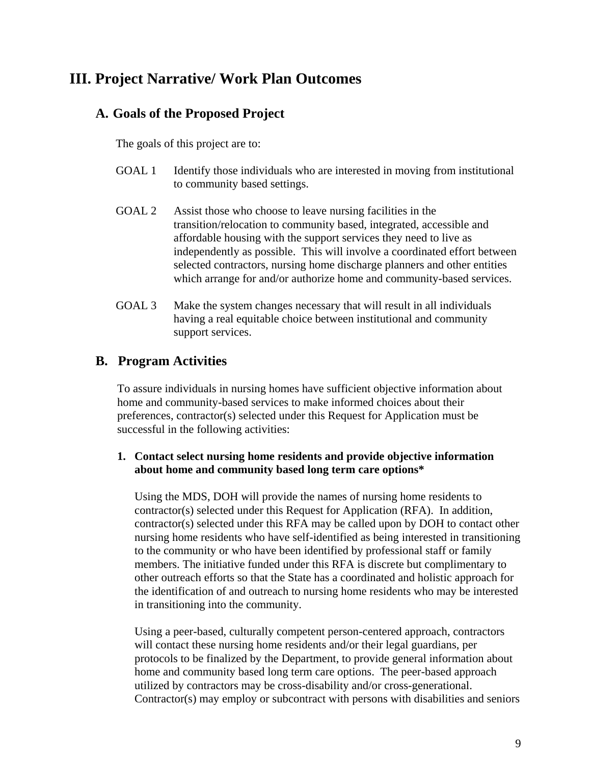## **III. Project Narrative/ Work Plan Outcomes**

### **A. Goals of the Proposed Project**

The goals of this project are to:

- GOAL 1 Identify those individuals who are interested in moving from institutional to community based settings.
- GOAL 2 Assist those who choose to leave nursing facilities in the transition/relocation to community based, integrated, accessible and affordable housing with the support services they need to live as independently as possible. This will involve a coordinated effort between selected contractors, nursing home discharge planners and other entities which arrange for and/or authorize home and community-based services.
- GOAL 3 Make the system changes necessary that will result in all individuals having a real equitable choice between institutional and community support services.

#### **B. Program Activities**

To assure individuals in nursing homes have sufficient objective information about home and community-based services to make informed choices about their preferences, contractor(s) selected under this Request for Application must be successful in the following activities:

#### **1. Contact select nursing home residents and provide objective information about home and community based long term care options\***

Using the MDS, DOH will provide the names of nursing home residents to contractor(s) selected under this Request for Application (RFA). In addition, contractor(s) selected under this RFA may be called upon by DOH to contact other nursing home residents who have self-identified as being interested in transitioning to the community or who have been identified by professional staff or family members. The initiative funded under this RFA is discrete but complimentary to other outreach efforts so that the State has a coordinated and holistic approach for the identification of and outreach to nursing home residents who may be interested in transitioning into the community.

Using a peer-based, culturally competent person-centered approach, contractors will contact these nursing home residents and/or their legal guardians, per protocols to be finalized by the Department, to provide general information about home and community based long term care options. The peer-based approach utilized by contractors may be cross-disability and/or cross-generational. Contractor(s) may employ or subcontract with persons with disabilities and seniors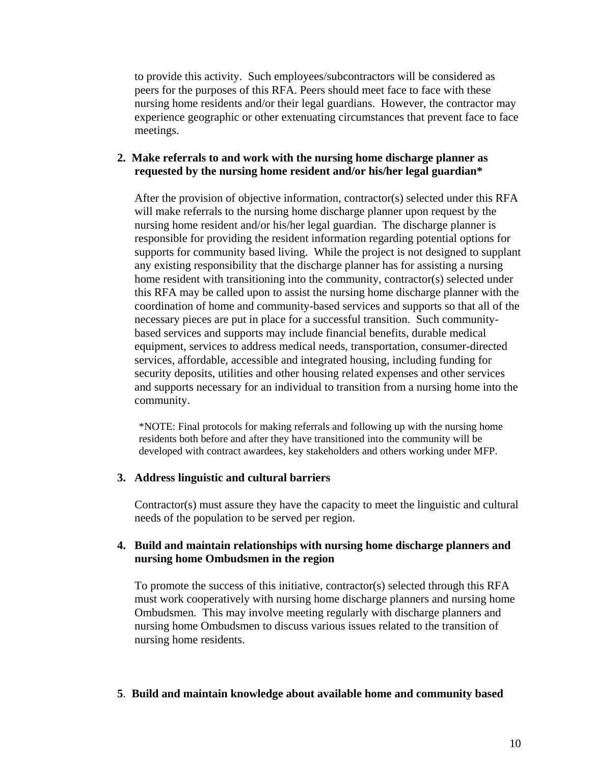to provide this activity. Such employees/subcontractors will be considered as peers for the purposes of this RFA. Peers should meet face to face with these nursing home residents and/or their legal guardians. However, the contractor may experience geographic or other extenuating circumstances that prevent face to face meetings.

#### **2. Make referrals to and work with the nursing home discharge planner as requested by the nursing home resident and/or his/her legal guardian\***

After the provision of objective information, contractor(s) selected under this RFA will make referrals to the nursing home discharge planner upon request by the nursing home resident and/or his/her legal guardian. The discharge planner is responsible for providing the resident information regarding potential options for supports for community based living. While the project is not designed to supplant any existing responsibility that the discharge planner has for assisting a nursing home resident with transitioning into the community, contractor(s) selected under this RFA may be called upon to assist the nursing home discharge planner with the coordination of home and community-based services and supports so that all of the necessary pieces are put in place for a successful transition. Such communitybased services and supports may include financial benefits, durable medical equipment, services to address medical needs, transportation, consumer-directed services, affordable, accessible and integrated housing, including funding for security deposits, utilities and other housing related expenses and other services and supports necessary for an individual to transition from a nursing home into the community.

\*NOTE: Final protocols for making referrals and following up with the nursing home residents both before and after they have transitioned into the community will be developed with contract awardees, key stakeholders and others working under MFP.

#### **3. Address linguistic and cultural barriers**

Contractor(s) must assure they have the capacity to meet the linguistic and cultural needs of the population to be served per region.

#### **4. Build and maintain relationships with nursing home discharge planners and nursing home Ombudsmen in the region**

To promote the success of this initiative, contractor(s) selected through this RFA must work cooperatively with nursing home discharge planners and nursing home Ombudsmen. This may involve meeting regularly with discharge planners and nursing home Ombudsmen to discuss various issues related to the transition of nursing home residents.

#### **5**. **Build and maintain knowledge about available home and community based**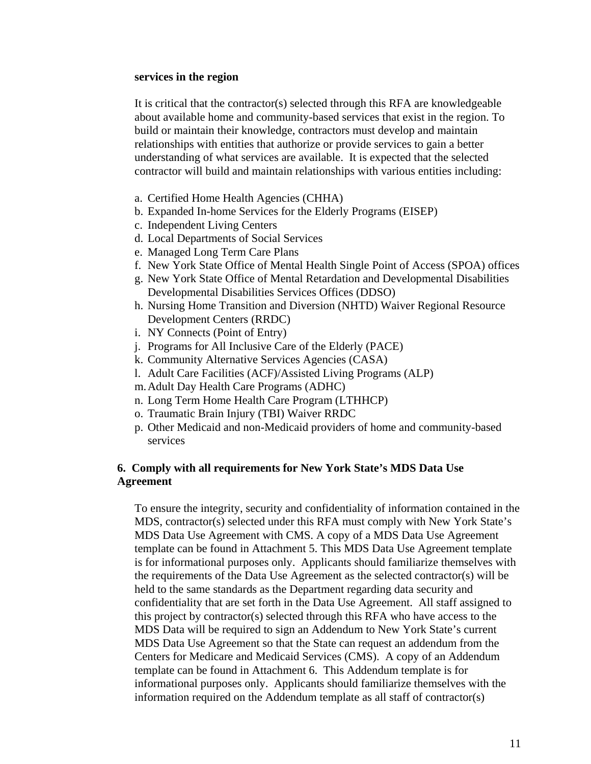#### **services in the region**

It is critical that the contractor(s) selected through this RFA are knowledgeable about available home and community-based services that exist in the region. To build or maintain their knowledge, contractors must develop and maintain relationships with entities that authorize or provide services to gain a better understanding of what services are available. It is expected that the selected contractor will build and maintain relationships with various entities including:

- a. Certified Home Health Agencies (CHHA)
- b. Expanded In-home Services for the Elderly Programs (EISEP)
- c. Independent Living Centers
- d. Local Departments of Social Services
- e. Managed Long Term Care Plans
- f. New York State Office of Mental Health Single Point of Access (SPOA) offices
- g. New York State Office of Mental Retardation and Developmental Disabilities Developmental Disabilities Services Offices (DDSO)
- h. Nursing Home Transition and Diversion (NHTD) Waiver Regional Resource Development Centers (RRDC)
- i. NY Connects (Point of Entry)
- j. Programs for All Inclusive Care of the Elderly (PACE)
- k. Community Alternative Services Agencies (CASA)
- l. Adult Care Facilities (ACF)/Assisted Living Programs (ALP)
- m.Adult Day Health Care Programs (ADHC)
- n. Long Term Home Health Care Program (LTHHCP)
- o. Traumatic Brain Injury (TBI) Waiver RRDC
- p. Other Medicaid and non-Medicaid providers of home and community-based services

#### **6. Comply with all requirements for New York State's MDS Data Use Agreement**

To ensure the integrity, security and confidentiality of information contained in the MDS, contractor(s) selected under this RFA must comply with New York State's MDS Data Use Agreement with CMS. A copy of a MDS Data Use Agreement template can be found in Attachment 5. This MDS Data Use Agreement template is for informational purposes only. Applicants should familiarize themselves with the requirements of the Data Use Agreement as the selected contractor(s) will be held to the same standards as the Department regarding data security and confidentiality that are set forth in the Data Use Agreement. All staff assigned to this project by contractor(s) selected through this RFA who have access to the MDS Data will be required to sign an Addendum to New York State's current MDS Data Use Agreement so that the State can request an addendum from the Centers for Medicare and Medicaid Services (CMS). A copy of an Addendum template can be found in Attachment 6. This Addendum template is for informational purposes only. Applicants should familiarize themselves with the information required on the Addendum template as all staff of contractor(s)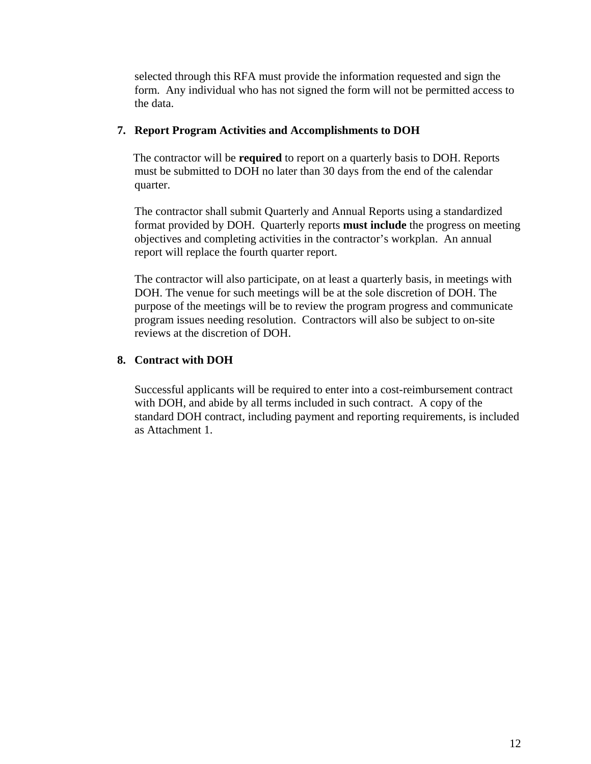selected through this RFA must provide the information requested and sign the form. Any individual who has not signed the form will not be permitted access to the data.

#### **7. Report Program Activities and Accomplishments to DOH**

 The contractor will be **required** to report on a quarterly basis to DOH. Reports must be submitted to DOH no later than 30 days from the end of the calendar quarter.

The contractor shall submit Quarterly and Annual Reports using a standardized format provided by DOH. Quarterly reports **must include** the progress on meeting objectives and completing activities in the contractor's workplan. An annual report will replace the fourth quarter report.

The contractor will also participate, on at least a quarterly basis, in meetings with DOH. The venue for such meetings will be at the sole discretion of DOH. The purpose of the meetings will be to review the program progress and communicate program issues needing resolution. Contractors will also be subject to on-site reviews at the discretion of DOH.

#### **8. Contract with DOH**

Successful applicants will be required to enter into a cost-reimbursement contract with DOH, and abide by all terms included in such contract. A copy of the standard DOH contract, including payment and reporting requirements, is included as Attachment 1.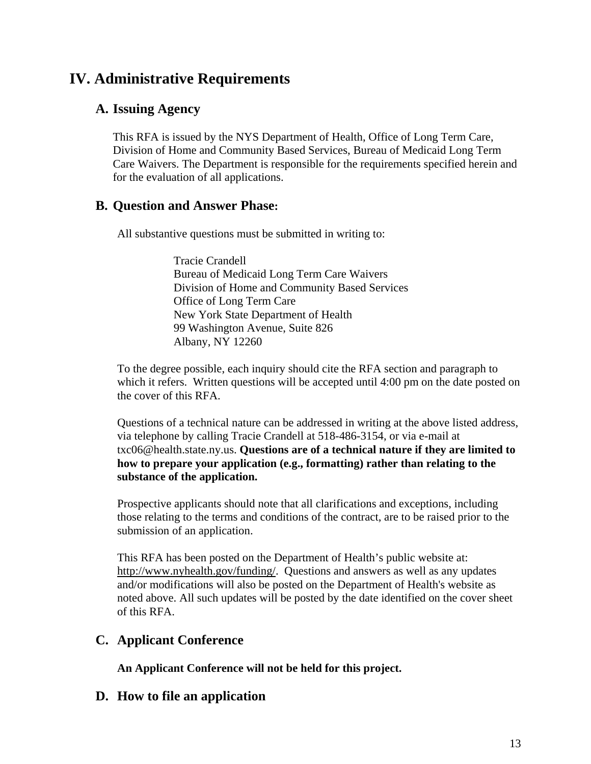## **IV. Administrative Requirements**

#### **A. Issuing Agency**

This RFA is issued by the NYS Department of Health, Office of Long Term Care, Division of Home and Community Based Services, Bureau of Medicaid Long Term Care Waivers. The Department is responsible for the requirements specified herein and for the evaluation of all applications.

#### **B. Question and Answer Phase:**

All substantive questions must be submitted in writing to:

 Tracie Crandell Bureau of Medicaid Long Term Care Waivers Division of Home and Community Based Services Office of Long Term Care New York State Department of Health 99 Washington Avenue, Suite 826 Albany, NY 12260

To the degree possible, each inquiry should cite the RFA section and paragraph to which it refers. Written questions will be accepted until 4:00 pm on the date posted on the cover of this RFA.

Questions of a technical nature can be addressed in writing at the above listed address, via telephone by calling Tracie Crandell at 518-486-3154, or via e-mail at txc06@health.state.ny.us. **Questions are of a technical nature if they are limited to how to prepare your application (e.g., formatting) rather than relating to the substance of the application.** 

Prospective applicants should note that all clarifications and exceptions, including those relating to the terms and conditions of the contract, are to be raised prior to the submission of an application.

This RFA has been posted on the Department of Health's public website at: [http://www.nyhealth.gov/funding/.](http://www.nyhealth.gov/funding/) Questions and answers as well as any updates and/or modifications will also be posted on the Department of Health's website as noted above. All such updates will be posted by the date identified on the cover sheet of this RFA.

#### **C. Applicant Conference**

**An Applicant Conference will not be held for this project.** 

#### **D. How to file an application**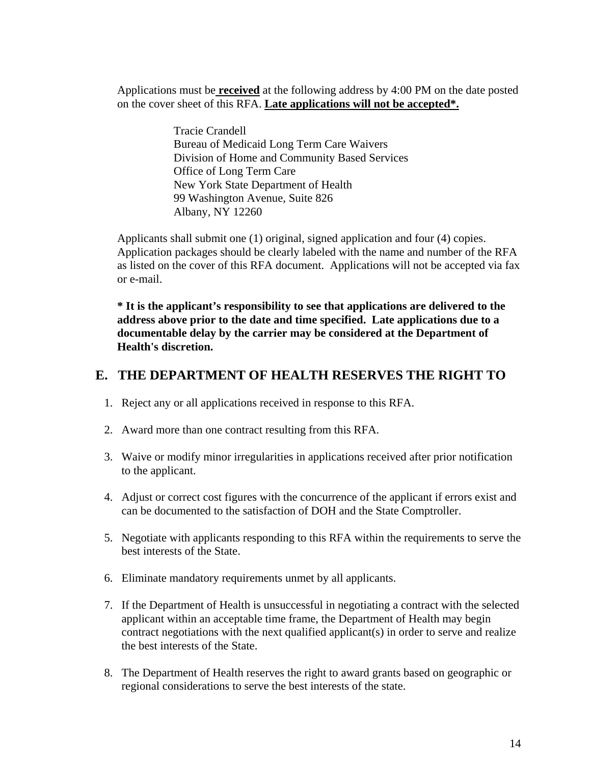Applications must be **received** at the following address by 4:00 PM on the date posted on the cover sheet of this RFA. **Late applications will not be accepted\*.**

> Tracie Crandell Bureau of Medicaid Long Term Care Waivers Division of Home and Community Based Services Office of Long Term Care New York State Department of Health 99 Washington Avenue, Suite 826 Albany, NY 12260

Applicants shall submit one (1) original, signed application and four (4) copies. Application packages should be clearly labeled with the name and number of the RFA as listed on the cover of this RFA document. Applications will not be accepted via fax or e-mail.

**\* It is the applicant's responsibility to see that applications are delivered to the address above prior to the date and time specified. Late applications due to a documentable delay by the carrier may be considered at the Department of Health's discretion.** 

#### **E. THE DEPARTMENT OF HEALTH RESERVES THE RIGHT TO**

- 1. Reject any or all applications received in response to this RFA.
- 2. Award more than one contract resulting from this RFA.
- 3. Waive or modify minor irregularities in applications received after prior notification to the applicant.
- 4. Adjust or correct cost figures with the concurrence of the applicant if errors exist and can be documented to the satisfaction of DOH and the State Comptroller.
- 5. Negotiate with applicants responding to this RFA within the requirements to serve the best interests of the State.
- 6. Eliminate mandatory requirements unmet by all applicants.
- 7. If the Department of Health is unsuccessful in negotiating a contract with the selected applicant within an acceptable time frame, the Department of Health may begin contract negotiations with the next qualified applicant(s) in order to serve and realize the best interests of the State.
- 8. The Department of Health reserves the right to award grants based on geographic or regional considerations to serve the best interests of the state.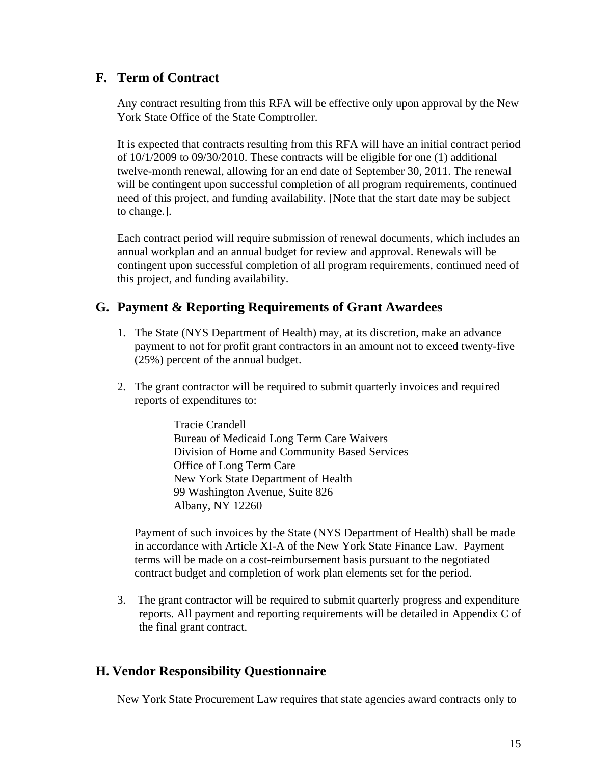#### **F. Term of Contract**

Any contract resulting from this RFA will be effective only upon approval by the New York State Office of the State Comptroller.

It is expected that contracts resulting from this RFA will have an initial contract period of 10/1/2009 to 09/30/2010. These contracts will be eligible for one (1) additional twelve-month renewal, allowing for an end date of September 30, 2011. The renewal will be contingent upon successful completion of all program requirements, continued need of this project, and funding availability. [Note that the start date may be subject to change.].

Each contract period will require submission of renewal documents, which includes an annual workplan and an annual budget for review and approval. Renewals will be contingent upon successful completion of all program requirements, continued need of this project, and funding availability.

#### **G. Payment & Reporting Requirements of Grant Awardees**

- 1. The State (NYS Department of Health) may, at its discretion, make an advance payment to not for profit grant contractors in an amount not to exceed twenty-five (25%) percent of the annual budget.
- 2. The grant contractor will be required to submit quarterly invoices and required reports of expenditures to:

 Tracie Crandell Bureau of Medicaid Long Term Care Waivers Division of Home and Community Based Services Office of Long Term Care New York State Department of Health 99 Washington Avenue, Suite 826 Albany, NY 12260

Payment of such invoices by the State (NYS Department of Health) shall be made in accordance with Article XI-A of the New York State Finance Law. Payment terms will be made on a cost-reimbursement basis pursuant to the negotiated contract budget and completion of work plan elements set for the period.

3. The grant contractor will be required to submit quarterly progress and expenditure reports. All payment and reporting requirements will be detailed in Appendix C of the final grant contract.

#### **H. Vendor Responsibility Questionnaire**

New York State Procurement Law requires that state agencies award contracts only to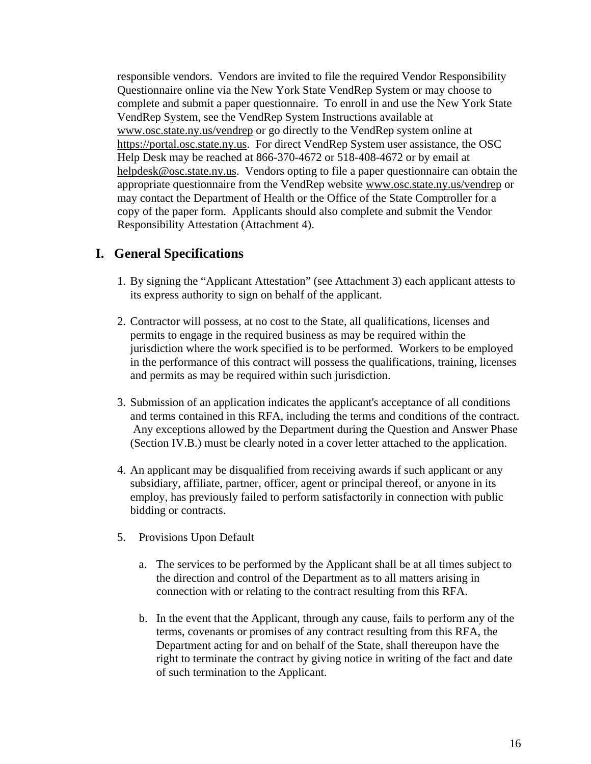responsible vendors. Vendors are invited to file the required Vendor Responsibility Questionnaire online via the New York State VendRep System or may choose to complete and submit a paper questionnaire. To enroll in and use the New York State VendRep System, see the VendRep System Instructions available at [www.osc.state.ny.us/vendrep](http://www.osc.state.ny.us/vendrep) or go directly to the VendRep system online at [https://portal.osc.state.ny.us.](https://portal.osc.state.ny.us/) For direct VendRep System user assistance, the OSC Help Desk may be reached at 866-370-4672 or 518-408-4672 or by email at [helpdesk@osc.state.ny.us](mailto:helpdesk@osc.state.ny.us). Vendors opting to file a paper questionnaire can obtain the appropriate questionnaire from the VendRep website [www.osc.state.ny.us/vendrep](http://www.osc.state.ny.us/vendrep) or may contact the Department of Health or the Office of the State Comptroller for a copy of the paper form. Applicants should also complete and submit the Vendor Responsibility Attestation (Attachment 4).

#### **I. General Specifications**

- 1. By signing the "Applicant Attestation" (see Attachment 3) each applicant attests to its express authority to sign on behalf of the applicant.
- 2. Contractor will possess, at no cost to the State, all qualifications, licenses and permits to engage in the required business as may be required within the jurisdiction where the work specified is to be performed. Workers to be employed in the performance of this contract will possess the qualifications, training, licenses and permits as may be required within such jurisdiction.
- 3. Submission of an application indicates the applicant's acceptance of all conditions and terms contained in this RFA, including the terms and conditions of the contract. Any exceptions allowed by the Department during the Question and Answer Phase (Section IV.B.) must be clearly noted in a cover letter attached to the application.
- 4. An applicant may be disqualified from receiving awards if such applicant or any subsidiary, affiliate, partner, officer, agent or principal thereof, or anyone in its employ, has previously failed to perform satisfactorily in connection with public bidding or contracts.
- 5. Provisions Upon Default
	- a. The services to be performed by the Applicant shall be at all times subject to the direction and control of the Department as to all matters arising in connection with or relating to the contract resulting from this RFA.
	- b. In the event that the Applicant, through any cause, fails to perform any of the terms, covenants or promises of any contract resulting from this RFA, the Department acting for and on behalf of the State, shall thereupon have the right to terminate the contract by giving notice in writing of the fact and date of such termination to the Applicant.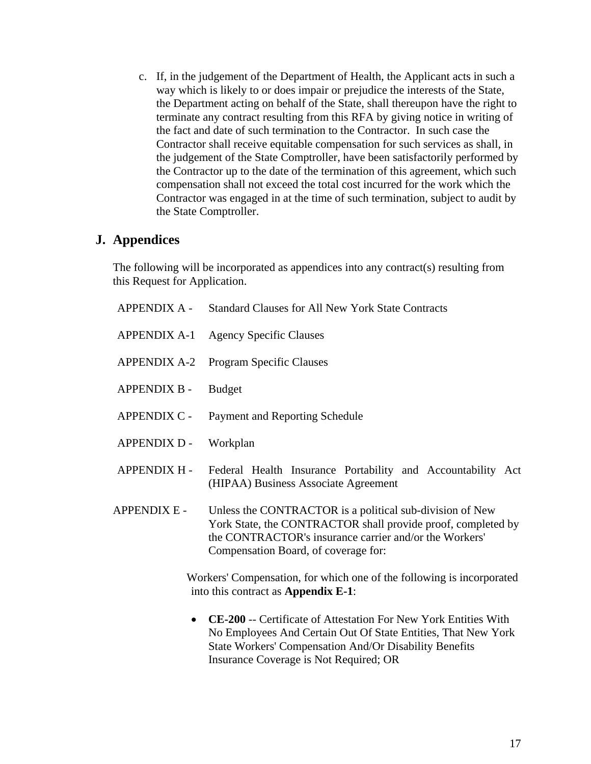c. If, in the judgement of the Department of Health, the Applicant acts in such a way which is likely to or does impair or prejudice the interests of the State, the Department acting on behalf of the State, shall thereupon have the right to terminate any contract resulting from this RFA by giving notice in writing of the fact and date of such termination to the Contractor. In such case the Contractor shall receive equitable compensation for such services as shall, in the judgement of the State Comptroller, have been satisfactorily performed by the Contractor up to the date of the termination of this agreement, which such compensation shall not exceed the total cost incurred for the work which the Contractor was engaged in at the time of such termination, subject to audit by the State Comptroller.

#### **J. Appendices**

The following will be incorporated as appendices into any contract(s) resulting from this Request for Application.

| <b>APPENDIX A -</b> | <b>Standard Clauses for All New York State Contracts</b>                                                                                                                                                                   |
|---------------------|----------------------------------------------------------------------------------------------------------------------------------------------------------------------------------------------------------------------------|
| <b>APPENDIX A-1</b> | <b>Agency Specific Clauses</b>                                                                                                                                                                                             |
| <b>APPENDIX A-2</b> | Program Specific Clauses                                                                                                                                                                                                   |
| <b>APPENDIX B-</b>  | <b>Budget</b>                                                                                                                                                                                                              |
| <b>APPENDIX C -</b> | Payment and Reporting Schedule                                                                                                                                                                                             |
| <b>APPENDIX D-</b>  | Workplan                                                                                                                                                                                                                   |
| <b>APPENDIX H-</b>  | Federal Health Insurance Portability and Accountability Act<br>(HIPAA) Business Associate Agreement                                                                                                                        |
| <b>APPENDIX E -</b> | Unless the CONTRACTOR is a political sub-division of New<br>York State, the CONTRACTOR shall provide proof, completed by<br>the CONTRACTOR's insurance carrier and/or the Workers'<br>Compensation Board, of coverage for: |
|                     | Workers' Compensation, for which one of the following is incorporated<br>into this contract as <b>Appendix E-1</b> :                                                                                                       |
|                     |                                                                                                                                                                                                                            |

• **CE-200** -- Certificate of Attestation For New York Entities With No Employees And Certain Out Of State Entities, That New York State Workers' Compensation And/Or Disability Benefits Insurance Coverage is Not Required; OR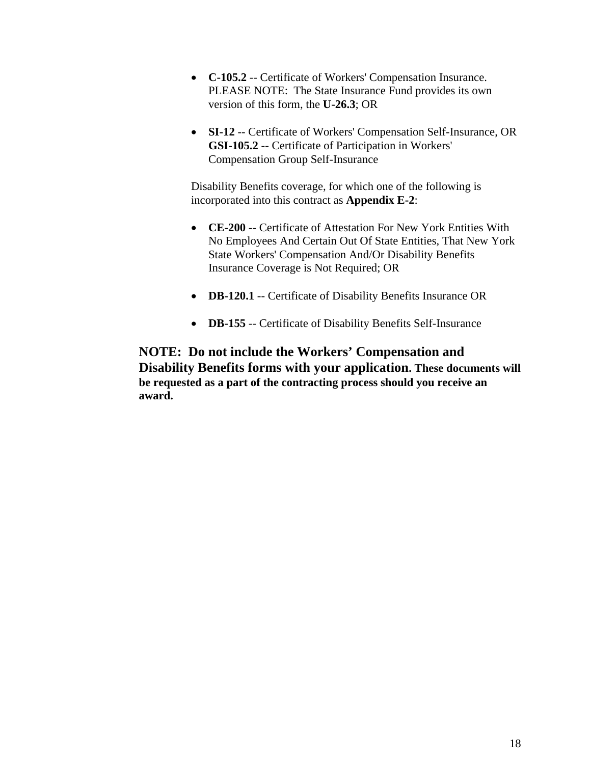- **C-105.2** -- Certificate of Workers' Compensation Insurance. PLEASE NOTE: The State Insurance Fund provides its own version of this form, the **U-26.3**; OR
- **SI-12** -- Certificate of Workers' Compensation Self-Insurance, OR **GSI-105.2** -- Certificate of Participation in Workers' Compensation Group Self-Insurance

 Disability Benefits coverage, for which one of the following is incorporated into this contract as **Appendix E-2**:

- **CE-200** -- Certificate of Attestation For New York Entities With No Employees And Certain Out Of State Entities, That New York State Workers' Compensation And/Or Disability Benefits Insurance Coverage is Not Required; OR
- **DB-120.1** -- Certificate of Disability Benefits Insurance OR
- **DB-155** -- Certificate of Disability Benefits Self-Insurance

**NOTE: Do not include the Workers' Compensation and Disability Benefits forms with your application. These documents will be requested as a part of the contracting process should you receive an award.**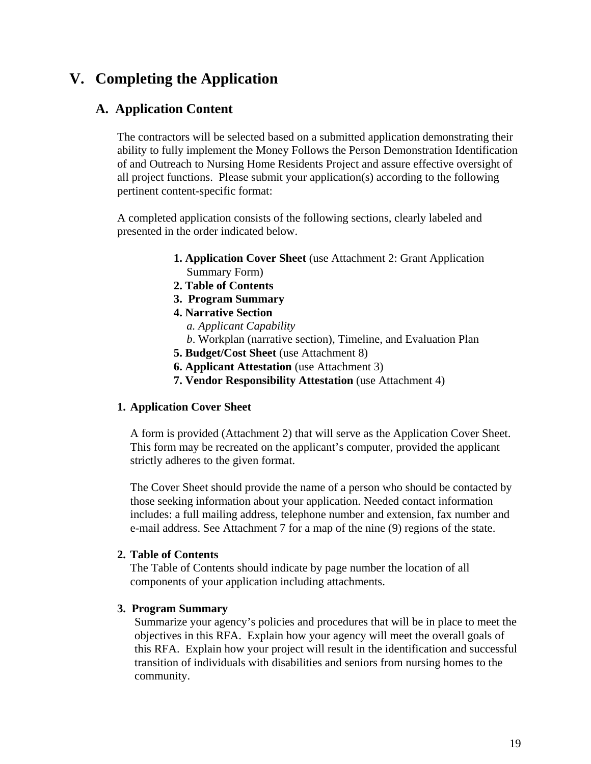## **V. Completing the Application**

#### **A. Application Content**

The contractors will be selected based on a submitted application demonstrating their ability to fully implement the Money Follows the Person Demonstration Identification of and Outreach to Nursing Home Residents Project and assure effective oversight of all project functions. Please submit your application(s) according to the following pertinent content-specific format:

A completed application consists of the following sections, clearly labeled and presented in the order indicated below.

- **1. Application Cover Sheet** (use Attachment 2: Grant Application Summary Form)
- **2. Table of Contents**
- **3. Program Summary**
- **4. Narrative Section** 
	- *a. Applicant Capability*
	- *b*. Workplan (narrative section), Timeline, and Evaluation Plan
- **5. Budget/Cost Sheet** (use Attachment 8)
- **6. Applicant Attestation** (use Attachment 3)
- **7. Vendor Responsibility Attestation** (use Attachment 4)

#### **1. Application Cover Sheet**

A form is provided (Attachment 2) that will serve as the Application Cover Sheet. This form may be recreated on the applicant's computer, provided the applicant strictly adheres to the given format.

The Cover Sheet should provide the name of a person who should be contacted by those seeking information about your application. Needed contact information includes: a full mailing address, telephone number and extension, fax number and e-mail address. See Attachment 7 for a map of the nine (9) regions of the state.

#### **2. Table of Contents**

The Table of Contents should indicate by page number the location of all components of your application including attachments.

#### **3. Program Summary**

Summarize your agency's policies and procedures that will be in place to meet the objectives in this RFA. Explain how your agency will meet the overall goals of this RFA. Explain how your project will result in the identification and successful transition of individuals with disabilities and seniors from nursing homes to the community.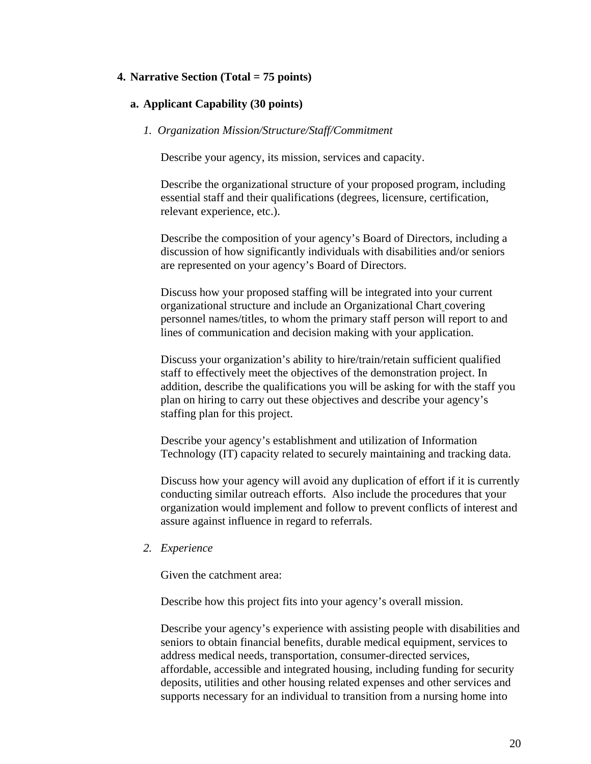#### **4. Narrative Section (Total = 75 points)**

#### **a. Applicant Capability (30 points)**

#### *1. Organization Mission/Structure/Staff/Commitment*

Describe your agency, its mission, services and capacity.

Describe the organizational structure of your proposed program, including essential staff and their qualifications (degrees, licensure, certification, relevant experience, etc.).

Describe the composition of your agency's Board of Directors, including a discussion of how significantly individuals with disabilities and/or seniors are represented on your agency's Board of Directors.

Discuss how your proposed staffing will be integrated into your current organizational structure and include an Organizational Chart covering personnel names/titles, to whom the primary staff person will report to and lines of communication and decision making with your application.

Discuss your organization's ability to hire/train/retain sufficient qualified staff to effectively meet the objectives of the demonstration project. In addition, describe the qualifications you will be asking for with the staff you plan on hiring to carry out these objectives and describe your agency's staffing plan for this project.

Describe your agency's establishment and utilization of Information Technology (IT) capacity related to securely maintaining and tracking data.

Discuss how your agency will avoid any duplication of effort if it is currently conducting similar outreach efforts. Also include the procedures that your organization would implement and follow to prevent conflicts of interest and assure against influence in regard to referrals.

*2. Experience* 

Given the catchment area:

Describe how this project fits into your agency's overall mission.

Describe your agency's experience with assisting people with disabilities and seniors to obtain financial benefits, durable medical equipment, services to address medical needs, transportation, consumer-directed services, affordable, accessible and integrated housing, including funding for security deposits, utilities and other housing related expenses and other services and supports necessary for an individual to transition from a nursing home into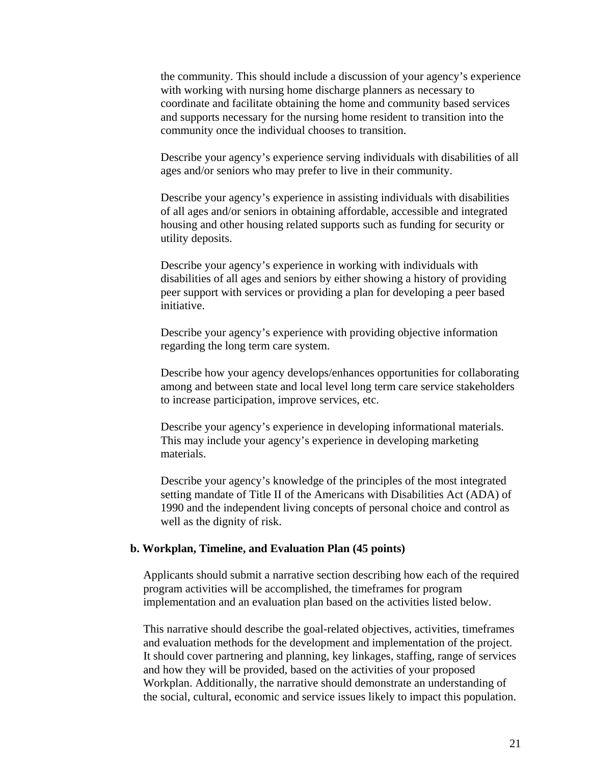the community. This should include a discussion of your agency's experience with working with nursing home discharge planners as necessary to coordinate and facilitate obtaining the home and community based services and supports necessary for the nursing home resident to transition into the community once the individual chooses to transition.

Describe your agency's experience serving individuals with disabilities of all ages and/or seniors who may prefer to live in their community.

Describe your agency's experience in assisting individuals with disabilities of all ages and/or seniors in obtaining affordable, accessible and integrated housing and other housing related supports such as funding for security or utility deposits.

Describe your agency's experience in working with individuals with disabilities of all ages and seniors by either showing a history of providing peer support with services or providing a plan for developing a peer based initiative.

Describe your agency's experience with providing objective information regarding the long term care system.

Describe how your agency develops/enhances opportunities for collaborating among and between state and local level long term care service stakeholders to increase participation, improve services, etc.

Describe your agency's experience in developing informational materials. This may include your agency's experience in developing marketing materials.

Describe your agency's knowledge of the principles of the most integrated setting mandate of Title II of the Americans with Disabilities Act (ADA) of 1990 and the independent living concepts of personal choice and control as well as the dignity of risk.

#### **b. Workplan, Timeline, and Evaluation Plan (45 points)**

Applicants should submit a narrative section describing how each of the required program activities will be accomplished, the timeframes for program implementation and an evaluation plan based on the activities listed below.

This narrative should describe the goal-related objectives, activities, timeframes and evaluation methods for the development and implementation of the project. It should cover partnering and planning, key linkages, staffing, range of services and how they will be provided, based on the activities of your proposed Workplan. Additionally, the narrative should demonstrate an understanding of the social, cultural, economic and service issues likely to impact this population.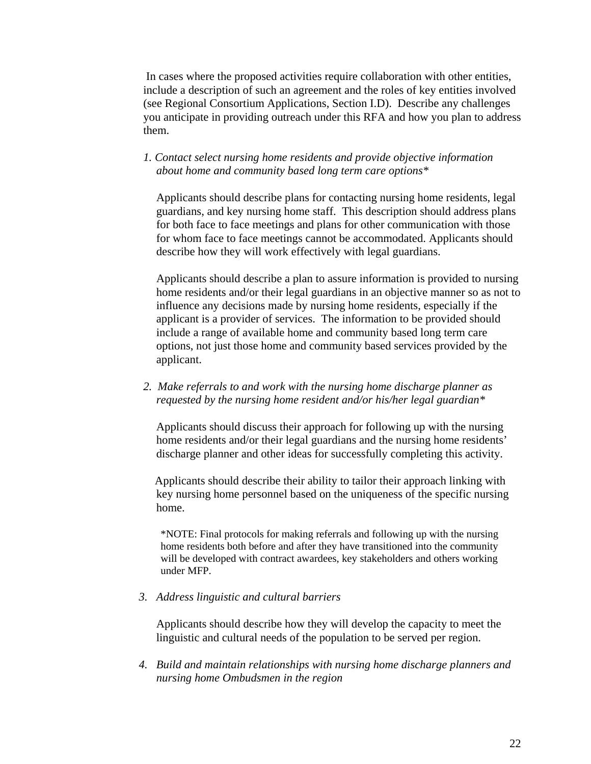In cases where the proposed activities require collaboration with other entities, include a description of such an agreement and the roles of key entities involved (see Regional Consortium Applications, Section I.D). Describe any challenges you anticipate in providing outreach under this RFA and how you plan to address them.

#### *1. Contact select nursing home residents and provide objective information about home and community based long term care options\**

Applicants should describe plans for contacting nursing home residents, legal guardians, and key nursing home staff. This description should address plans for both face to face meetings and plans for other communication with those for whom face to face meetings cannot be accommodated. Applicants should describe how they will work effectively with legal guardians.

Applicants should describe a plan to assure information is provided to nursing home residents and/or their legal guardians in an objective manner so as not to influence any decisions made by nursing home residents, especially if the applicant is a provider of services. The information to be provided should include a range of available home and community based long term care options, not just those home and community based services provided by the applicant.

#### *2. Make referrals to and work with the nursing home discharge planner as requested by the nursing home resident and/or his/her legal guardian\**

Applicants should discuss their approach for following up with the nursing home residents and/or their legal guardians and the nursing home residents' discharge planner and other ideas for successfully completing this activity.

 Applicants should describe their ability to tailor their approach linking with key nursing home personnel based on the uniqueness of the specific nursing home.

\*NOTE: Final protocols for making referrals and following up with the nursing home residents both before and after they have transitioned into the community will be developed with contract awardees, key stakeholders and others working under MFP.

#### *3. Address linguistic and cultural barriers*

Applicants should describe how they will develop the capacity to meet the linguistic and cultural needs of the population to be served per region.

*4. Build and maintain relationships with nursing home discharge planners and nursing home Ombudsmen in the region*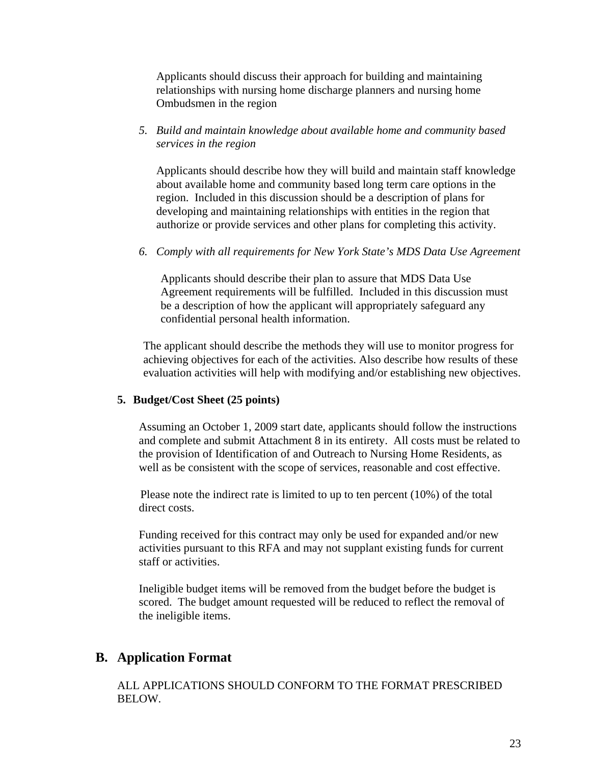Applicants should discuss their approach for building and maintaining relationships with nursing home discharge planners and nursing home Ombudsmen in the region

*5. Build and maintain knowledge about available home and community based services in the region* 

Applicants should describe how they will build and maintain staff knowledge about available home and community based long term care options in the region. Included in this discussion should be a description of plans for developing and maintaining relationships with entities in the region that authorize or provide services and other plans for completing this activity.

*6. Comply with all requirements for New York State's MDS Data Use Agreement* 

Applicants should describe their plan to assure that MDS Data Use Agreement requirements will be fulfilled. Included in this discussion must be a description of how the applicant will appropriately safeguard any confidential personal health information.

The applicant should describe the methods they will use to monitor progress for achieving objectives for each of the activities. Also describe how results of these evaluation activities will help with modifying and/or establishing new objectives.

#### **5. Budget/Cost Sheet (25 points)**

Assuming an October 1, 2009 start date, applicants should follow the instructions and complete and submit Attachment 8 in its entirety. All costs must be related to the provision of Identification of and Outreach to Nursing Home Residents, as well as be consistent with the scope of services, reasonable and cost effective.

 Please note the indirect rate is limited to up to ten percent (10%) of the total direct costs.

Funding received for this contract may only be used for expanded and/or new activities pursuant to this RFA and may not supplant existing funds for current staff or activities.

Ineligible budget items will be removed from the budget before the budget is scored. The budget amount requested will be reduced to reflect the removal of the ineligible items.

#### **B. Application Format**

ALL APPLICATIONS SHOULD CONFORM TO THE FORMAT PRESCRIBED BELOW.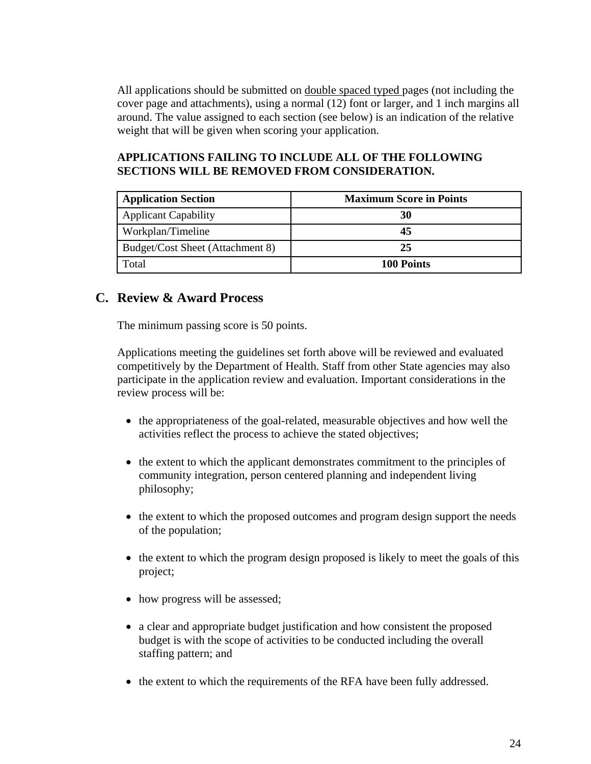All applications should be submitted on double spaced typed pages (not including the cover page and attachments), using a normal (12) font or larger, and 1 inch margins all around. The value assigned to each section (see below) is an indication of the relative weight that will be given when scoring your application.

#### **APPLICATIONS FAILING TO INCLUDE ALL OF THE FOLLOWING SECTIONS WILL BE REMOVED FROM CONSIDERATION.**

| <b>Application Section</b>       | <b>Maximum Score in Points</b> |
|----------------------------------|--------------------------------|
| <b>Applicant Capability</b>      | 30                             |
| Workplan/Timeline                |                                |
| Budget/Cost Sheet (Attachment 8) | 25                             |
| Total                            | 100 Points                     |

#### **C. Review & Award Process**

The minimum passing score is 50 points.

Applications meeting the guidelines set forth above will be reviewed and evaluated competitively by the Department of Health. Staff from other State agencies may also participate in the application review and evaluation. Important considerations in the review process will be:

- the appropriateness of the goal-related, measurable objectives and how well the activities reflect the process to achieve the stated objectives;
- the extent to which the applicant demonstrates commitment to the principles of community integration, person centered planning and independent living philosophy;
- the extent to which the proposed outcomes and program design support the needs of the population;
- the extent to which the program design proposed is likely to meet the goals of this project;
- how progress will be assessed;
- a clear and appropriate budget justification and how consistent the proposed budget is with the scope of activities to be conducted including the overall staffing pattern; and
- the extent to which the requirements of the RFA have been fully addressed.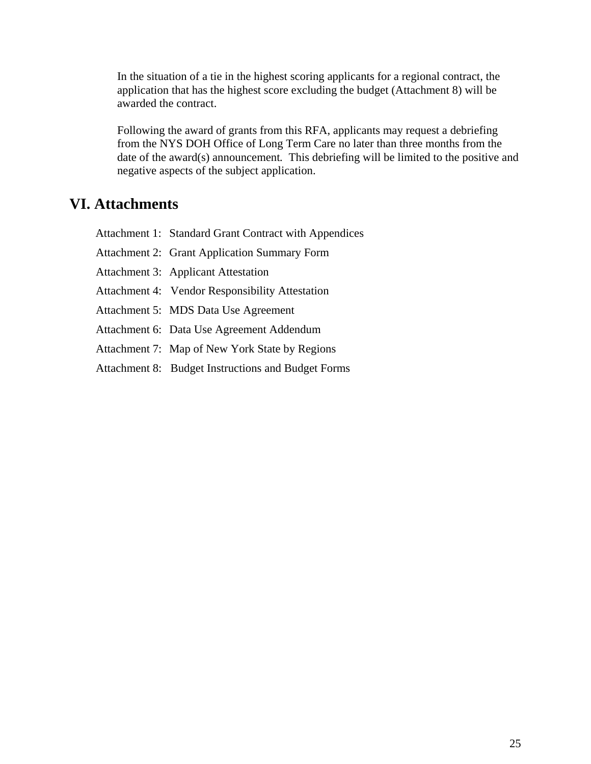In the situation of a tie in the highest scoring applicants for a regional contract, the application that has the highest score excluding the budget (Attachment 8) will be awarded the contract.

Following the award of grants from this RFA, applicants may request a debriefing from the NYS DOH Office of Long Term Care no later than three months from the date of the award(s) announcement*.* This debriefing will be limited to the positive and negative aspects of the subject application.

## **VI. Attachments**

- Attachment 1: Standard Grant Contract with Appendices
- Attachment 2: Grant Application Summary Form
- Attachment 3: Applicant Attestation
- Attachment 4: Vendor Responsibility Attestation
- Attachment 5: MDS Data Use Agreement
- Attachment 6: Data Use Agreement Addendum
- Attachment 7: Map of New York State by Regions
- Attachment 8: Budget Instructions and Budget Forms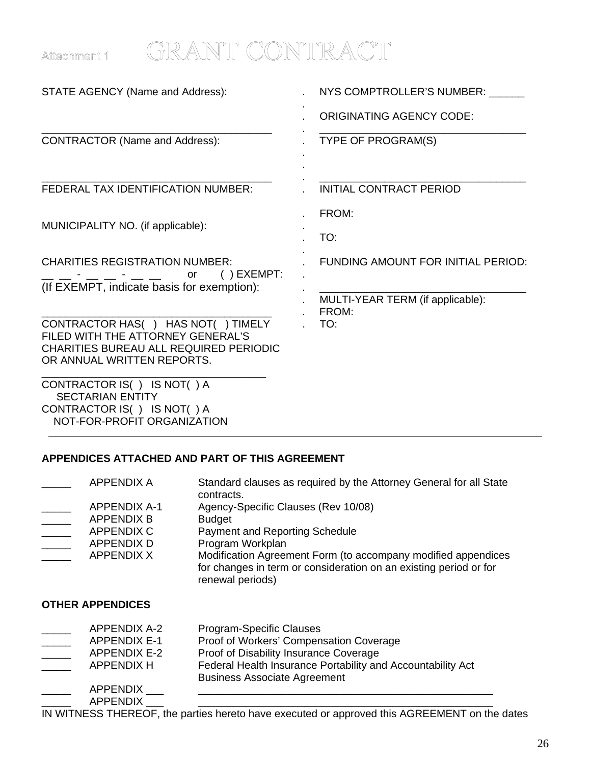Attachment 1

# GRANT CONTRACT

| STATE AGENCY (Name and Address):                                                                                                                      | NYS COMPTROLLER'S NUMBER:                        |  |
|-------------------------------------------------------------------------------------------------------------------------------------------------------|--------------------------------------------------|--|
|                                                                                                                                                       | <b>ORIGINATING AGENCY CODE:</b>                  |  |
| <b>CONTRACTOR (Name and Address):</b>                                                                                                                 | TYPE OF PROGRAM(S)                               |  |
| FEDERAL TAX IDENTIFICATION NUMBER:                                                                                                                    | INITIAL CONTRACT PERIOD                          |  |
| MUNICIPALITY NO. (if applicable):                                                                                                                     | FROM:<br>TO:                                     |  |
| <b>CHARITIES REGISTRATION NUMBER:</b><br>$( )$ EXEMPT:<br>or<br>(If EXEMPT, indicate basis for exemption):                                            | FUNDING AMOUNT FOR INITIAL PERIOD:               |  |
| CONTRACTOR HAS() HAS NOT() TIMELY<br>FILED WITH THE ATTORNEY GENERAL'S<br><b>CHARITIES BUREAU ALL REQUIRED PERIODIC</b><br>OR ANNUAL WRITTEN REPORTS. | MULTI-YEAR TERM (if applicable):<br>FROM:<br>TO: |  |
| CONTRACTOR IS() IS NOT() A<br><b>SECTARIAN ENTITY</b><br>CONTRACTOR IS() IS NOT() A<br>NOT-FOR-PROFIT ORGANIZATION                                    |                                                  |  |

#### **APPENDICES ATTACHED AND PART OF THIS AGREEMENT**

| APPENDIX A          | Standard clauses as required by the Attorney General for all State<br>contracts.                                                                       |
|---------------------|--------------------------------------------------------------------------------------------------------------------------------------------------------|
| <b>APPENDIX A-1</b> | Agency-Specific Clauses (Rev 10/08)                                                                                                                    |
| <b>APPENDIX B</b>   | <b>Budget</b>                                                                                                                                          |
| <b>APPENDIX C</b>   | <b>Payment and Reporting Schedule</b>                                                                                                                  |
| APPENDIX D          | Program Workplan                                                                                                                                       |
| <b>APPENDIX X</b>   | Modification Agreement Form (to accompany modified appendices<br>for changes in term or consideration on an existing period or for<br>renewal periods) |
|                     |                                                                                                                                                        |

#### **OTHER APPENDICES**

| APPENDIX A-2        | <b>Program-Specific Clauses</b>                                                                    |
|---------------------|----------------------------------------------------------------------------------------------------|
| <b>APPENDIX E-1</b> | Proof of Workers' Compensation Coverage                                                            |
| <b>APPENDIX E-2</b> | Proof of Disability Insurance Coverage                                                             |
| <b>APPENDIX H</b>   | Federal Health Insurance Portability and Accountability Act<br><b>Business Associate Agreement</b> |
| <b>APPENDIX</b>     |                                                                                                    |
| <b>APPENDIX</b>     |                                                                                                    |

IN WITNESS THEREOF, the parties hereto have executed or approved this AGREEMENT on the dates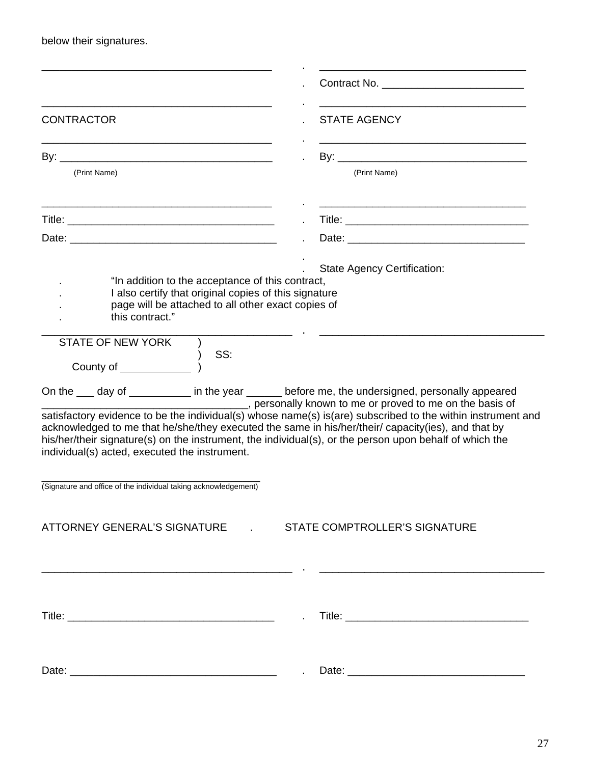#### below their signatures.

| <b>CONTRACTOR</b>                                                                                                                                                                                                                                                                                                                                                                                                                                                                    | <b>STATE AGENCY</b>                                             |
|--------------------------------------------------------------------------------------------------------------------------------------------------------------------------------------------------------------------------------------------------------------------------------------------------------------------------------------------------------------------------------------------------------------------------------------------------------------------------------------|-----------------------------------------------------------------|
|                                                                                                                                                                                                                                                                                                                                                                                                                                                                                      |                                                                 |
| (Print Name)                                                                                                                                                                                                                                                                                                                                                                                                                                                                         | (Print Name)                                                    |
|                                                                                                                                                                                                                                                                                                                                                                                                                                                                                      |                                                                 |
|                                                                                                                                                                                                                                                                                                                                                                                                                                                                                      |                                                                 |
| "In addition to the acceptance of this contract,<br>I also certify that original copies of this signature<br>page will be attached to all other exact copies of<br>this contract."                                                                                                                                                                                                                                                                                                   | <b>State Agency Certification:</b>                              |
| <b>STATE OF NEW YORK</b><br>SS:<br>County of <u>same</u>                                                                                                                                                                                                                                                                                                                                                                                                                             |                                                                 |
| On the 10 day of 10 day of 100 in the year 100 meta before me, the undersigned, personally appeared<br>satisfactory evidence to be the individual(s) whose name(s) is(are) subscribed to the within instrument and<br>acknowledged to me that he/she/they executed the same in his/her/their/ capacity(ies), and that by<br>his/her/their signature(s) on the instrument, the individual(s), or the person upon behalf of which the<br>individual(s) acted, executed the instrument. | _______, personally known to me or proved to me on the basis of |
| (Signature and office of the individual taking acknowledgement)                                                                                                                                                                                                                                                                                                                                                                                                                      |                                                                 |
| ATTORNEY GENERAL'S SIGNATURE . STATE COMPTROLLER'S SIGNATURE                                                                                                                                                                                                                                                                                                                                                                                                                         |                                                                 |
| <u> 1989 - Andrea Santa Andrea Andrea Andrea Andrea Andrea Andrea Andrea Andrea Andrea Andrea Andrea Andrea Andr</u>                                                                                                                                                                                                                                                                                                                                                                 |                                                                 |
|                                                                                                                                                                                                                                                                                                                                                                                                                                                                                      |                                                                 |
|                                                                                                                                                                                                                                                                                                                                                                                                                                                                                      |                                                                 |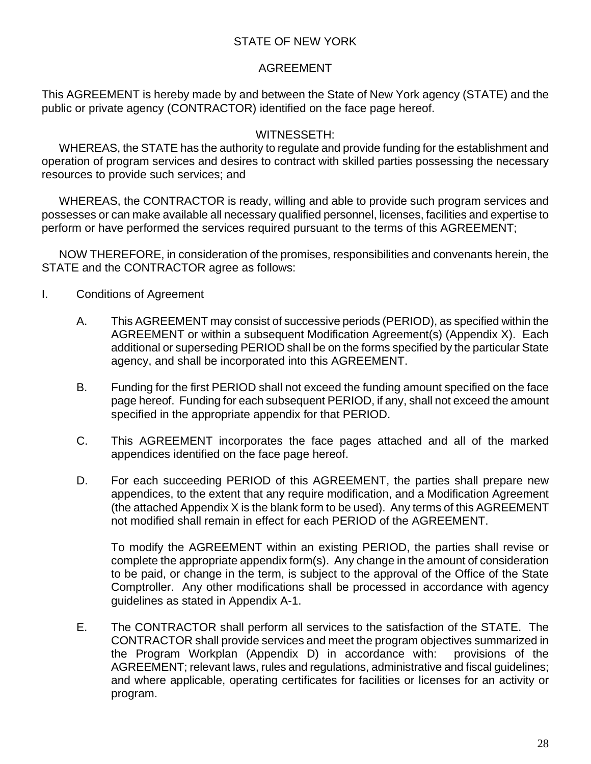#### STATE OF NEW YORK

#### AGREEMENT

This AGREEMENT is hereby made by and between the State of New York agency (STATE) and the public or private agency (CONTRACTOR) identified on the face page hereof.

#### WITNESSETH:

 WHEREAS, the STATE has the authority to regulate and provide funding for the establishment and operation of program services and desires to contract with skilled parties possessing the necessary resources to provide such services; and

 WHEREAS, the CONTRACTOR is ready, willing and able to provide such program services and possesses or can make available all necessary qualified personnel, licenses, facilities and expertise to perform or have performed the services required pursuant to the terms of this AGREEMENT;

 NOW THEREFORE, in consideration of the promises, responsibilities and convenants herein, the STATE and the CONTRACTOR agree as follows:

- I. Conditions of Agreement
	- A. This AGREEMENT may consist of successive periods (PERIOD), as specified within the AGREEMENT or within a subsequent Modification Agreement(s) (Appendix X). Each additional or superseding PERIOD shall be on the forms specified by the particular State agency, and shall be incorporated into this AGREEMENT.
	- B. Funding for the first PERIOD shall not exceed the funding amount specified on the face page hereof. Funding for each subsequent PERIOD, if any, shall not exceed the amount specified in the appropriate appendix for that PERIOD.
	- C. This AGREEMENT incorporates the face pages attached and all of the marked appendices identified on the face page hereof.
	- D. For each succeeding PERIOD of this AGREEMENT, the parties shall prepare new appendices, to the extent that any require modification, and a Modification Agreement (the attached Appendix X is the blank form to be used). Any terms of this AGREEMENT not modified shall remain in effect for each PERIOD of the AGREEMENT.

To modify the AGREEMENT within an existing PERIOD, the parties shall revise or complete the appropriate appendix form(s). Any change in the amount of consideration to be paid, or change in the term, is subject to the approval of the Office of the State Comptroller. Any other modifications shall be processed in accordance with agency guidelines as stated in Appendix A-1.

E. The CONTRACTOR shall perform all services to the satisfaction of the STATE. The CONTRACTOR shall provide services and meet the program objectives summarized in the Program Workplan (Appendix D) in accordance with: provisions of the AGREEMENT; relevant laws, rules and regulations, administrative and fiscal guidelines; and where applicable, operating certificates for facilities or licenses for an activity or program.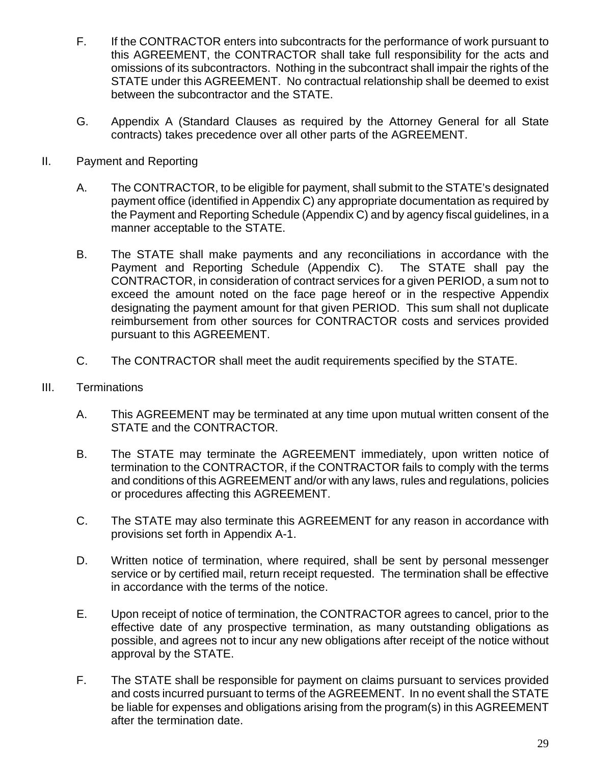- F. If the CONTRACTOR enters into subcontracts for the performance of work pursuant to this AGREEMENT, the CONTRACTOR shall take full responsibility for the acts and omissions of its subcontractors. Nothing in the subcontract shall impair the rights of the STATE under this AGREEMENT. No contractual relationship shall be deemed to exist between the subcontractor and the STATE.
- G. Appendix A (Standard Clauses as required by the Attorney General for all State contracts) takes precedence over all other parts of the AGREEMENT.

#### II. Payment and Reporting

- A. The CONTRACTOR, to be eligible for payment, shall submit to the STATE's designated payment office (identified in Appendix C) any appropriate documentation as required by the Payment and Reporting Schedule (Appendix C) and by agency fiscal guidelines, in a manner acceptable to the STATE.
- B. The STATE shall make payments and any reconciliations in accordance with the Payment and Reporting Schedule (Appendix C). The STATE shall pay the CONTRACTOR, in consideration of contract services for a given PERIOD, a sum not to exceed the amount noted on the face page hereof or in the respective Appendix designating the payment amount for that given PERIOD. This sum shall not duplicate reimbursement from other sources for CONTRACTOR costs and services provided pursuant to this AGREEMENT.
- C. The CONTRACTOR shall meet the audit requirements specified by the STATE.
- III. Terminations
	- A. This AGREEMENT may be terminated at any time upon mutual written consent of the STATE and the CONTRACTOR.
	- B. The STATE may terminate the AGREEMENT immediately, upon written notice of termination to the CONTRACTOR, if the CONTRACTOR fails to comply with the terms and conditions of this AGREEMENT and/or with any laws, rules and regulations, policies or procedures affecting this AGREEMENT.
	- C. The STATE may also terminate this AGREEMENT for any reason in accordance with provisions set forth in Appendix A-1.
	- D. Written notice of termination, where required, shall be sent by personal messenger service or by certified mail, return receipt requested. The termination shall be effective in accordance with the terms of the notice.
	- E. Upon receipt of notice of termination, the CONTRACTOR agrees to cancel, prior to the effective date of any prospective termination, as many outstanding obligations as possible, and agrees not to incur any new obligations after receipt of the notice without approval by the STATE.
	- F. The STATE shall be responsible for payment on claims pursuant to services provided and costs incurred pursuant to terms of the AGREEMENT. In no event shall the STATE be liable for expenses and obligations arising from the program(s) in this AGREEMENT after the termination date.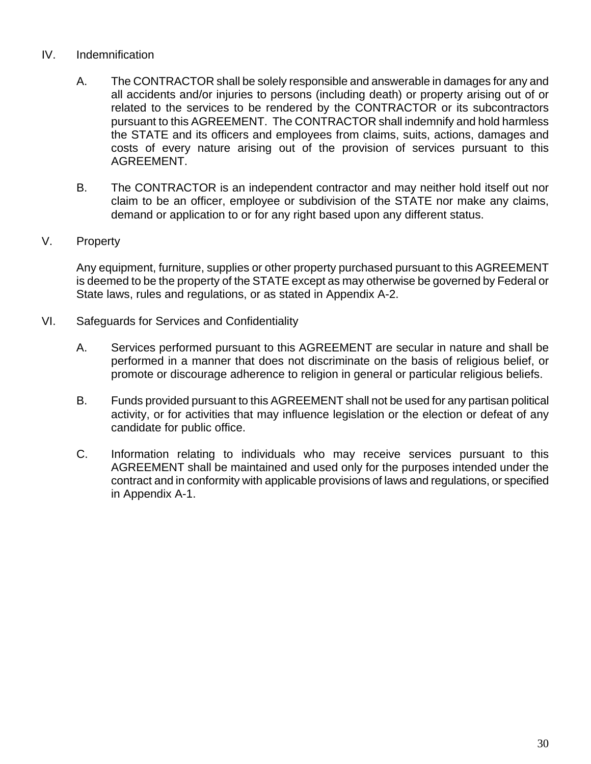#### IV. Indemnification

- A. The CONTRACTOR shall be solely responsible and answerable in damages for any and all accidents and/or injuries to persons (including death) or property arising out of or related to the services to be rendered by the CONTRACTOR or its subcontractors pursuant to this AGREEMENT. The CONTRACTOR shall indemnify and hold harmless the STATE and its officers and employees from claims, suits, actions, damages and costs of every nature arising out of the provision of services pursuant to this AGREEMENT.
- B. The CONTRACTOR is an independent contractor and may neither hold itself out nor claim to be an officer, employee or subdivision of the STATE nor make any claims, demand or application to or for any right based upon any different status.

#### V. Property

Any equipment, furniture, supplies or other property purchased pursuant to this AGREEMENT is deemed to be the property of the STATE except as may otherwise be governed by Federal or State laws, rules and regulations, or as stated in Appendix A-2.

- VI. Safeguards for Services and Confidentiality
	- A. Services performed pursuant to this AGREEMENT are secular in nature and shall be performed in a manner that does not discriminate on the basis of religious belief, or promote or discourage adherence to religion in general or particular religious beliefs.
	- B. Funds provided pursuant to this AGREEMENT shall not be used for any partisan political activity, or for activities that may influence legislation or the election or defeat of any candidate for public office.
	- C. Information relating to individuals who may receive services pursuant to this AGREEMENT shall be maintained and used only for the purposes intended under the contract and in conformity with applicable provisions of laws and regulations, or specified in Appendix A-1.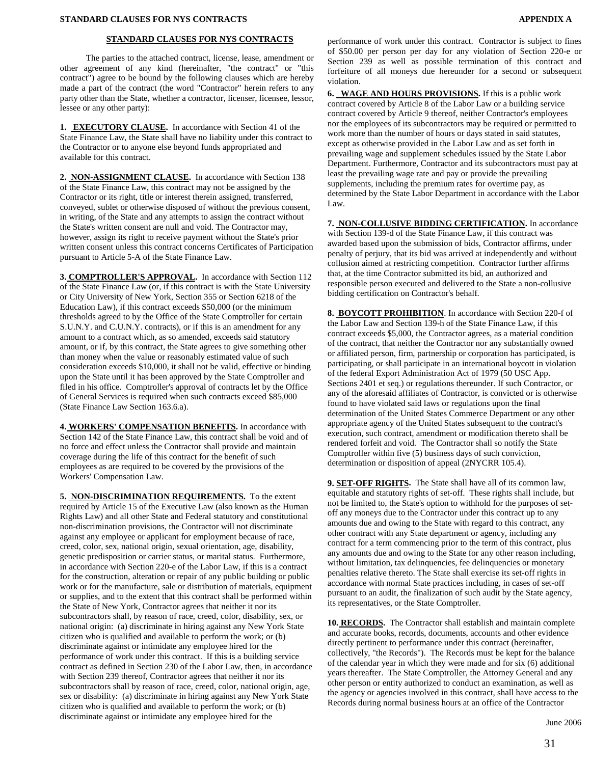#### **STANDARD CLAUSES FOR NYS CONTRACTS**

The parties to the attached contract, license, lease, amendment or other agreement of any kind (hereinafter, "the contract" or "this contract") agree to be bound by the following clauses which are hereby made a part of the contract (the word "Contractor" herein refers to any party other than the State, whether a contractor, licenser, licensee, lessor, lessee or any other party):

**1. EXECUTORY CLAUSE.** In accordance with Section 41 of the State Finance Law, the State shall have no liability under this contract to the Contractor or to anyone else beyond funds appropriated and available for this contract.

**2. NON-ASSIGNMENT CLAUSE.** In accordance with Section 138 of the State Finance Law, this contract may not be assigned by the Contractor or its right, title or interest therein assigned, transferred, conveyed, sublet or otherwise disposed of without the previous consent, in writing, of the State and any attempts to assign the contract without the State's written consent are null and void. The Contractor may, however, assign its right to receive payment without the State's prior written consent unless this contract concerns Certificates of Participation pursuant to Article 5-A of the State Finance Law.

**3. COMPTROLLER'S APPROVAL.** In accordance with Section 112 of the State Finance Law (or, if this contract is with the State University or City University of New York, Section 355 or Section 6218 of the Education Law), if this contract exceeds \$50,000 (or the minimum thresholds agreed to by the Office of the State Comptroller for certain S.U.N.Y. and C.U.N.Y. contracts), or if this is an amendment for any amount to a contract which, as so amended, exceeds said statutory amount, or if, by this contract, the State agrees to give something other than money when the value or reasonably estimated value of such consideration exceeds \$10,000, it shall not be valid, effective or binding upon the State until it has been approved by the State Comptroller and filed in his office. Comptroller's approval of contracts let by the Office of General Services is required when such contracts exceed \$85,000 (State Finance Law Section 163.6.a).

**4. WORKERS' COMPENSATION BENEFITS.** In accordance with Section 142 of the State Finance Law, this contract shall be void and of no force and effect unless the Contractor shall provide and maintain coverage during the life of this contract for the benefit of such employees as are required to be covered by the provisions of the Workers' Compensation Law.

**5. NON-DISCRIMINATION REQUIREMENTS.** To the extent required by Article 15 of the Executive Law (also known as the Human Rights Law) and all other State and Federal statutory and constitutional non-discrimination provisions, the Contractor will not discriminate against any employee or applicant for employment because of race, creed, color, sex, national origin, sexual orientation, age, disability, genetic predisposition or carrier status, or marital status. Furthermore, in accordance with Section 220-e of the Labor Law, if this is a contract for the construction, alteration or repair of any public building or public work or for the manufacture, sale or distribution of materials, equipment or supplies, and to the extent that this contract shall be performed within the State of New York, Contractor agrees that neither it nor its subcontractors shall, by reason of race, creed, color, disability, sex, or national origin: (a) discriminate in hiring against any New York State citizen who is qualified and available to perform the work; or (b) discriminate against or intimidate any employee hired for the performance of work under this contract. If this is a building service contract as defined in Section 230 of the Labor Law, then, in accordance with Section 239 thereof, Contractor agrees that neither it nor its subcontractors shall by reason of race, creed, color, national origin, age, sex or disability: (a) discriminate in hiring against any New York State citizen who is qualified and available to perform the work; or (b) discriminate against or intimidate any employee hired for the

performance of work under this contract. Contractor is subject to fines of \$50.00 per person per day for any violation of Section 220-e or Section 239 as well as possible termination of this contract and forfeiture of all moneys due hereunder for a second or subsequent violation.

**6. WAGE AND HOURS PROVISIONS.** If this is a public work contract covered by Article 8 of the Labor Law or a building service contract covered by Article 9 thereof, neither Contractor's employees nor the employees of its subcontractors may be required or permitted to work more than the number of hours or days stated in said statutes, except as otherwise provided in the Labor Law and as set forth in prevailing wage and supplement schedules issued by the State Labor Department. Furthermore, Contractor and its subcontractors must pay at least the prevailing wage rate and pay or provide the prevailing supplements, including the premium rates for overtime pay, as determined by the State Labor Department in accordance with the Labor Law.

**7. NON-COLLUSIVE BIDDING CERTIFICATION.** In accordance with Section 139-d of the State Finance Law, if this contract was awarded based upon the submission of bids, Contractor affirms, under penalty of perjury, that its bid was arrived at independently and without collusion aimed at restricting competition. Contractor further affirms that, at the time Contractor submitted its bid, an authorized and responsible person executed and delivered to the State a non-collusive bidding certification on Contractor's behalf.

**8. BOYCOTT PROHIBITION**. In accordance with Section 220-f of the Labor Law and Section 139-h of the State Finance Law, if this contract exceeds \$5,000, the Contractor agrees, as a material condition of the contract, that neither the Contractor nor any substantially owned or affiliated person, firm, partnership or corporation has participated, is participating, or shall participate in an international boycott in violation of the federal Export Administration Act of 1979 (50 USC App. Sections 2401 et seq.) or regulations thereunder. If such Contractor, or any of the aforesaid affiliates of Contractor, is convicted or is otherwise found to have violated said laws or regulations upon the final determination of the United States Commerce Department or any other appropriate agency of the United States subsequent to the contract's execution, such contract, amendment or modification thereto shall be rendered forfeit and void. The Contractor shall so notify the State Comptroller within five (5) business days of such conviction, determination or disposition of appeal (2NYCRR 105.4).

**9. SET-OFF RIGHTS.** The State shall have all of its common law, equitable and statutory rights of set-off. These rights shall include, but not be limited to, the State's option to withhold for the purposes of setoff any moneys due to the Contractor under this contract up to any amounts due and owing to the State with regard to this contract, any other contract with any State department or agency, including any contract for a term commencing prior to the term of this contract, plus any amounts due and owing to the State for any other reason including, without limitation, tax delinquencies, fee delinquencies or monetary penalties relative thereto. The State shall exercise its set-off rights in accordance with normal State practices including, in cases of set-off pursuant to an audit, the finalization of such audit by the State agency, its representatives, or the State Comptroller.

**10. RECORDS.** The Contractor shall establish and maintain complete and accurate books, records, documents, accounts and other evidence directly pertinent to performance under this contract (hereinafter, collectively, "the Records"). The Records must be kept for the balance of the calendar year in which they were made and for six (6) additional years thereafter. The State Comptroller, the Attorney General and any other person or entity authorized to conduct an examination, as well as the agency or agencies involved in this contract, shall have access to the Records during normal business hours at an office of the Contractor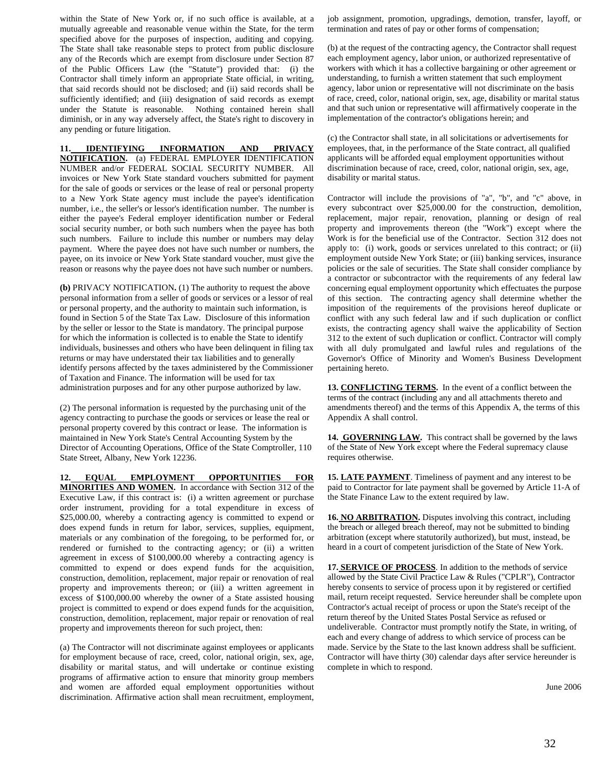within the State of New York or, if no such office is available, at a mutually agreeable and reasonable venue within the State, for the term specified above for the purposes of inspection, auditing and copying. The State shall take reasonable steps to protect from public disclosure any of the Records which are exempt from disclosure under Section 87 of the Public Officers Law (the "Statute") provided that: (i) the Contractor shall timely inform an appropriate State official, in writing, that said records should not be disclosed; and (ii) said records shall be sufficiently identified; and (iii) designation of said records as exempt under the Statute is reasonable. Nothing contained herein shall diminish, or in any way adversely affect, the State's right to discovery in any pending or future litigation.

**11. IDENTIFYING INFORMATION AND PRIVACY NOTIFICATION.** (a) FEDERAL EMPLOYER IDENTIFICATION NUMBER and/or FEDERAL SOCIAL SECURITY NUMBER. All invoices or New York State standard vouchers submitted for payment for the sale of goods or services or the lease of real or personal property to a New York State agency must include the payee's identification number, i.e., the seller's or lessor's identification number. The number is either the payee's Federal employer identification number or Federal social security number, or both such numbers when the payee has both such numbers. Failure to include this number or numbers may delay payment. Where the payee does not have such number or numbers, the payee, on its invoice or New York State standard voucher, must give the reason or reasons why the payee does not have such number or numbers.

**(b)** PRIVACY NOTIFICATION**.** (1) The authority to request the above personal information from a seller of goods or services or a lessor of real or personal property, and the authority to maintain such information, is found in Section 5 of the State Tax Law. Disclosure of this information by the seller or lessor to the State is mandatory. The principal purpose for which the information is collected is to enable the State to identify individuals, businesses and others who have been delinquent in filing tax returns or may have understated their tax liabilities and to generally identify persons affected by the taxes administered by the Commissioner of Taxation and Finance. The information will be used for tax administration purposes and for any other purpose authorized by law.

(2) The personal information is requested by the purchasing unit of the agency contracting to purchase the goods or services or lease the real or personal property covered by this contract or lease. The information is maintained in New York State's Central Accounting System by the Director of Accounting Operations, Office of the State Comptroller, 110 State Street, Albany, New York 12236.

**12. EQUAL EMPLOYMENT OPPORTUNITIES FOR MINORITIES AND WOMEN.** In accordance with Section 312 of the Executive Law, if this contract is: (i) a written agreement or purchase order instrument, providing for a total expenditure in excess of \$25,000.00, whereby a contracting agency is committed to expend or does expend funds in return for labor, services, supplies, equipment, materials or any combination of the foregoing, to be performed for, or rendered or furnished to the contracting agency; or (ii) a written agreement in excess of \$100,000.00 whereby a contracting agency is committed to expend or does expend funds for the acquisition, construction, demolition, replacement, major repair or renovation of real property and improvements thereon; or (iii) a written agreement in excess of \$100,000.00 whereby the owner of a State assisted housing project is committed to expend or does expend funds for the acquisition, construction, demolition, replacement, major repair or renovation of real property and improvements thereon for such project, then:

(a) The Contractor will not discriminate against employees or applicants for employment because of race, creed, color, national origin, sex, age, disability or marital status, and will undertake or continue existing programs of affirmative action to ensure that minority group members and women are afforded equal employment opportunities without discrimination. Affirmative action shall mean recruitment, employment, job assignment, promotion, upgradings, demotion, transfer, layoff, or termination and rates of pay or other forms of compensation;

(b) at the request of the contracting agency, the Contractor shall request each employment agency, labor union, or authorized representative of workers with which it has a collective bargaining or other agreement or understanding, to furnish a written statement that such employment agency, labor union or representative will not discriminate on the basis of race, creed, color, national origin, sex, age, disability or marital status and that such union or representative will affirmatively cooperate in the implementation of the contractor's obligations herein; and

(c) the Contractor shall state, in all solicitations or advertisements for employees, that, in the performance of the State contract, all qualified applicants will be afforded equal employment opportunities without discrimination because of race, creed, color, national origin, sex, age, disability or marital status.

Contractor will include the provisions of "a", "b", and "c" above, in every subcontract over \$25,000.00 for the construction, demolition, replacement, major repair, renovation, planning or design of real property and improvements thereon (the "Work") except where the Work is for the beneficial use of the Contractor. Section 312 does not apply to: (i) work, goods or services unrelated to this contract; or (ii) employment outside New York State; or (iii) banking services, insurance policies or the sale of securities. The State shall consider compliance by a contractor or subcontractor with the requirements of any federal law concerning equal employment opportunity which effectuates the purpose of this section. The contracting agency shall determine whether the imposition of the requirements of the provisions hereof duplicate or conflict with any such federal law and if such duplication or conflict exists, the contracting agency shall waive the applicability of Section 312 to the extent of such duplication or conflict. Contractor will comply with all duly promulgated and lawful rules and regulations of the Governor's Office of Minority and Women's Business Development pertaining hereto.

**13. CONFLICTING TERMS.** In the event of a conflict between the terms of the contract (including any and all attachments thereto and amendments thereof) and the terms of this Appendix A, the terms of this Appendix A shall control.

14. **GOVERNING LAW.** This contract shall be governed by the laws of the State of New York except where the Federal supremacy clause requires otherwise.

**15. LATE PAYMENT**. Timeliness of payment and any interest to be paid to Contractor for late payment shall be governed by Article 11-A of the State Finance Law to the extent required by law.

**16. NO ARBITRATION.** Disputes involving this contract, including the breach or alleged breach thereof, may not be submitted to binding arbitration (except where statutorily authorized), but must, instead, be heard in a court of competent jurisdiction of the State of New York.

**17. SERVICE OF PROCESS**. In addition to the methods of service allowed by the State Civil Practice Law & Rules ("CPLR"), Contractor hereby consents to service of process upon it by registered or certified mail, return receipt requested. Service hereunder shall be complete upon Contractor's actual receipt of process or upon the State's receipt of the return thereof by the United States Postal Service as refused or undeliverable. Contractor must promptly notify the State, in writing, of each and every change of address to which service of process can be made. Service by the State to the last known address shall be sufficient. Contractor will have thirty (30) calendar days after service hereunder is complete in which to respond.

June 2006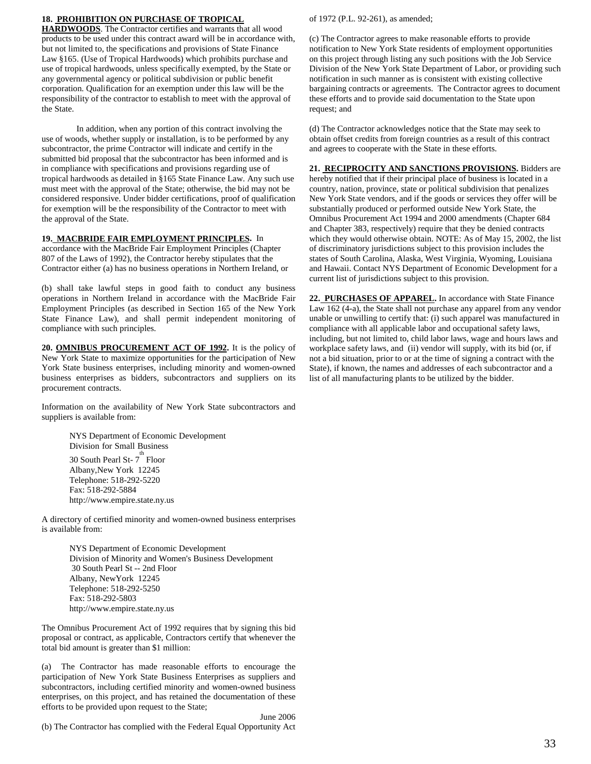#### **18. PROHIBITION ON PURCHASE OF TROPICAL**

**HARDWOODS**. The Contractor certifies and warrants that all wood products to be used under this contract award will be in accordance with, but not limited to, the specifications and provisions of State Finance Law §165. (Use of Tropical Hardwoods) which prohibits purchase and use of tropical hardwoods, unless specifically exempted, by the State or any governmental agency or political subdivision or public benefit corporation. Qualification for an exemption under this law will be the responsibility of the contractor to establish to meet with the approval of the State.

In addition, when any portion of this contract involving the use of woods, whether supply or installation, is to be performed by any subcontractor, the prime Contractor will indicate and certify in the submitted bid proposal that the subcontractor has been informed and is in compliance with specifications and provisions regarding use of tropical hardwoods as detailed in §165 State Finance Law. Any such use must meet with the approval of the State; otherwise, the bid may not be considered responsive. Under bidder certifications, proof of qualification for exemption will be the responsibility of the Contractor to meet with the approval of the State.

#### **19. MACBRIDE FAIR EMPLOYMENT PRINCIPLES.** In

accordance with the MacBride Fair Employment Principles (Chapter 807 of the Laws of 1992), the Contractor hereby stipulates that the Contractor either (a) has no business operations in Northern Ireland, or

(b) shall take lawful steps in good faith to conduct any business operations in Northern Ireland in accordance with the MacBride Fair Employment Principles (as described in Section 165 of the New York State Finance Law), and shall permit independent monitoring of compliance with such principles.

**20. OMNIBUS PROCUREMENT ACT OF 1992.** It is the policy of New York State to maximize opportunities for the participation of New York State business enterprises, including minority and women-owned business enterprises as bidders, subcontractors and suppliers on its procurement contracts.

Information on the availability of New York State subcontractors and suppliers is available from:

> NYS Department of Economic Development Division for Small Business 30 South Pearl St-  $7^{th}$  Floor Albany,New York 12245 Telephone: 518-292-5220 Fax: 518-292-5884 http://www.empire.state.ny.us

A directory of certified minority and women-owned business enterprises is available from:

> NYS Department of Economic Development Division of Minority and Women's Business Development 30 South Pearl St -- 2nd Floor Albany, NewYork 12245 Telephone: 518-292-5250 Fax: 518-292-5803 http://www.empire.state.ny.us

The Omnibus Procurement Act of 1992 requires that by signing this bid proposal or contract, as applicable, Contractors certify that whenever the total bid amount is greater than \$1 million:

(a) The Contractor has made reasonable efforts to encourage the participation of New York State Business Enterprises as suppliers and subcontractors, including certified minority and women-owned business enterprises, on this project, and has retained the documentation of these efforts to be provided upon request to the State;

of 1972 (P.L. 92-261), as amended;

(c) The Contractor agrees to make reasonable efforts to provide notification to New York State residents of employment opportunities on this project through listing any such positions with the Job Service Division of the New York State Department of Labor, or providing such notification in such manner as is consistent with existing collective bargaining contracts or agreements. The Contractor agrees to document these efforts and to provide said documentation to the State upon request; and

(d) The Contractor acknowledges notice that the State may seek to obtain offset credits from foreign countries as a result of this contract and agrees to cooperate with the State in these efforts.

**21. RECIPROCITY AND SANCTIONS PROVISIONS.** Bidders are hereby notified that if their principal place of business is located in a country, nation, province, state or political subdivision that penalizes New York State vendors, and if the goods or services they offer will be substantially produced or performed outside New York State, the Omnibus Procurement Act 1994 and 2000 amendments (Chapter 684 and Chapter 383, respectively) require that they be denied contracts which they would otherwise obtain. NOTE: As of May 15, 2002, the list of discriminatory jurisdictions subject to this provision includes the states of South Carolina, Alaska, West Virginia, Wyoming, Louisiana and Hawaii. Contact NYS Department of Economic Development for a current list of jurisdictions subject to this provision.

**22. PURCHASES OF APPAREL.** In accordance with State Finance Law 162 (4-a), the State shall not purchase any apparel from any vendor unable or unwilling to certify that: (i) such apparel was manufactured in compliance with all applicable labor and occupational safety laws, including, but not limited to, child labor laws, wage and hours laws and workplace safety laws, and (ii) vendor will supply, with its bid (or, if not a bid situation, prior to or at the time of signing a contract with the State)*,* if known, the names and addresses of each subcontractor and a list of all manufacturing plants to be utilized by the bidder.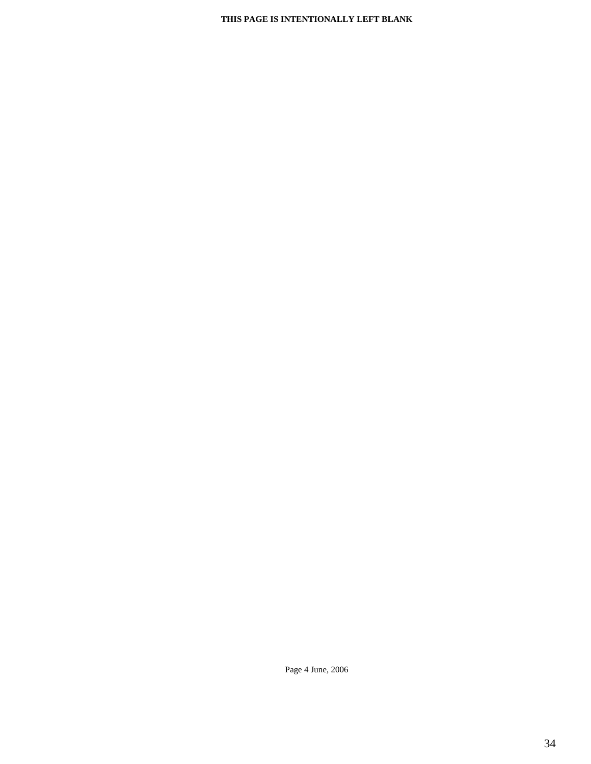#### **THIS PAGE IS INTENTIONALLY LEFT BLANK**

Page 4 June, 2006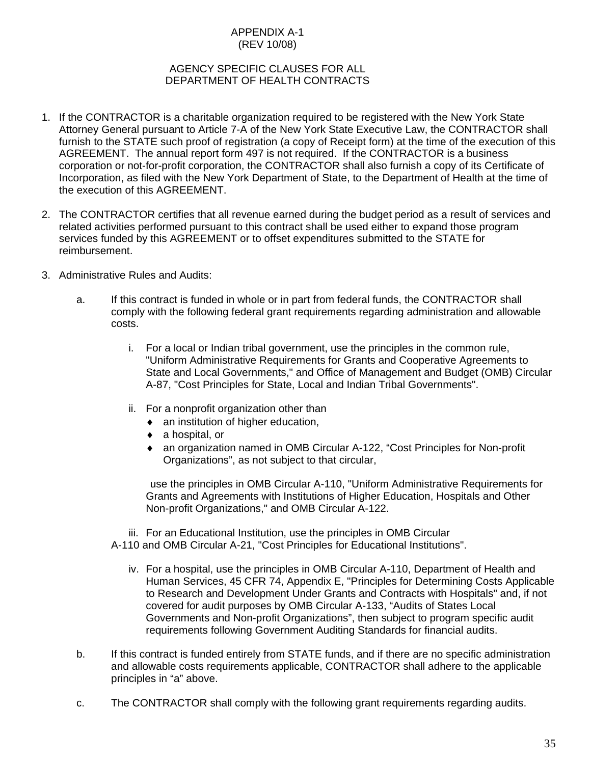#### APPENDIX A-1 (REV 10/08)

#### AGENCY SPECIFIC CLAUSES FOR ALL DEPARTMENT OF HEALTH CONTRACTS

- 1. If the CONTRACTOR is a charitable organization required to be registered with the New York State Attorney General pursuant to Article 7-A of the New York State Executive Law, the CONTRACTOR shall furnish to the STATE such proof of registration (a copy of Receipt form) at the time of the execution of this AGREEMENT. The annual report form 497 is not required. If the CONTRACTOR is a business corporation or not-for-profit corporation, the CONTRACTOR shall also furnish a copy of its Certificate of Incorporation, as filed with the New York Department of State, to the Department of Health at the time of the execution of this AGREEMENT.
- 2. The CONTRACTOR certifies that all revenue earned during the budget period as a result of services and related activities performed pursuant to this contract shall be used either to expand those program services funded by this AGREEMENT or to offset expenditures submitted to the STATE for reimbursement.
- 3. Administrative Rules and Audits:
	- a. If this contract is funded in whole or in part from federal funds, the CONTRACTOR shall comply with the following federal grant requirements regarding administration and allowable costs.
		- i. For a local or Indian tribal government, use the principles in the common rule, "Uniform Administrative Requirements for Grants and Cooperative Agreements to State and Local Governments," and Office of Management and Budget (OMB) Circular A-87, "Cost Principles for State, Local and Indian Tribal Governments".
		- ii. For a nonprofit organization other than
			- ♦ an institution of higher education,
			- ♦ a hospital, or
			- ♦ an organization named in OMB Circular A-122, "Cost Principles for Non-profit Organizations", as not subject to that circular,

use the principles in OMB Circular A-110, "Uniform Administrative Requirements for Grants and Agreements with Institutions of Higher Education, Hospitals and Other Non-profit Organizations," and OMB Circular A-122.

iii. For an Educational Institution, use the principles in OMB Circular A-110 and OMB Circular A-21, "Cost Principles for Educational Institutions".

- iv. For a hospital, use the principles in OMB Circular A-110, Department of Health and Human Services, 45 CFR 74, Appendix E, "Principles for Determining Costs Applicable to Research and Development Under Grants and Contracts with Hospitals" and, if not covered for audit purposes by OMB Circular A-133, "Audits of States Local Governments and Non-profit Organizations", then subject to program specific audit requirements following Government Auditing Standards for financial audits.
- b. If this contract is funded entirely from STATE funds, and if there are no specific administration and allowable costs requirements applicable, CONTRACTOR shall adhere to the applicable principles in "a" above.
- c. The CONTRACTOR shall comply with the following grant requirements regarding audits.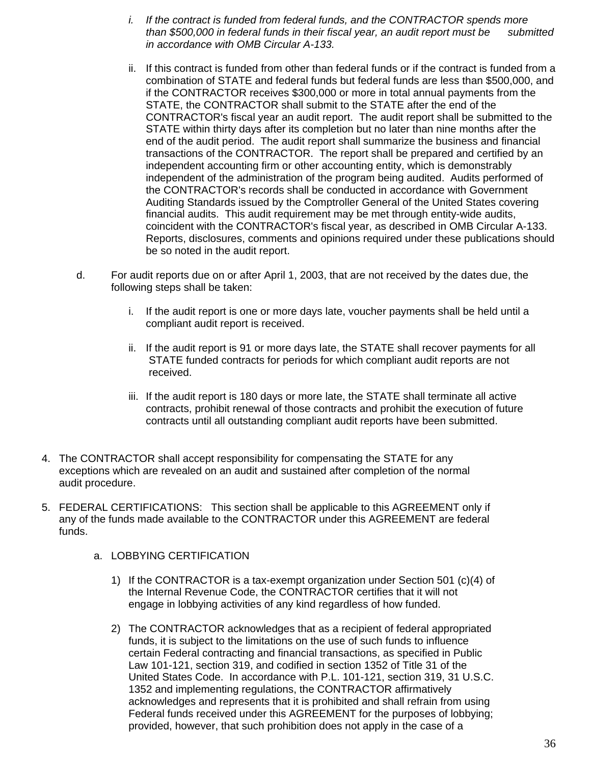- *i. If the contract is funded from federal funds, and the CONTRACTOR spends more than \$500,000 in federal funds in their fiscal year, an audit report must be submitted in accordance with OMB Circular A-133.*
- ii. If this contract is funded from other than federal funds or if the contract is funded from a combination of STATE and federal funds but federal funds are less than \$500,000, and if the CONTRACTOR receives \$300,000 or more in total annual payments from the STATE, the CONTRACTOR shall submit to the STATE after the end of the CONTRACTOR's fiscal year an audit report. The audit report shall be submitted to the STATE within thirty days after its completion but no later than nine months after the end of the audit period. The audit report shall summarize the business and financial transactions of the CONTRACTOR. The report shall be prepared and certified by an independent accounting firm or other accounting entity, which is demonstrably independent of the administration of the program being audited. Audits performed of the CONTRACTOR's records shall be conducted in accordance with Government Auditing Standards issued by the Comptroller General of the United States covering financial audits. This audit requirement may be met through entity-wide audits, coincident with the CONTRACTOR's fiscal year, as described in OMB Circular A-133. Reports, disclosures, comments and opinions required under these publications should be so noted in the audit report.
- d. For audit reports due on or after April 1, 2003, that are not received by the dates due, the following steps shall be taken:
	- i. If the audit report is one or more days late, voucher payments shall be held until a compliant audit report is received.
	- ii. If the audit report is 91 or more days late, the STATE shall recover payments for all STATE funded contracts for periods for which compliant audit reports are not received.
	- iii. If the audit report is 180 days or more late, the STATE shall terminate all active contracts, prohibit renewal of those contracts and prohibit the execution of future contracts until all outstanding compliant audit reports have been submitted.
- 4. The CONTRACTOR shall accept responsibility for compensating the STATE for any exceptions which are revealed on an audit and sustained after completion of the normal audit procedure.
- 5. FEDERAL CERTIFICATIONS: This section shall be applicable to this AGREEMENT only if any of the funds made available to the CONTRACTOR under this AGREEMENT are federal funds.
	- a. LOBBYING CERTIFICATION
		- 1) If the CONTRACTOR is a tax-exempt organization under Section 501 (c)(4) of the Internal Revenue Code, the CONTRACTOR certifies that it will not engage in lobbying activities of any kind regardless of how funded.
		- 2) The CONTRACTOR acknowledges that as a recipient of federal appropriated funds, it is subject to the limitations on the use of such funds to influence certain Federal contracting and financial transactions, as specified in Public Law 101-121, section 319, and codified in section 1352 of Title 31 of the United States Code. In accordance with P.L. 101-121, section 319, 31 U.S.C. 1352 and implementing regulations, the CONTRACTOR affirmatively acknowledges and represents that it is prohibited and shall refrain from using Federal funds received under this AGREEMENT for the purposes of lobbying; provided, however, that such prohibition does not apply in the case of a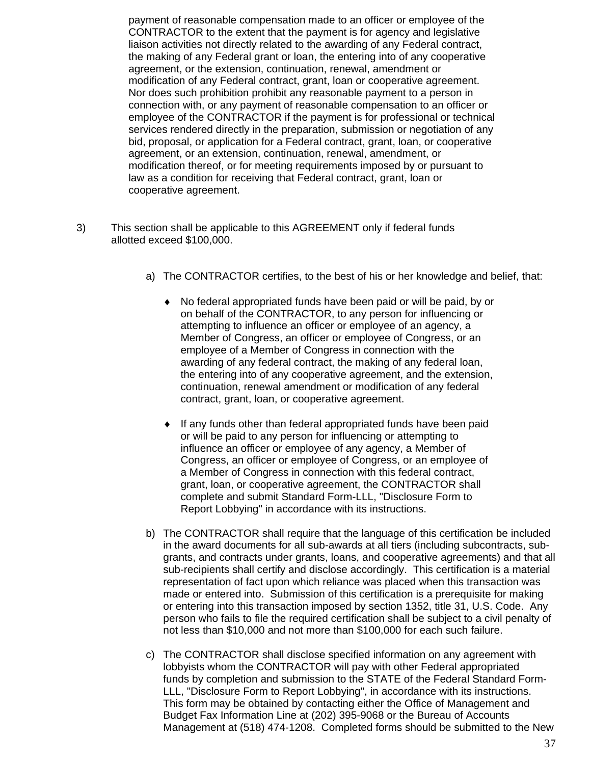payment of reasonable compensation made to an officer or employee of the CONTRACTOR to the extent that the payment is for agency and legislative liaison activities not directly related to the awarding of any Federal contract, the making of any Federal grant or loan, the entering into of any cooperative agreement, or the extension, continuation, renewal, amendment or modification of any Federal contract, grant, loan or cooperative agreement. Nor does such prohibition prohibit any reasonable payment to a person in connection with, or any payment of reasonable compensation to an officer or employee of the CONTRACTOR if the payment is for professional or technical services rendered directly in the preparation, submission or negotiation of any bid, proposal, or application for a Federal contract, grant, loan, or cooperative agreement, or an extension, continuation, renewal, amendment, or modification thereof, or for meeting requirements imposed by or pursuant to law as a condition for receiving that Federal contract, grant, loan or cooperative agreement.

- 3) This section shall be applicable to this AGREEMENT only if federal funds allotted exceed \$100,000.
	- a) The CONTRACTOR certifies, to the best of his or her knowledge and belief, that:
		- ♦ No federal appropriated funds have been paid or will be paid, by or on behalf of the CONTRACTOR, to any person for influencing or attempting to influence an officer or employee of an agency, a Member of Congress, an officer or employee of Congress, or an employee of a Member of Congress in connection with the awarding of any federal contract, the making of any federal loan, the entering into of any cooperative agreement, and the extension, continuation, renewal amendment or modification of any federal contract, grant, loan, or cooperative agreement.
		- ♦ If any funds other than federal appropriated funds have been paid or will be paid to any person for influencing or attempting to influence an officer or employee of any agency, a Member of Congress, an officer or employee of Congress, or an employee of a Member of Congress in connection with this federal contract, grant, loan, or cooperative agreement, the CONTRACTOR shall complete and submit Standard Form-LLL, "Disclosure Form to Report Lobbying" in accordance with its instructions.
	- b) The CONTRACTOR shall require that the language of this certification be included in the award documents for all sub-awards at all tiers (including subcontracts, subgrants, and contracts under grants, loans, and cooperative agreements) and that all sub-recipients shall certify and disclose accordingly. This certification is a material representation of fact upon which reliance was placed when this transaction was made or entered into. Submission of this certification is a prerequisite for making or entering into this transaction imposed by section 1352, title 31, U.S. Code. Any person who fails to file the required certification shall be subject to a civil penalty of not less than \$10,000 and not more than \$100,000 for each such failure.
	- c) The CONTRACTOR shall disclose specified information on any agreement with lobbyists whom the CONTRACTOR will pay with other Federal appropriated funds by completion and submission to the STATE of the Federal Standard Form-LLL, "Disclosure Form to Report Lobbying", in accordance with its instructions. This form may be obtained by contacting either the Office of Management and Budget Fax Information Line at (202) 395-9068 or the Bureau of Accounts Management at (518) 474-1208. Completed forms should be submitted to the New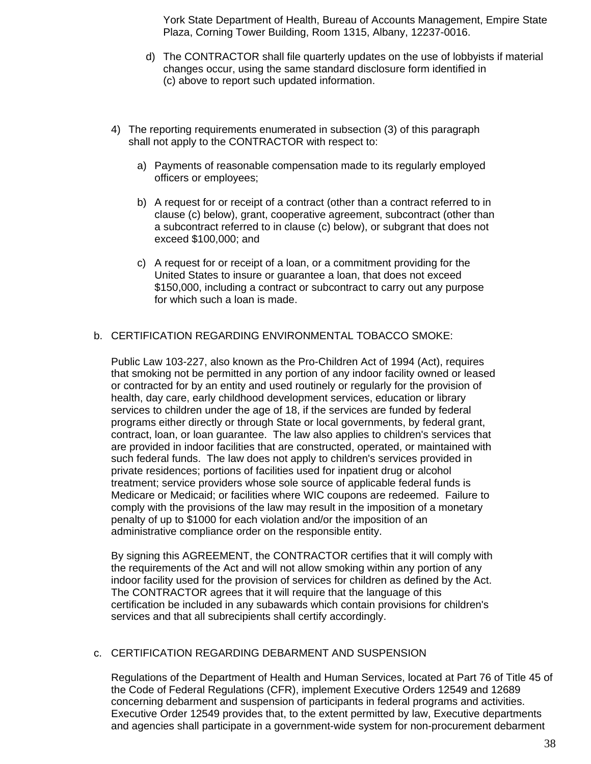York State Department of Health, Bureau of Accounts Management, Empire State Plaza, Corning Tower Building, Room 1315, Albany, 12237-0016.

- d) The CONTRACTOR shall file quarterly updates on the use of lobbyists if material changes occur, using the same standard disclosure form identified in (c) above to report such updated information.
- 4) The reporting requirements enumerated in subsection (3) of this paragraph shall not apply to the CONTRACTOR with respect to:
	- a) Payments of reasonable compensation made to its regularly employed officers or employees;
	- b) A request for or receipt of a contract (other than a contract referred to in clause (c) below), grant, cooperative agreement, subcontract (other than a subcontract referred to in clause (c) below), or subgrant that does not exceed \$100,000; and
	- c) A request for or receipt of a loan, or a commitment providing for the United States to insure or guarantee a loan, that does not exceed \$150,000, including a contract or subcontract to carry out any purpose for which such a loan is made.

#### b. CERTIFICATION REGARDING ENVIRONMENTAL TOBACCO SMOKE:

 Public Law 103-227, also known as the Pro-Children Act of 1994 (Act), requires that smoking not be permitted in any portion of any indoor facility owned or leased or contracted for by an entity and used routinely or regularly for the provision of health, day care, early childhood development services, education or library services to children under the age of 18, if the services are funded by federal programs either directly or through State or local governments, by federal grant, contract, loan, or loan guarantee. The law also applies to children's services that are provided in indoor facilities that are constructed, operated, or maintained with such federal funds. The law does not apply to children's services provided in private residences; portions of facilities used for inpatient drug or alcohol treatment; service providers whose sole source of applicable federal funds is Medicare or Medicaid; or facilities where WIC coupons are redeemed. Failure to comply with the provisions of the law may result in the imposition of a monetary penalty of up to \$1000 for each violation and/or the imposition of an administrative compliance order on the responsible entity.

 By signing this AGREEMENT, the CONTRACTOR certifies that it will comply with the requirements of the Act and will not allow smoking within any portion of any indoor facility used for the provision of services for children as defined by the Act. The CONTRACTOR agrees that it will require that the language of this certification be included in any subawards which contain provisions for children's services and that all subrecipients shall certify accordingly.

#### c. CERTIFICATION REGARDING DEBARMENT AND SUSPENSION

Regulations of the Department of Health and Human Services, located at Part 76 of Title 45 of the Code of Federal Regulations (CFR), implement Executive Orders 12549 and 12689 concerning debarment and suspension of participants in federal programs and activities. Executive Order 12549 provides that, to the extent permitted by law, Executive departments and agencies shall participate in a government-wide system for non-procurement debarment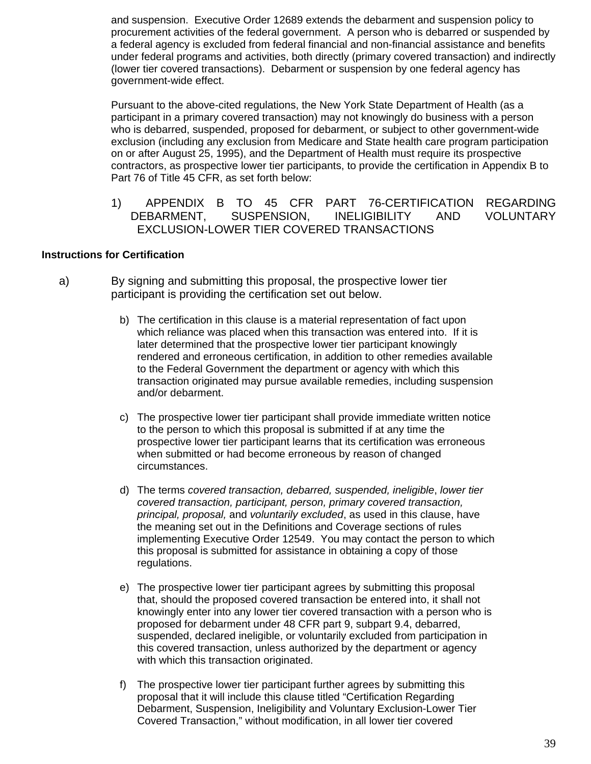and suspension. Executive Order 12689 extends the debarment and suspension policy to procurement activities of the federal government. A person who is debarred or suspended by a federal agency is excluded from federal financial and non-financial assistance and benefits under federal programs and activities, both directly (primary covered transaction) and indirectly (lower tier covered transactions). Debarment or suspension by one federal agency has government-wide effect.

Pursuant to the above-cited regulations, the New York State Department of Health (as a participant in a primary covered transaction) may not knowingly do business with a person who is debarred, suspended, proposed for debarment, or subject to other government-wide exclusion (including any exclusion from Medicare and State health care program participation on or after August 25, 1995), and the Department of Health must require its prospective contractors, as prospective lower tier participants, to provide the certification in Appendix B to Part 76 of Title 45 CFR, as set forth below:

1) APPENDIX B TO 45 CFR PART 76-CERTIFICATION REGARDING DEBARMENT, SUSPENSION, INELIGIBILITY AND VOLUNTARY EXCLUSION-LOWER TIER COVERED TRANSACTIONS

#### **Instructions for Certification**

- a) By signing and submitting this proposal, the prospective lower tier participant is providing the certification set out below.
	- b) The certification in this clause is a material representation of fact upon which reliance was placed when this transaction was entered into. If it is later determined that the prospective lower tier participant knowingly rendered and erroneous certification, in addition to other remedies available to the Federal Government the department or agency with which this transaction originated may pursue available remedies, including suspension and/or debarment.
	- c) The prospective lower tier participant shall provide immediate written notice to the person to which this proposal is submitted if at any time the prospective lower tier participant learns that its certification was erroneous when submitted or had become erroneous by reason of changed circumstances.
	- d) The terms *covered transaction, debarred, suspended, ineligible*, *lower tier covered transaction, participant, person, primary covered transaction, principal, proposal,* and *voluntarily excluded*, as used in this clause, have the meaning set out in the Definitions and Coverage sections of rules implementing Executive Order 12549. You may contact the person to which this proposal is submitted for assistance in obtaining a copy of those regulations.
	- e) The prospective lower tier participant agrees by submitting this proposal that, should the proposed covered transaction be entered into, it shall not knowingly enter into any lower tier covered transaction with a person who is proposed for debarment under 48 CFR part 9, subpart 9.4, debarred, suspended, declared ineligible, or voluntarily excluded from participation in this covered transaction, unless authorized by the department or agency with which this transaction originated.
	- f) The prospective lower tier participant further agrees by submitting this proposal that it will include this clause titled "Certification Regarding Debarment, Suspension, Ineligibility and Voluntary Exclusion-Lower Tier Covered Transaction," without modification, in all lower tier covered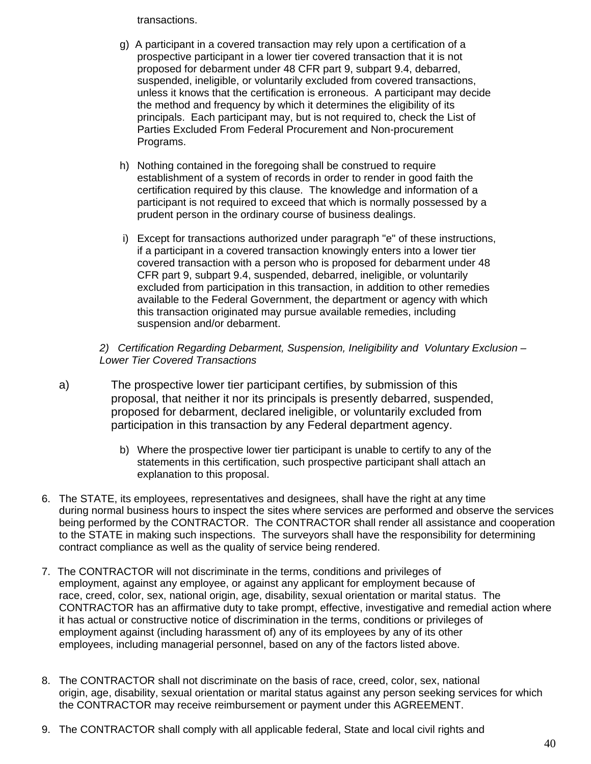transactions.

- g) A participant in a covered transaction may rely upon a certification of a prospective participant in a lower tier covered transaction that it is not proposed for debarment under 48 CFR part 9, subpart 9.4, debarred, suspended, ineligible, or voluntarily excluded from covered transactions, unless it knows that the certification is erroneous. A participant may decide the method and frequency by which it determines the eligibility of its principals. Each participant may, but is not required to, check the List of Parties Excluded From Federal Procurement and Non-procurement Programs.
- h) Nothing contained in the foregoing shall be construed to require establishment of a system of records in order to render in good faith the certification required by this clause. The knowledge and information of a participant is not required to exceed that which is normally possessed by a prudent person in the ordinary course of business dealings.
- i) Except for transactions authorized under paragraph "e" of these instructions, if a participant in a covered transaction knowingly enters into a lower tier covered transaction with a person who is proposed for debarment under 48 CFR part 9, subpart 9.4, suspended, debarred, ineligible, or voluntarily excluded from participation in this transaction, in addition to other remedies available to the Federal Government, the department or agency with which this transaction originated may pursue available remedies, including suspension and/or debarment.

*2) Certification Regarding Debarment, Suspension, Ineligibility and Voluntary Exclusion – Lower Tier Covered Transactions* 

- a) The prospective lower tier participant certifies, by submission of this proposal, that neither it nor its principals is presently debarred, suspended, proposed for debarment, declared ineligible, or voluntarily excluded from participation in this transaction by any Federal department agency.
	- b) Where the prospective lower tier participant is unable to certify to any of the statements in this certification, such prospective participant shall attach an explanation to this proposal.
- 6. The STATE, its employees, representatives and designees, shall have the right at any time during normal business hours to inspect the sites where services are performed and observe the services being performed by the CONTRACTOR. The CONTRACTOR shall render all assistance and cooperation to the STATE in making such inspections. The surveyors shall have the responsibility for determining contract compliance as well as the quality of service being rendered.
- 7. The CONTRACTOR will not discriminate in the terms, conditions and privileges of employment, against any employee, or against any applicant for employment because of race, creed, color, sex, national origin, age, disability, sexual orientation or marital status. The CONTRACTOR has an affirmative duty to take prompt, effective, investigative and remedial action where it has actual or constructive notice of discrimination in the terms, conditions or privileges of employment against (including harassment of) any of its employees by any of its other employees, including managerial personnel, based on any of the factors listed above.
- 8. The CONTRACTOR shall not discriminate on the basis of race, creed, color, sex, national origin, age, disability, sexual orientation or marital status against any person seeking services for which the CONTRACTOR may receive reimbursement or payment under this AGREEMENT.
- 9. The CONTRACTOR shall comply with all applicable federal, State and local civil rights and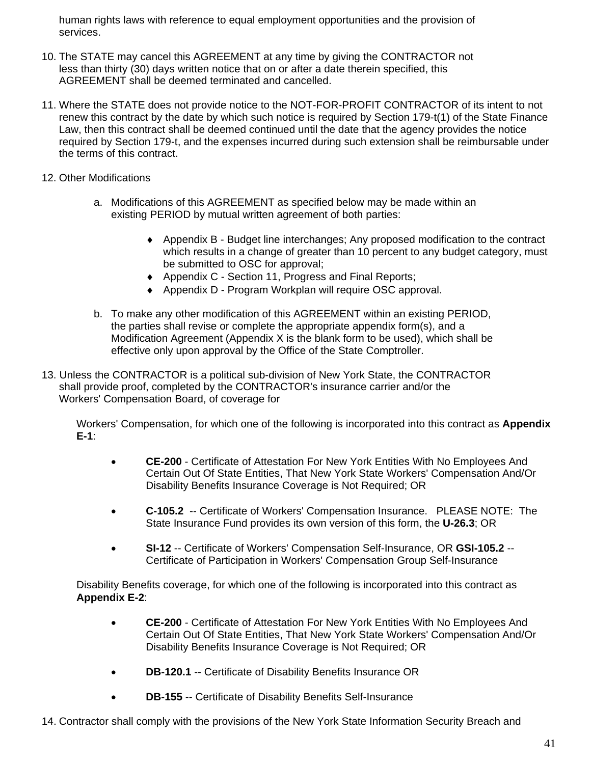human rights laws with reference to equal employment opportunities and the provision of services.

- 10. The STATE may cancel this AGREEMENT at any time by giving the CONTRACTOR not less than thirty (30) days written notice that on or after a date therein specified, this AGREEMENT shall be deemed terminated and cancelled.
- 11. Where the STATE does not provide notice to the NOT-FOR-PROFIT CONTRACTOR of its intent to not renew this contract by the date by which such notice is required by Section 179-t(1) of the State Finance Law, then this contract shall be deemed continued until the date that the agency provides the notice required by Section 179-t, and the expenses incurred during such extension shall be reimbursable under the terms of this contract.
- 12. Other Modifications
	- a. Modifications of this AGREEMENT as specified below may be made within an existing PERIOD by mutual written agreement of both parties:
		- ♦ Appendix B Budget line interchanges; Any proposed modification to the contract which results in a change of greater than 10 percent to any budget category, must be submitted to OSC for approval;
		- ♦ Appendix C Section 11, Progress and Final Reports;
		- ♦ Appendix D Program Workplan will require OSC approval.
	- b. To make any other modification of this AGREEMENT within an existing PERIOD, the parties shall revise or complete the appropriate appendix form(s), and a Modification Agreement (Appendix X is the blank form to be used), which shall be effective only upon approval by the Office of the State Comptroller.
- 13. Unless the CONTRACTOR is a political sub-division of New York State, the CONTRACTOR shall provide proof, completed by the CONTRACTOR's insurance carrier and/or the Workers' Compensation Board, of coverage for

Workers' Compensation, for which one of the following is incorporated into this contract as **Appendix E-1**:

- **CE-200**  Certificate of Attestation For New York Entities With No Employees And Certain Out Of State Entities, That New York State Workers' Compensation And/Or Disability Benefits Insurance Coverage is Not Required; OR
- **C-105.2** -- Certificate of Workers' Compensation Insurance. PLEASE NOTE: The State Insurance Fund provides its own version of this form, the **U-26.3**; OR
- **SI-12** -- Certificate of Workers' Compensation Self-Insurance, OR **GSI-105.2** -- Certificate of Participation in Workers' Compensation Group Self-Insurance

Disability Benefits coverage, for which one of the following is incorporated into this contract as **Appendix E-2**:

- **CE-200**  Certificate of Attestation For New York Entities With No Employees And Certain Out Of State Entities, That New York State Workers' Compensation And/Or Disability Benefits Insurance Coverage is Not Required; OR
- **DB-120.1** -- Certificate of Disability Benefits Insurance OR
- **DB-155** -- Certificate of Disability Benefits Self-Insurance

14. Contractor shall comply with the provisions of the New York State Information Security Breach and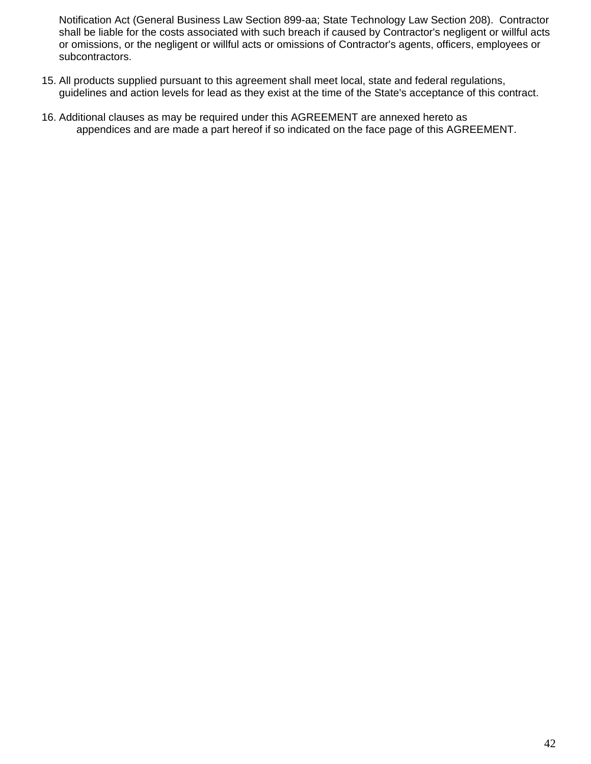Notification Act (General Business Law Section 899-aa; State Technology Law Section 208). Contractor shall be liable for the costs associated with such breach if caused by Contractor's negligent or willful acts or omissions, or the negligent or willful acts or omissions of Contractor's agents, officers, employees or subcontractors.

- 15. All products supplied pursuant to this agreement shall meet local, state and federal regulations, guidelines and action levels for lead as they exist at the time of the State's acceptance of this contract.
- 16. Additional clauses as may be required under this AGREEMENT are annexed hereto as appendices and are made a part hereof if so indicated on the face page of this AGREEMENT.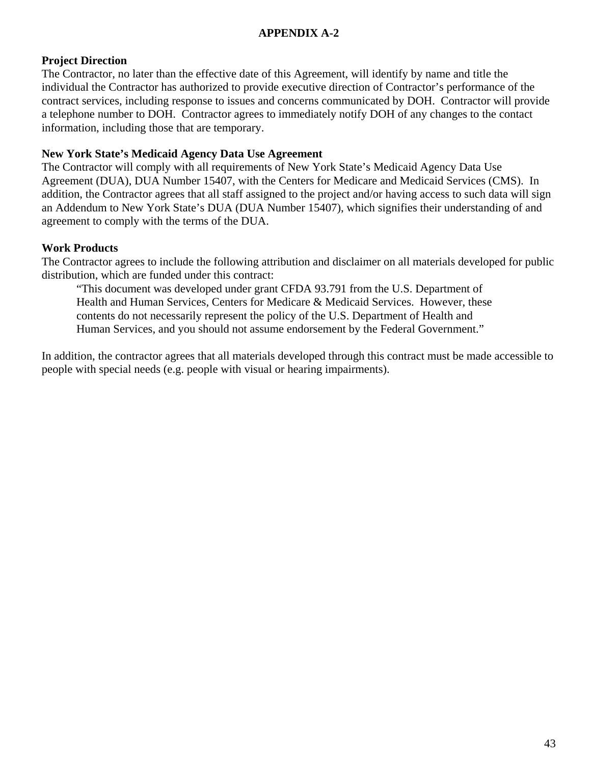#### **APPENDIX A-2**

#### **Project Direction**

The Contractor, no later than the effective date of this Agreement, will identify by name and title the individual the Contractor has authorized to provide executive direction of Contractor's performance of the contract services, including response to issues and concerns communicated by DOH. Contractor will provide a telephone number to DOH. Contractor agrees to immediately notify DOH of any changes to the contact information, including those that are temporary.

#### **New York State's Medicaid Agency Data Use Agreement**

The Contractor will comply with all requirements of New York State's Medicaid Agency Data Use Agreement (DUA), DUA Number 15407, with the Centers for Medicare and Medicaid Services (CMS). In addition, the Contractor agrees that all staff assigned to the project and/or having access to such data will sign an Addendum to New York State's DUA (DUA Number 15407), which signifies their understanding of and agreement to comply with the terms of the DUA.

#### **Work Products**

The Contractor agrees to include the following attribution and disclaimer on all materials developed for public distribution, which are funded under this contract:

 "This document was developed under grant CFDA 93.791 from the U.S. Department of Health and Human Services, Centers for Medicare & Medicaid Services. However, these contents do not necessarily represent the policy of the U.S. Department of Health and Human Services, and you should not assume endorsement by the Federal Government."

In addition, the contractor agrees that all materials developed through this contract must be made accessible to people with special needs (e.g. people with visual or hearing impairments).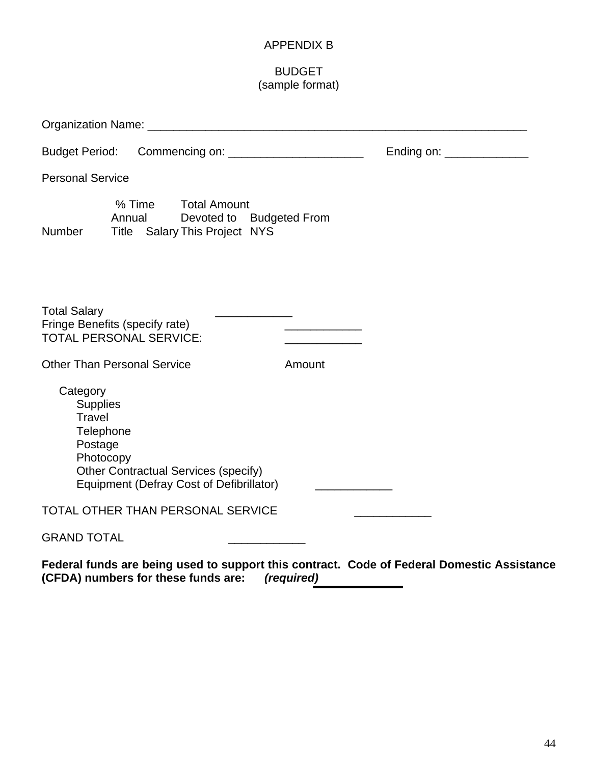#### APPENDIX B

#### BUDGET (sample format)

| Budget Period: Commencing on: ________________________                                                                                                                | Ending on: _______________ |
|-----------------------------------------------------------------------------------------------------------------------------------------------------------------------|----------------------------|
| <b>Personal Service</b>                                                                                                                                               |                            |
| % Time Total Amount<br>Annual<br>Devoted to Budgeted From<br>Title Salary This Project NYS<br><b>Number</b>                                                           |                            |
| <b>Total Salary</b><br>Fringe Benefits (specify rate)<br><b>TOTAL PERSONAL SERVICE:</b>                                                                               |                            |
| <b>Other Than Personal Service</b>                                                                                                                                    | Amount                     |
| Category<br><b>Supplies</b><br>Travel<br>Telephone<br>Postage<br>Photocopy<br><b>Other Contractual Services (specify)</b><br>Equipment (Defray Cost of Defibrillator) |                            |
| <b>TOTAL OTHER THAN PERSONAL SERVICE</b>                                                                                                                              |                            |
| <b>GRAND TOTAL</b>                                                                                                                                                    |                            |
|                                                                                                                                                                       |                            |

**Federal funds are being used to support this contract. Code of Federal Domestic Assistance (CFDA) numbers for these funds are:** *(required)*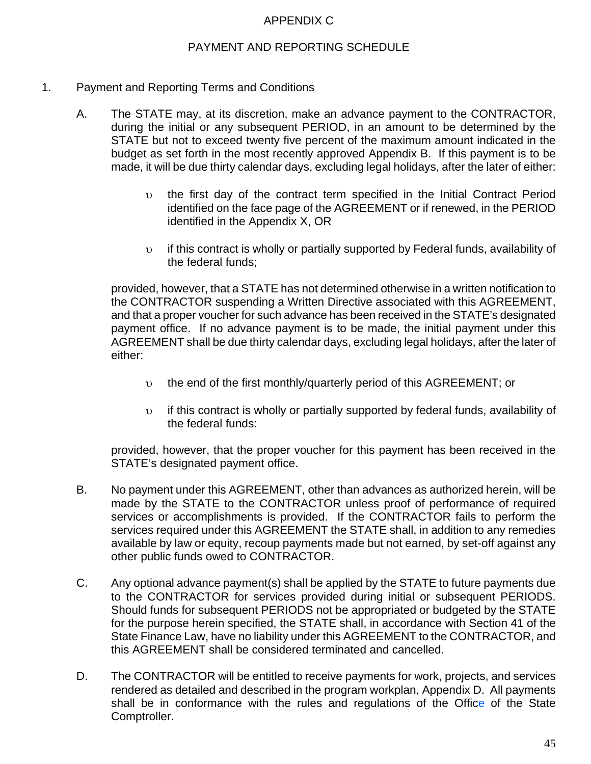#### APPENDIX C

#### PAYMENT AND REPORTING SCHEDULE

#### 1. Payment and Reporting Terms and Conditions

- A. The STATE may, at its discretion, make an advance payment to the CONTRACTOR, during the initial or any subsequent PERIOD, in an amount to be determined by the STATE but not to exceed twenty five percent of the maximum amount indicated in the budget as set forth in the most recently approved Appendix B. If this payment is to be made, it will be due thirty calendar days, excluding legal holidays, after the later of either:
	- υ the first day of the contract term specified in the Initial Contract Period identified on the face page of the AGREEMENT or if renewed, in the PERIOD identified in the Appendix X, OR
	- υ if this contract is wholly or partially supported by Federal funds, availability of the federal funds;

 provided, however, that a STATE has not determined otherwise in a written notification to the CONTRACTOR suspending a Written Directive associated with this AGREEMENT, and that a proper voucher for such advance has been received in the STATE's designated payment office. If no advance payment is to be made, the initial payment under this AGREEMENT shall be due thirty calendar days, excluding legal holidays, after the later of either:

- υ the end of the first monthly/quarterly period of this AGREEMENT; or
- υ if this contract is wholly or partially supported by federal funds, availability of the federal funds:

provided, however, that the proper voucher for this payment has been received in the STATE's designated payment office.

- B. No payment under this AGREEMENT, other than advances as authorized herein, will be made by the STATE to the CONTRACTOR unless proof of performance of required services or accomplishments is provided. If the CONTRACTOR fails to perform the services required under this AGREEMENT the STATE shall, in addition to any remedies available by law or equity, recoup payments made but not earned, by set-off against any other public funds owed to CONTRACTOR.
- C. Any optional advance payment(s) shall be applied by the STATE to future payments due to the CONTRACTOR for services provided during initial or subsequent PERIODS. Should funds for subsequent PERIODS not be appropriated or budgeted by the STATE for the purpose herein specified, the STATE shall, in accordance with Section 41 of the State Finance Law, have no liability under this AGREEMENT to the CONTRACTOR, and this AGREEMENT shall be considered terminated and cancelled.
- D. The CONTRACTOR will be entitled to receive payments for work, projects, and services rendered as detailed and described in the program workplan, Appendix D. All payments shall be in conformance with the rules and regulations of the Office of the State Comptroller.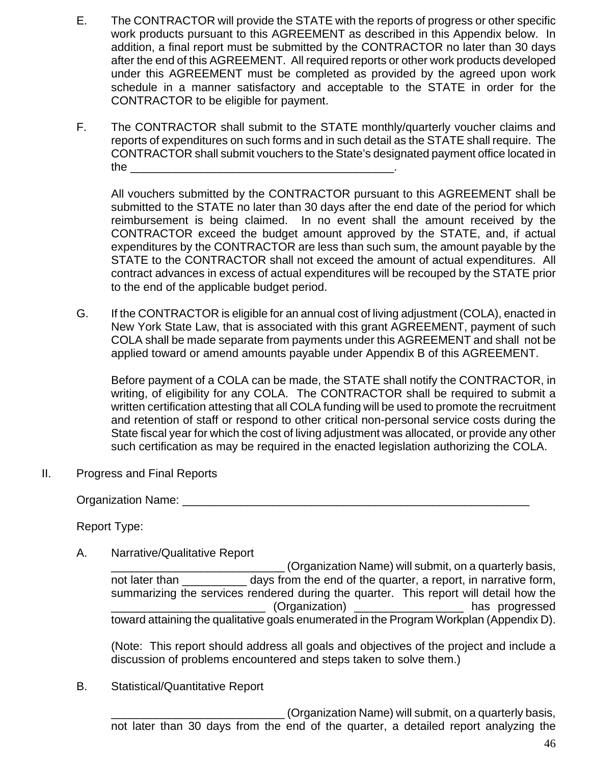- E. The CONTRACTOR will provide the STATE with the reports of progress or other specific work products pursuant to this AGREEMENT as described in this Appendix below. In addition, a final report must be submitted by the CONTRACTOR no later than 30 days after the end of this AGREEMENT. All required reports or other work products developed under this AGREEMENT must be completed as provided by the agreed upon work schedule in a manner satisfactory and acceptable to the STATE in order for the CONTRACTOR to be eligible for payment.
- F. The CONTRACTOR shall submit to the STATE monthly/quarterly voucher claims and reports of expenditures on such forms and in such detail as the STATE shall require. The CONTRACTOR shall submit vouchers to the State's designated payment office located in the  $\Box$

All vouchers submitted by the CONTRACTOR pursuant to this AGREEMENT shall be submitted to the STATE no later than 30 days after the end date of the period for which reimbursement is being claimed. In no event shall the amount received by the CONTRACTOR exceed the budget amount approved by the STATE, and, if actual expenditures by the CONTRACTOR are less than such sum, the amount payable by the STATE to the CONTRACTOR shall not exceed the amount of actual expenditures. All contract advances in excess of actual expenditures will be recouped by the STATE prior to the end of the applicable budget period.

G. If the CONTRACTOR is eligible for an annual cost of living adjustment (COLA), enacted in New York State Law, that is associated with this grant AGREEMENT, payment of such COLA shall be made separate from payments under this AGREEMENT and shall not be applied toward or amend amounts payable under Appendix B of this AGREEMENT.

Before payment of a COLA can be made, the STATE shall notify the CONTRACTOR, in writing, of eligibility for any COLA. The CONTRACTOR shall be required to submit a written certification attesting that all COLA funding will be used to promote the recruitment and retention of staff or respond to other critical non-personal service costs during the State fiscal year for which the cost of living adjustment was allocated, or provide any other such certification as may be required in the enacted legislation authorizing the COLA.

II. Progress and Final Reports

Organization Name:

Report Type:

A. Narrative/Qualitative Report

\_\_\_\_\_\_\_\_\_\_\_\_\_\_\_\_\_\_\_\_\_\_\_\_\_\_\_ (Organization Name) will submit, on a quarterly basis, not later than \_\_\_\_\_\_\_\_\_\_\_\_ days from the end of the quarter, a report, in narrative form, summarizing the services rendered during the quarter. This report will detail how the \_\_\_\_\_\_\_\_\_\_\_\_\_\_\_\_\_\_\_\_\_\_\_\_ (Organization) \_\_\_\_\_\_\_\_\_\_\_\_\_\_\_\_\_ has progressed toward attaining the qualitative goals enumerated in the Program Workplan (Appendix D).

(Note: This report should address all goals and objectives of the project and include a discussion of problems encountered and steps taken to solve them.)

B. Statistical/Quantitative Report

\_\_\_\_\_\_\_\_\_\_\_\_\_\_\_\_\_\_\_\_\_\_\_\_\_\_\_ (Organization Name) will submit, on a quarterly basis, not later than 30 days from the end of the quarter, a detailed report analyzing the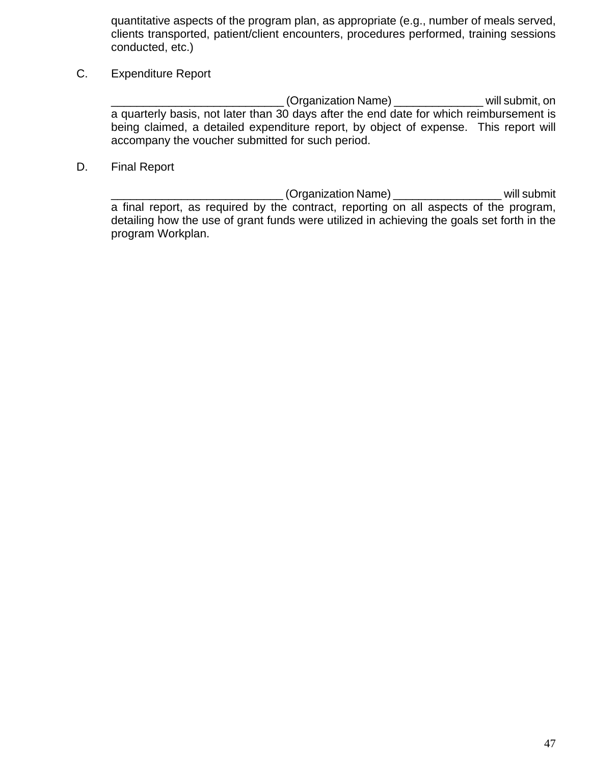quantitative aspects of the program plan, as appropriate (e.g., number of meals served, clients transported, patient/client encounters, procedures performed, training sessions conducted, etc.)

C. Expenditure Report

\_\_\_\_\_\_\_\_\_\_\_\_\_\_\_\_\_\_\_\_\_\_\_\_\_\_\_ (Organization Name) \_\_\_\_\_\_\_\_\_\_\_\_\_\_ will submit, on a quarterly basis, not later than 30 days after the end date for which reimbursement is being claimed, a detailed expenditure report, by object of expense. This report will accompany the voucher submitted for such period.

D. Final Report

\_\_\_\_\_\_\_\_\_\_\_\_\_\_\_\_\_\_\_\_\_\_\_\_\_\_\_ (Organization Name) \_\_\_\_\_\_\_\_\_\_\_\_\_\_\_\_\_ will submit a final report, as required by the contract, reporting on all aspects of the program, detailing how the use of grant funds were utilized in achieving the goals set forth in the program Workplan.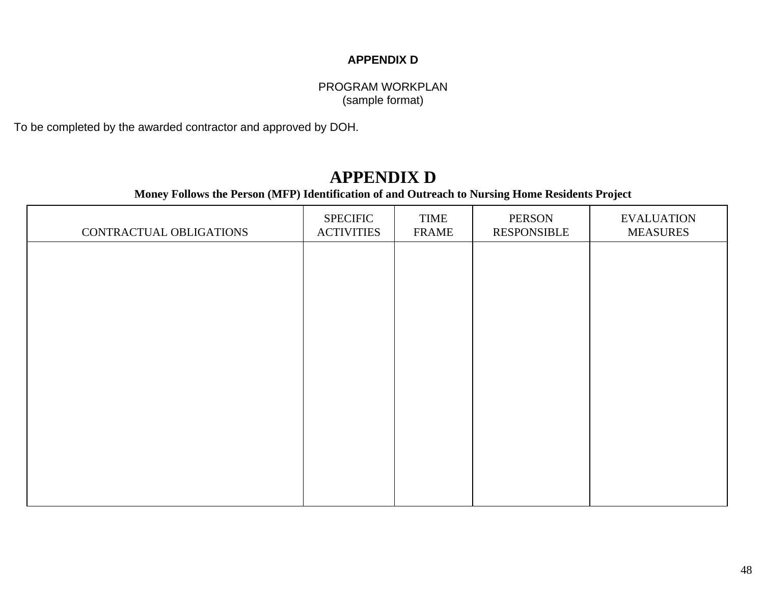#### **APPENDIX D**

#### PROGRAM WORKPLAN (sample format)

To be completed by the awarded contractor and approved by DOH.

## **APPENDIX D**

#### **Money Follows the Person (MFP) Identification of and Outreach to Nursing Home Residents Project**

| CONTRACTUAL OBLIGATIONS | <b>SPECIFIC</b><br><b>ACTIVITIES</b> | <b>TIME</b><br><b>FRAME</b> | <b>PERSON</b><br><b>RESPONSIBLE</b> | <b>EVALUATION</b><br><b>MEASURES</b> |
|-------------------------|--------------------------------------|-----------------------------|-------------------------------------|--------------------------------------|
|                         |                                      |                             |                                     |                                      |
|                         |                                      |                             |                                     |                                      |
|                         |                                      |                             |                                     |                                      |
|                         |                                      |                             |                                     |                                      |
|                         |                                      |                             |                                     |                                      |
|                         |                                      |                             |                                     |                                      |
|                         |                                      |                             |                                     |                                      |
|                         |                                      |                             |                                     |                                      |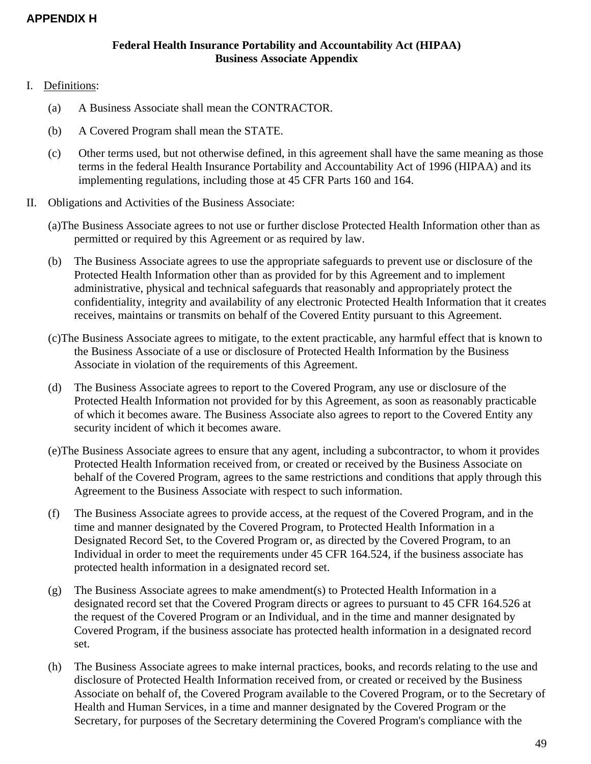#### **APPENDIX H**

#### **Federal Health Insurance Portability and Accountability Act (HIPAA) Business Associate Appendix**

- I. Definitions:
	- (a) A Business Associate shall mean the CONTRACTOR.
	- (b) A Covered Program shall mean the STATE.
	- (c) Other terms used, but not otherwise defined, in this agreement shall have the same meaning as those terms in the federal Health Insurance Portability and Accountability Act of 1996 (HIPAA) and its implementing regulations, including those at 45 CFR Parts 160 and 164.
- II. Obligations and Activities of the Business Associate:
	- (a) The Business Associate agrees to not use or further disclose Protected Health Information other than as permitted or required by this Agreement or as required by law.
	- (b) The Business Associate agrees to use the appropriate safeguards to prevent use or disclosure of the Protected Health Information other than as provided for by this Agreement and to implement administrative, physical and technical safeguards that reasonably and appropriately protect the confidentiality, integrity and availability of any electronic Protected Health Information that it creates receives, maintains or transmits on behalf of the Covered Entity pursuant to this Agreement.
	- (c) The Business Associate agrees to mitigate, to the extent practicable, any harmful effect that is known to the Business Associate of a use or disclosure of Protected Health Information by the Business Associate in violation of the requirements of this Agreement.
	- (d) The Business Associate agrees to report to the Covered Program, any use or disclosure of the Protected Health Information not provided for by this Agreement, as soon as reasonably practicable of which it becomes aware. The Business Associate also agrees to report to the Covered Entity any security incident of which it becomes aware.
	- (e) The Business Associate agrees to ensure that any agent, including a subcontractor, to whom it provides Protected Health Information received from, or created or received by the Business Associate on behalf of the Covered Program, agrees to the same restrictions and conditions that apply through this Agreement to the Business Associate with respect to such information.
	- (f) The Business Associate agrees to provide access, at the request of the Covered Program, and in the time and manner designated by the Covered Program, to Protected Health Information in a Designated Record Set, to the Covered Program or, as directed by the Covered Program, to an Individual in order to meet the requirements under 45 CFR 164.524, if the business associate has protected health information in a designated record set.
	- (g) The Business Associate agrees to make amendment(s) to Protected Health Information in a designated record set that the Covered Program directs or agrees to pursuant to 45 CFR 164.526 at the request of the Covered Program or an Individual, and in the time and manner designated by Covered Program, if the business associate has protected health information in a designated record set.
	- (h) The Business Associate agrees to make internal practices, books, and records relating to the use and disclosure of Protected Health Information received from, or created or received by the Business Associate on behalf of, the Covered Program available to the Covered Program, or to the Secretary of Health and Human Services, in a time and manner designated by the Covered Program or the Secretary, for purposes of the Secretary determining the Covered Program's compliance with the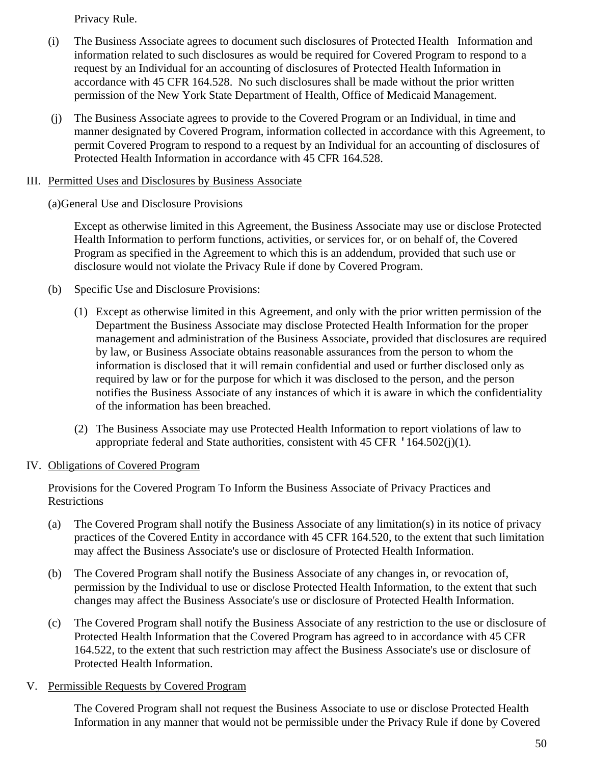Privacy Rule.

- (i) The Business Associate agrees to document such disclosures of Protected Health Information and information related to such disclosures as would be required for Covered Program to respond to a request by an Individual for an accounting of disclosures of Protected Health Information in accordance with 45 CFR 164.528. No such disclosures shall be made without the prior written permission of the New York State Department of Health, Office of Medicaid Management.
- (j) The Business Associate agrees to provide to the Covered Program or an Individual, in time and manner designated by Covered Program, information collected in accordance with this Agreement, to permit Covered Program to respond to a request by an Individual for an accounting of disclosures of Protected Health Information in accordance with 45 CFR 164.528.

#### III. Permitted Uses and Disclosures by Business Associate

(a) General Use and Disclosure Provisions

Except as otherwise limited in this Agreement, the Business Associate may use or disclose Protected Health Information to perform functions, activities, or services for, or on behalf of, the Covered Program as specified in the Agreement to which this is an addendum, provided that such use or disclosure would not violate the Privacy Rule if done by Covered Program.

- (b) Specific Use and Disclosure Provisions:
	- (1) Except as otherwise limited in this Agreement, and only with the prior written permission of the Department the Business Associate may disclose Protected Health Information for the proper management and administration of the Business Associate, provided that disclosures are required by law, or Business Associate obtains reasonable assurances from the person to whom the information is disclosed that it will remain confidential and used or further disclosed only as required by law or for the purpose for which it was disclosed to the person, and the person notifies the Business Associate of any instances of which it is aware in which the confidentiality of the information has been breached.
	- (2) The Business Associate may use Protected Health Information to report violations of law to appropriate federal and State authorities, consistent with  $45 \text{ CFR}$   $\cdot$   $164.502(i)(1)$ .
- IV. Obligations of Covered Program

Provisions for the Covered Program To Inform the Business Associate of Privacy Practices and Restrictions

- (a) The Covered Program shall notify the Business Associate of any limitation(s) in its notice of privacy practices of the Covered Entity in accordance with 45 CFR 164.520, to the extent that such limitation may affect the Business Associate's use or disclosure of Protected Health Information.
- (b) The Covered Program shall notify the Business Associate of any changes in, or revocation of, permission by the Individual to use or disclose Protected Health Information, to the extent that such changes may affect the Business Associate's use or disclosure of Protected Health Information.
- (c) The Covered Program shall notify the Business Associate of any restriction to the use or disclosure of Protected Health Information that the Covered Program has agreed to in accordance with 45 CFR 164.522, to the extent that such restriction may affect the Business Associate's use or disclosure of Protected Health Information.
- V. Permissible Requests by Covered Program

The Covered Program shall not request the Business Associate to use or disclose Protected Health Information in any manner that would not be permissible under the Privacy Rule if done by Covered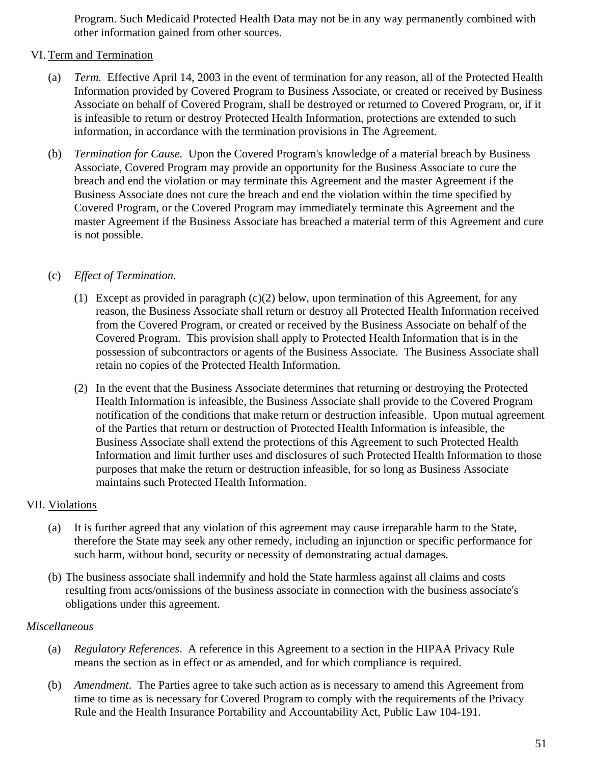Program. Such Medicaid Protected Health Data may not be in any way permanently combined with other information gained from other sources.

#### VI. Term and Termination

- (a) *Term.* Effective April 14, 2003 in the event of termination for any reason, all of the Protected Health Information provided by Covered Program to Business Associate, or created or received by Business Associate on behalf of Covered Program, shall be destroyed or returned to Covered Program, or, if it is infeasible to return or destroy Protected Health Information, protections are extended to such information, in accordance with the termination provisions in The Agreement.
- (b) *Termination for Cause.* Upon the Covered Program's knowledge of a material breach by Business Associate, Covered Program may provide an opportunity for the Business Associate to cure the breach and end the violation or may terminate this Agreement and the master Agreement if the Business Associate does not cure the breach and end the violation within the time specified by Covered Program, or the Covered Program may immediately terminate this Agreement and the master Agreement if the Business Associate has breached a material term of this Agreement and cure is not possible.

#### (c) *Effect of Termination.*

- (1) Except as provided in paragraph  $(c)(2)$  below, upon termination of this Agreement, for any reason, the Business Associate shall return or destroy all Protected Health Information received from the Covered Program, or created or received by the Business Associate on behalf of the Covered Program. This provision shall apply to Protected Health Information that is in the possession of subcontractors or agents of the Business Associate. The Business Associate shall retain no copies of the Protected Health Information.
- (2) In the event that the Business Associate determines that returning or destroying the Protected Health Information is infeasible, the Business Associate shall provide to the Covered Program notification of the conditions that make return or destruction infeasible. Upon mutual agreement of the Parties that return or destruction of Protected Health Information is infeasible, the Business Associate shall extend the protections of this Agreement to such Protected Health Information and limit further uses and disclosures of such Protected Health Information to those purposes that make the return or destruction infeasible, for so long as Business Associate maintains such Protected Health Information.

#### VII. Violations

- (a) It is further agreed that any violation of this agreement may cause irreparable harm to the State, therefore the State may seek any other remedy, including an injunction or specific performance for such harm, without bond, security or necessity of demonstrating actual damages.
- (b) The business associate shall indemnify and hold the State harmless against all claims and costs resulting from acts/omissions of the business associate in connection with the business associate's obligations under this agreement.

#### *Miscellaneous*

- (a) *Regulatory References*. A reference in this Agreement to a section in the HIPAA Privacy Rule means the section as in effect or as amended, and for which compliance is required.
- (b) *Amendment*. The Parties agree to take such action as is necessary to amend this Agreement from time to time as is necessary for Covered Program to comply with the requirements of the Privacy Rule and the Health Insurance Portability and Accountability Act, Public Law 104-191.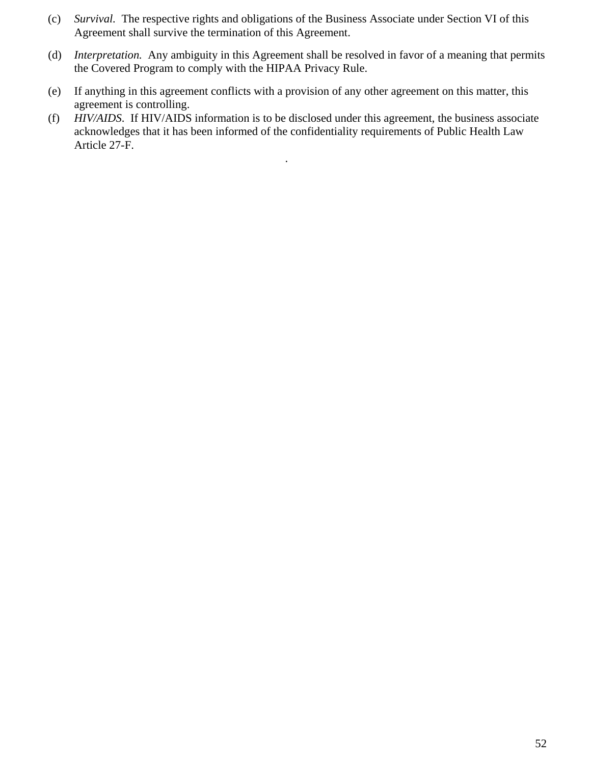- (c) *Survival.* The respective rights and obligations of the Business Associate under Section VI of this Agreement shall survive the termination of this Agreement.
- (d) *Interpretation.* Any ambiguity in this Agreement shall be resolved in favor of a meaning that permits the Covered Program to comply with the HIPAA Privacy Rule.
- (e) If anything in this agreement conflicts with a provision of any other agreement on this matter, this agreement is controlling.
- (f) *HIV/AIDS*. If HIV/AIDS information is to be disclosed under this agreement, the business associate acknowledges that it has been informed of the confidentiality requirements of Public Health Law Article 27-F.

.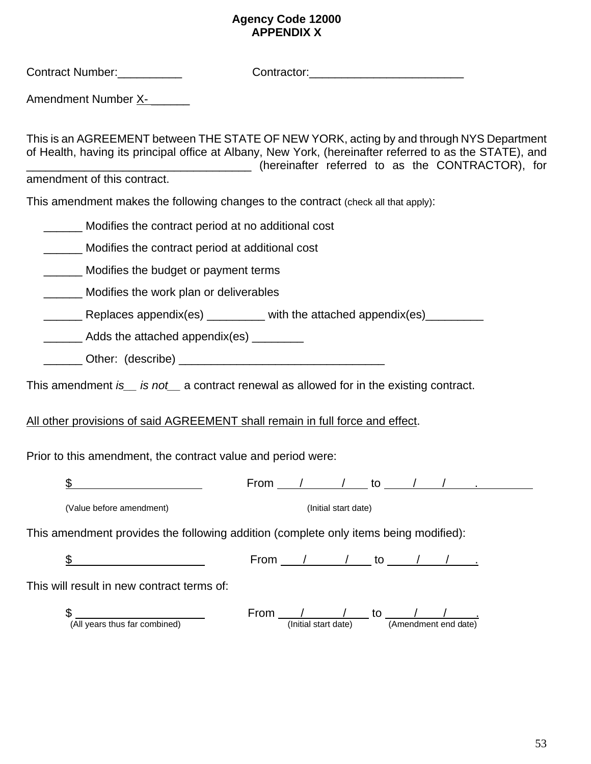#### **Agency Code 12000 APPENDIX X**

Contract Number:\_\_\_\_\_\_\_\_\_\_ Contractor:\_\_\_\_\_\_\_\_\_\_\_\_\_\_\_\_\_\_\_\_\_\_\_\_

Amendment Number X-

This is an AGREEMENT between THE STATE OF NEW YORK, acting by and through NYS Department of Health, having its principal office at Albany, New York, (hereinafter referred to as the STATE), and \_\_\_\_\_\_\_\_\_\_\_\_\_\_\_\_\_\_\_\_\_\_\_\_\_\_\_\_\_\_\_\_\_\_\_ (hereinafter referred to as the CONTRACTOR), for amendment of this contract.

This amendment makes the following changes to the contract (check all that apply):

\_\_\_\_\_\_ Modifies the contract period at no additional cost

**Nodifies the contract period at additional cost** 

**\_\_\_\_\_\_** Modifies the budget or payment terms

**Wodifies the work plan or deliverables** 

Replaces appendix(es)  $\longrightarrow$  with the attached appendix(es)

\_\_\_\_\_\_ Adds the attached appendix(es) \_\_\_\_\_\_\_\_

\_\_\_\_\_\_ Other: (describe) \_\_\_\_\_\_\_\_\_\_\_\_\_\_\_\_\_\_\_\_\_\_\_\_\_\_\_\_\_\_\_\_

This amendment *is\_\_ is not\_\_* a contract renewal as allowed for in the existing contract.

#### All other provisions of said AGREEMENT shall remain in full force and effect.

Prior to this amendment, the contract value and period were:

|                                                                                      | From                    |                      | to |  |  |
|--------------------------------------------------------------------------------------|-------------------------|----------------------|----|--|--|
| (Value before amendment)                                                             |                         | (Initial start date) |    |  |  |
| This amendment provides the following addition (complete only items being modified): |                         |                      |    |  |  |
|                                                                                      | From $/$ $/$ to $/$ $/$ |                      |    |  |  |
| This will result in new contract terms of:                                           |                         |                      |    |  |  |

 \$ From / / to / / . (All years thus far combined) (Initial start date) (Amendment end date)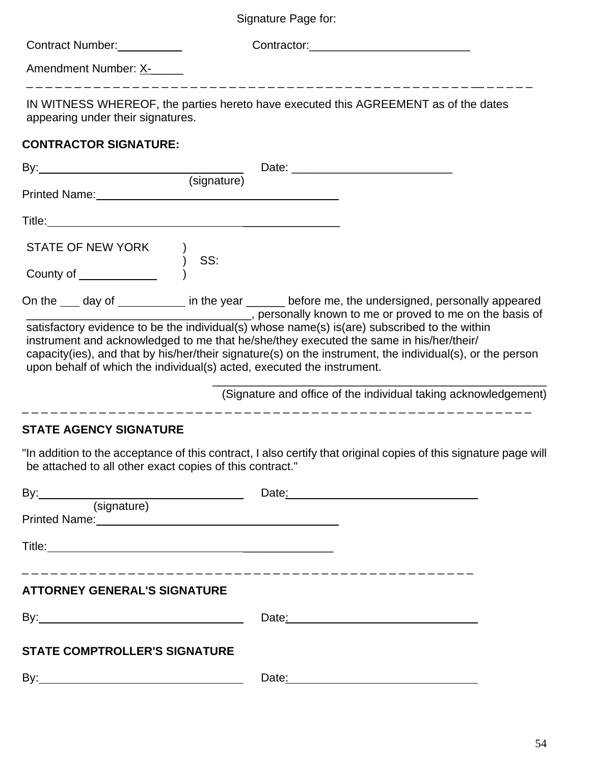| Signature Page for: |  |
|---------------------|--|
|---------------------|--|

| Contract Number: ___________                                                                                             | Contractor:_______________________________ |  |  |  |  |
|--------------------------------------------------------------------------------------------------------------------------|--------------------------------------------|--|--|--|--|
| Amendment Number: X-_____                                                                                                |                                            |  |  |  |  |
| IN WITNESS WHEREOF, the parties hereto have executed this AGREEMENT as of the dates<br>appearing under their signatures. |                                            |  |  |  |  |
| <b>CONTRACTOR SIGNATURE:</b>                                                                                             |                                            |  |  |  |  |
|                                                                                                                          | Date: <u>___________________________</u>   |  |  |  |  |
| (signature)                                                                                                              |                                            |  |  |  |  |

\_\_\_\_\_\_\_\_\_\_\_\_\_\_\_\_\_\_\_\_\_\_\_\_\_\_\_\_\_\_\_\_\_\_\_, personally known to me or proved to me on the basis of satisfactory evidence to be the individual(s) whose name(s) is(are) subscribed to the within instrument and acknowledged to me that he/she/they executed the same in his/her/their/ capacity(ies), and that by his/her/their signature(s) on the instrument, the individual(s), or the person upon behalf of which the individual(s) acted, executed the instrument. \_\_\_\_\_\_\_\_\_\_\_\_\_\_\_\_\_\_\_\_\_\_\_\_\_\_\_\_\_\_\_\_\_\_\_\_\_\_\_\_\_\_\_\_\_\_\_\_\_\_\_\_

On the 10 day of 100 cm  $\blacksquare$  in the year 100 m before me, the undersigned, personally appeared

(Signature and office of the individual taking acknowledgement)

#### \_ \_ \_ \_ \_ \_ \_ \_ \_ \_ \_ \_ \_ \_ \_ \_ \_ \_ \_ \_ \_ \_ \_ \_ \_ \_ \_ \_ \_ \_ \_ \_ \_ \_ \_ \_ \_ \_ \_ \_ \_ \_ \_ \_ \_ \_ \_ \_ \_ \_ \_ \_ \_

#### **STATE AGENCY SIGNATURE**

Title: **The Communist Street Automobile** 

STATE OF NEW YORK

 $\sim$  SS:

County of  $\qquad \qquad$  )

"In addition to the acceptance of this contract, I also certify that original copies of this signature page will be attached to all other exact copies of this contract."

| By: (signature)                                          |             |
|----------------------------------------------------------|-------------|
|                                                          |             |
|                                                          |             |
| <b>ATTORNEY GENERAL'S SIGNATURE</b>                      |             |
|                                                          | Date: Date: |
| <b>STATE COMPTROLLER'S SIGNATURE</b>                     |             |
| By:<br><u> 1980 - Johann Barbara, martxa alemaniar a</u> | Date:       |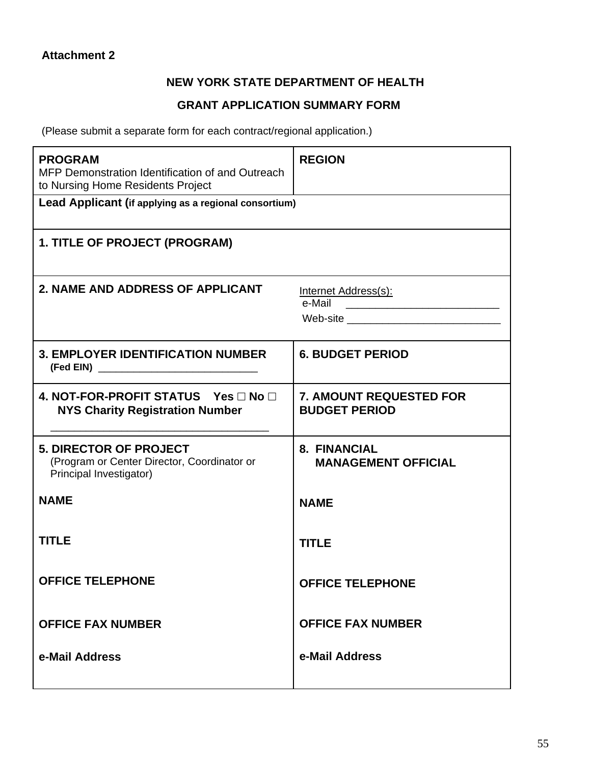## **NEW YORK STATE DEPARTMENT OF HEALTH**

#### **GRANT APPLICATION SUMMARY FORM**

(Please submit a separate form for each contract/regional application.)

| <b>PROGRAM</b><br>MFP Demonstration Identification of and Outreach<br>to Nursing Home Residents Project | <b>REGION</b>                                                      |
|---------------------------------------------------------------------------------------------------------|--------------------------------------------------------------------|
| Lead Applicant (if applying as a regional consortium)                                                   |                                                                    |
| 1. TITLE OF PROJECT (PROGRAM)                                                                           |                                                                    |
| 2. NAME AND ADDRESS OF APPLICANT                                                                        | Internet Address(s):<br>e-Mail ___________________________________ |
| <b>3. EMPLOYER IDENTIFICATION NUMBER</b>                                                                | <b>6. BUDGET PERIOD</b>                                            |
| 4. NOT-FOR-PROFIT STATUS Yes □ No □<br><b>NYS Charity Registration Number</b>                           | 7. AMOUNT REQUESTED FOR<br><b>BUDGET PERIOD</b>                    |
| <b>5. DIRECTOR OF PROJECT</b><br>(Program or Center Director, Coordinator or<br>Principal Investigator) | 8. FINANCIAL<br><b>MANAGEMENT OFFICIAL</b>                         |
| <b>NAME</b>                                                                                             | <b>NAME</b>                                                        |
| <b>TITLE</b>                                                                                            | <b>TITLE</b>                                                       |
| <b>OFFICE TELEPHONE</b>                                                                                 | <b>OFFICE TELEPHONE</b>                                            |
| <b>OFFICE FAX NUMBER</b>                                                                                | <b>OFFICE FAX NUMBER</b>                                           |
| e-Mail Address                                                                                          | e-Mail Address                                                     |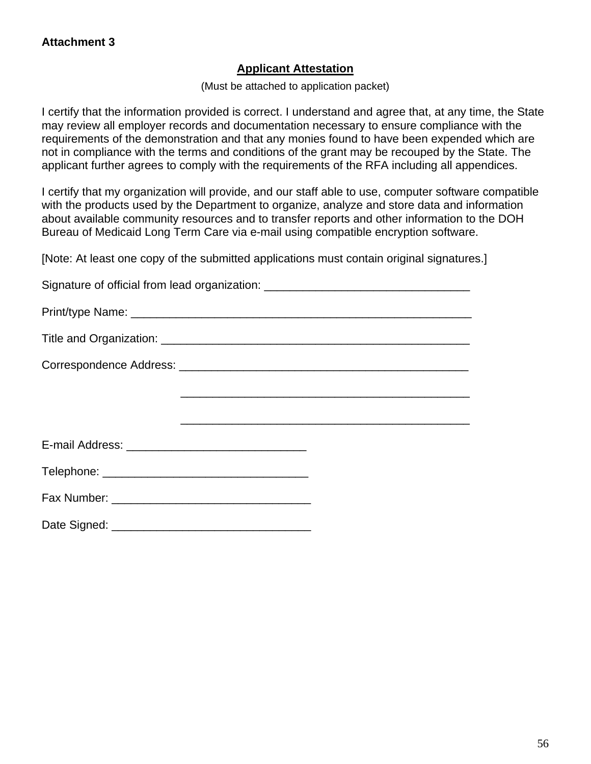#### **Applicant Attestation**

(Must be attached to application packet)

I certify that the information provided is correct. I understand and agree that, at any time, the State may review all employer records and documentation necessary to ensure compliance with the requirements of the demonstration and that any monies found to have been expended which are not in compliance with the terms and conditions of the grant may be recouped by the State. The applicant further agrees to comply with the requirements of the RFA including all appendices.

I certify that my organization will provide, and our staff able to use, computer software compatible with the products used by the Department to organize, analyze and store data and information about available community resources and to transfer reports and other information to the DOH Bureau of Medicaid Long Term Care via e-mail using compatible encryption software.

[Note: At least one copy of the submitted applications must contain original signatures.]

Signature of official from lead organization: \_\_\_\_\_\_\_\_\_\_\_\_\_\_\_\_\_\_\_\_\_\_\_\_\_\_\_\_\_\_\_\_\_\_

| Print/type Name: |  |  |
|------------------|--|--|
|                  |  |  |

Title and Organization: \_\_\_\_\_\_\_\_\_\_\_\_\_\_\_\_\_\_\_\_\_\_\_\_\_\_\_\_\_\_\_\_\_\_\_\_\_\_\_\_\_\_\_\_\_\_\_\_

| <b>Correspondence Address:</b> |  |
|--------------------------------|--|
|                                |  |

 $\frac{1}{\sqrt{2}}$  ,  $\frac{1}{\sqrt{2}}$  ,  $\frac{1}{\sqrt{2}}$  ,  $\frac{1}{\sqrt{2}}$  ,  $\frac{1}{\sqrt{2}}$  ,  $\frac{1}{\sqrt{2}}$  ,  $\frac{1}{\sqrt{2}}$  ,  $\frac{1}{\sqrt{2}}$  ,  $\frac{1}{\sqrt{2}}$  ,  $\frac{1}{\sqrt{2}}$  ,  $\frac{1}{\sqrt{2}}$  ,  $\frac{1}{\sqrt{2}}$  ,  $\frac{1}{\sqrt{2}}$  ,  $\frac{1}{\sqrt{2}}$  ,  $\frac{1}{\sqrt{2}}$ 

| E-mail Address: |  |  |
|-----------------|--|--|

Telephone: \_\_\_\_\_\_\_\_\_\_\_\_\_\_\_\_\_\_\_\_\_\_\_\_\_\_\_\_\_\_\_\_

Fax Number: \_\_\_\_\_\_\_\_\_\_\_\_\_\_\_\_\_\_\_\_\_\_\_\_\_\_\_\_\_\_\_

Date Signed: \_\_\_\_\_\_\_\_\_\_\_\_\_\_\_\_\_\_\_\_\_\_\_\_\_\_\_\_\_\_\_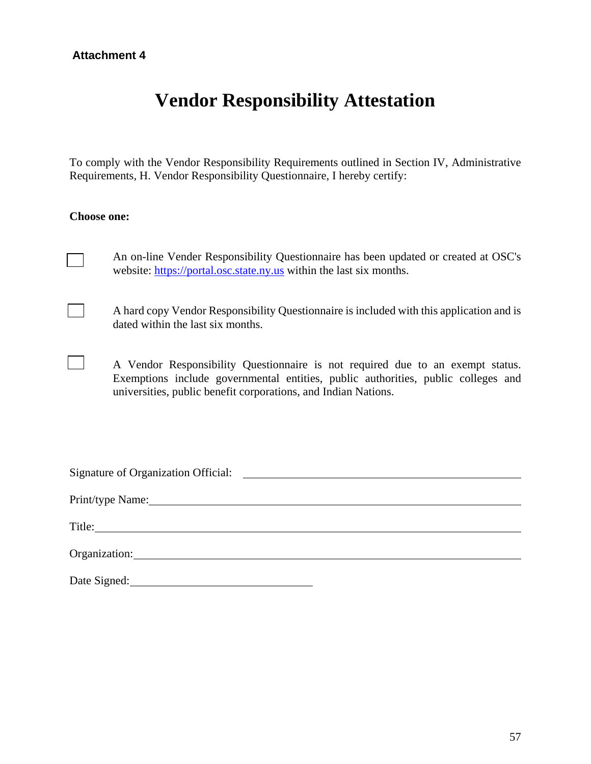## **Vendor Responsibility Attestation**

To comply with the Vendor Responsibility Requirements outlined in Section IV, Administrative Requirements, H. Vendor Responsibility Questionnaire, I hereby certify:

#### **Choose one:**

| An on-line Vender Responsibility Questionnaire has been updated or created at OSC's |
|-------------------------------------------------------------------------------------|
| website: https://portal.osc.state.ny.us within the last six months.                 |

 A hard copy Vendor Responsibility Questionnaire is included with this application and is dated within the last six months.

 A Vendor Responsibility Questionnaire is not required due to an exempt status. Exemptions include governmental entities, public authorities, public colleges and universities, public benefit corporations, and Indian Nations.

| Organization: New York Changes and Security and Security and Security and Security and Security and Security and Security and Security and Security and Security and Security and Security and Security and Security and Secur |  |
|--------------------------------------------------------------------------------------------------------------------------------------------------------------------------------------------------------------------------------|--|
| Date Signed:                                                                                                                                                                                                                   |  |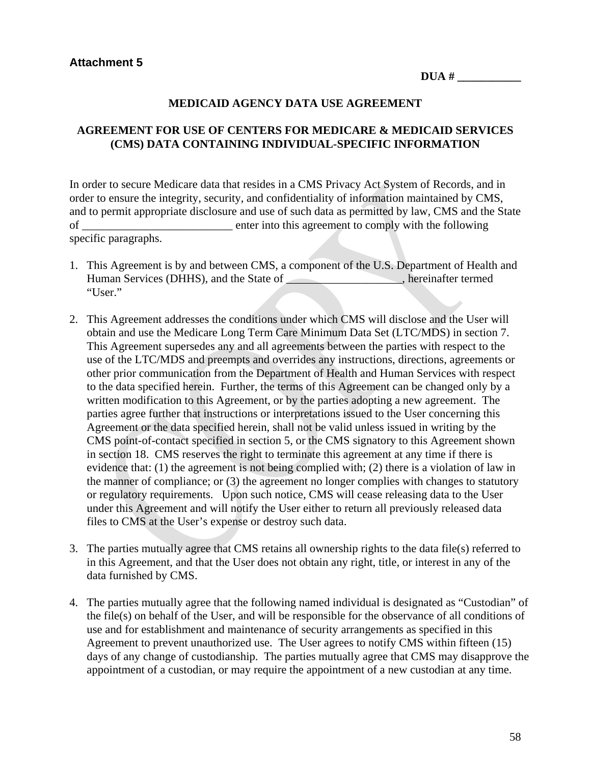#### **MEDICAID AGENCY DATA USE AGREEMENT**

#### **AGREEMENT FOR USE OF CENTERS FOR MEDICARE & MEDICAID SERVICES (CMS) DATA CONTAINING INDIVIDUAL-SPECIFIC INFORMATION**

In order to secure Medicare data that resides in a CMS Privacy Act System of Records, and in order to ensure the integrity, security, and confidentiality of information maintained by CMS, and to permit appropriate disclosure and use of such data as permitted by law, CMS and the State of \_\_\_\_\_\_\_\_\_\_\_\_\_\_\_\_\_\_\_\_\_\_\_\_\_\_ enter into this agreement to comply with the following specific paragraphs.

- 1. This Agreement is by and between CMS, a component of the U.S. Department of Health and Human Services (DHHS), and the State of Register termed and the State of the State of  $\sim$ "User."
- 2. This Agreement addresses the conditions under which CMS will disclose and the User will obtain and use the Medicare Long Term Care Minimum Data Set (LTC/MDS) in section 7. This Agreement supersedes any and all agreements between the parties with respect to the use of the LTC/MDS and preempts and overrides any instructions, directions, agreements or other prior communication from the Department of Health and Human Services with respect to the data specified herein. Further, the terms of this Agreement can be changed only by a written modification to this Agreement, or by the parties adopting a new agreement. The parties agree further that instructions or interpretations issued to the User concerning this Agreement or the data specified herein, shall not be valid unless issued in writing by the CMS point-of-contact specified in section 5, or the CMS signatory to this Agreement shown in section 18. CMS reserves the right to terminate this agreement at any time if there is evidence that: (1) the agreement is not being complied with; (2) there is a violation of law in the manner of compliance; or (3) the agreement no longer complies with changes to statutory or regulatory requirements. Upon such notice, CMS will cease releasing data to the User under this Agreement and will notify the User either to return all previously released data files to CMS at the User's expense or destroy such data.
- 3. The parties mutually agree that CMS retains all ownership rights to the data file(s) referred to in this Agreement, and that the User does not obtain any right, title, or interest in any of the data furnished by CMS.
- 4. The parties mutually agree that the following named individual is designated as "Custodian" of the file(s) on behalf of the User, and will be responsible for the observance of all conditions of use and for establishment and maintenance of security arrangements as specified in this Agreement to prevent unauthorized use. The User agrees to notify CMS within fifteen (15) days of any change of custodianship. The parties mutually agree that CMS may disapprove the appointment of a custodian, or may require the appointment of a new custodian at any time.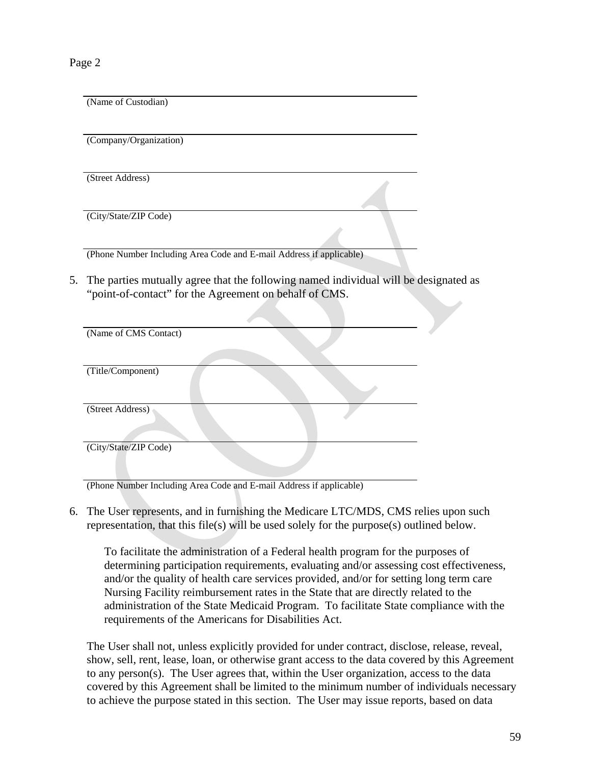Page 2

(Name of Custodian) (Company/Organization) (Street Address) (City/State/ZIP Code) (Phone Number Including Area Code and E-mail Address if applicable)

5. The parties mutually agree that the following named individual will be designated as "point-of-contact" for the Agreement on behalf of CMS.

| (Name of CMS Contact) |  |
|-----------------------|--|
|                       |  |
| (Title/Component)     |  |
|                       |  |
| (Street Address)      |  |
| (City/State/ZIP Code) |  |

(Phone Number Including Area Code and E-mail Address if applicable)

6. The User represents, and in furnishing the Medicare LTC/MDS, CMS relies upon such representation, that this file(s) will be used solely for the purpose(s) outlined below.

To facilitate the administration of a Federal health program for the purposes of determining participation requirements, evaluating and/or assessing cost effectiveness, and/or the quality of health care services provided, and/or for setting long term care Nursing Facility reimbursement rates in the State that are directly related to the administration of the State Medicaid Program. To facilitate State compliance with the requirements of the Americans for Disabilities Act.

The User shall not, unless explicitly provided for under contract, disclose, release, reveal, show, sell, rent, lease, loan, or otherwise grant access to the data covered by this Agreement to any person(s). The User agrees that, within the User organization, access to the data covered by this Agreement shall be limited to the minimum number of individuals necessary to achieve the purpose stated in this section. The User may issue reports, based on data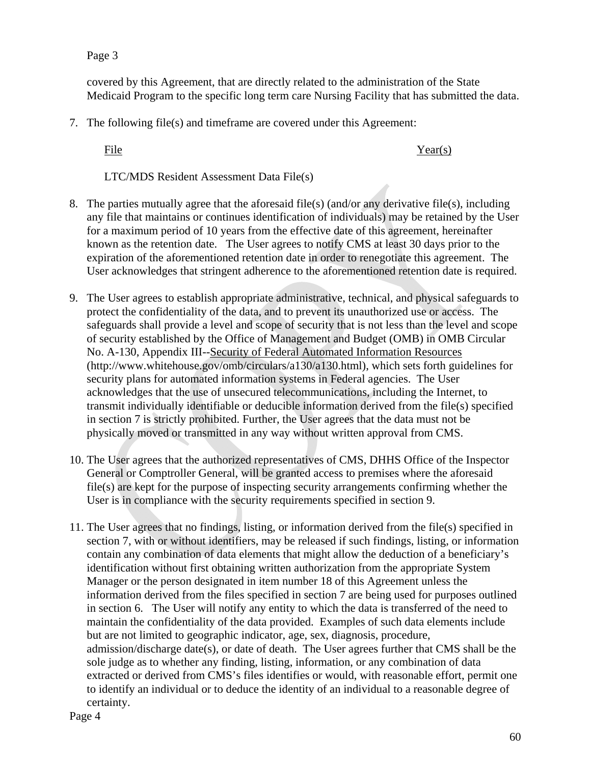Page 3

covered by this Agreement, that are directly related to the administration of the State Medicaid Program to the specific long term care Nursing Facility that has submitted the data.

7. The following file(s) and timeframe are covered under this Agreement:

File Year(s)

LTC/MDS Resident Assessment Data File(s)

- 8. The parties mutually agree that the aforesaid file(s) (and/or any derivative file(s), including any file that maintains or continues identification of individuals) may be retained by the User for a maximum period of 10 years from the effective date of this agreement, hereinafter known as the retention date. The User agrees to notify CMS at least 30 days prior to the expiration of the aforementioned retention date in order to renegotiate this agreement. The User acknowledges that stringent adherence to the aforementioned retention date is required.
- 9. The User agrees to establish appropriate administrative, technical, and physical safeguards to protect the confidentiality of the data, and to prevent its unauthorized use or access. The safeguards shall provide a level and scope of security that is not less than the level and scope of security established by the Office of Management and Budget (OMB) in OMB Circular No. A-130, Appendix III--Security of Federal Automated Information Resources (http://www.whitehouse.gov/omb/circulars/a130/a130.html), which sets forth guidelines for security plans for automated information systems in Federal agencies. The User acknowledges that the use of unsecured telecommunications, including the Internet, to transmit individually identifiable or deducible information derived from the file(s) specified in section 7 is strictly prohibited. Further, the User agrees that the data must not be physically moved or transmitted in any way without written approval from CMS.
- 10. The User agrees that the authorized representatives of CMS, DHHS Office of the Inspector General or Comptroller General, will be granted access to premises where the aforesaid file(s) are kept for the purpose of inspecting security arrangements confirming whether the User is in compliance with the security requirements specified in section 9.
- 11. The User agrees that no findings, listing, or information derived from the file(s) specified in section 7, with or without identifiers, may be released if such findings, listing, or information contain any combination of data elements that might allow the deduction of a beneficiary's identification without first obtaining written authorization from the appropriate System Manager or the person designated in item number 18 of this Agreement unless the information derived from the files specified in section 7 are being used for purposes outlined in section 6. The User will notify any entity to which the data is transferred of the need to maintain the confidentiality of the data provided. Examples of such data elements include but are not limited to geographic indicator, age, sex, diagnosis, procedure, admission/discharge date(s), or date of death. The User agrees further that CMS shall be the sole judge as to whether any finding, listing, information, or any combination of data extracted or derived from CMS's files identifies or would, with reasonable effort, permit one to identify an individual or to deduce the identity of an individual to a reasonable degree of certainty.

Page 4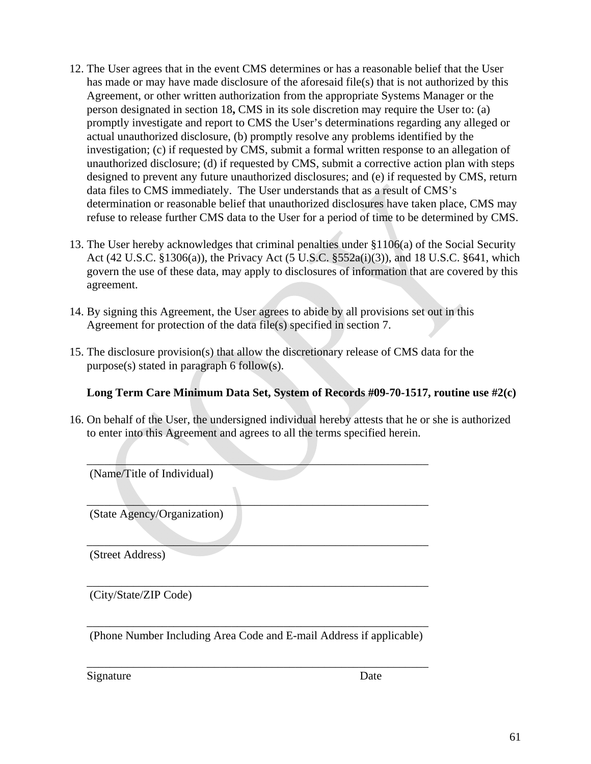- 12. The User agrees that in the event CMS determines or has a reasonable belief that the User has made or may have made disclosure of the aforesaid file(s) that is not authorized by this Agreement, or other written authorization from the appropriate Systems Manager or the person designated in section 18**,** CMS in its sole discretion may require the User to: (a) promptly investigate and report to CMS the User's determinations regarding any alleged or actual unauthorized disclosure, (b) promptly resolve any problems identified by the investigation; (c) if requested by CMS, submit a formal written response to an allegation of unauthorized disclosure; (d) if requested by CMS, submit a corrective action plan with steps designed to prevent any future unauthorized disclosures; and (e) if requested by CMS, return data files to CMS immediately. The User understands that as a result of CMS's determination or reasonable belief that unauthorized disclosures have taken place, CMS may refuse to release further CMS data to the User for a period of time to be determined by CMS.
- 13. The User hereby acknowledges that criminal penalties under §1106(a) of the Social Security Act (42 U.S.C. §1306(a)), the Privacy Act (5 U.S.C. §552a(i)(3)), and 18 U.S.C. §641, which govern the use of these data, may apply to disclosures of information that are covered by this agreement.
- 14. By signing this Agreement, the User agrees to abide by all provisions set out in this Agreement for protection of the data file(s) specified in section 7.
- 15. The disclosure provision(s) that allow the discretionary release of CMS data for the purpose(s) stated in paragraph 6 follow(s).

#### **Long Term Care Minimum Data Set, System of Records #09-70-1517, routine use #2(c)**

16. On behalf of the User, the undersigned individual hereby attests that he or she is authorized to enter into this Agreement and agrees to all the terms specified herein.

| (Name/Title of Individual)  |
|-----------------------------|
|                             |
| (State Agency/Organization) |
|                             |
| (Street Address)            |
|                             |
| (City/State/ZIP Code)       |

\_\_\_\_\_\_\_\_\_\_\_\_\_\_\_\_\_\_\_\_\_\_\_\_\_\_\_\_\_\_\_\_\_\_\_\_\_\_\_\_\_\_\_\_\_\_\_\_\_\_\_\_\_\_\_\_\_\_\_ (Phone Number Including Area Code and E-mail Address if applicable)

\_\_\_\_\_\_\_\_\_\_\_\_\_\_\_\_\_\_\_\_\_\_\_\_\_\_\_\_\_\_\_\_\_\_\_\_\_\_\_\_\_\_\_\_\_\_\_\_\_\_\_\_\_\_\_\_\_\_\_

Signature Date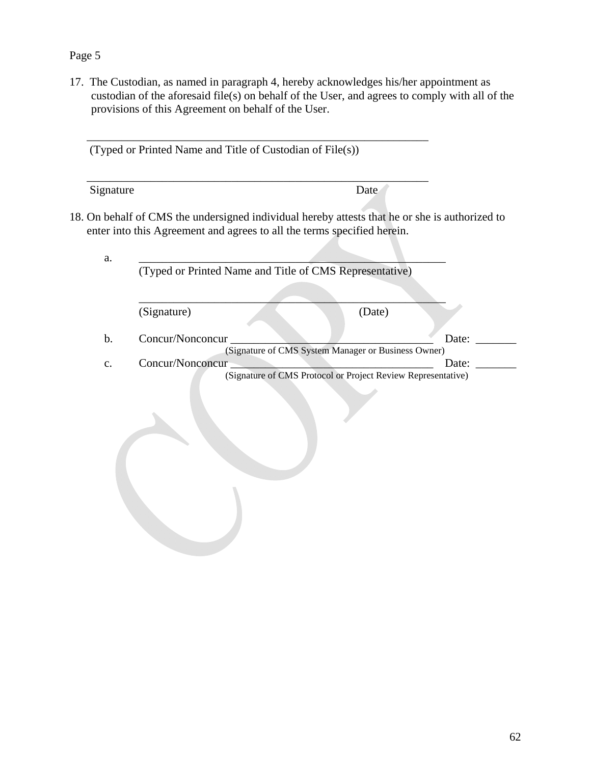#### Page 5

17. The Custodian, as named in paragraph 4, hereby acknowledges his/her appointment as custodian of the aforesaid file(s) on behalf of the User, and agrees to comply with all of the provisions of this Agreement on behalf of the User.

| Signature |                                                                         | Date                                                                                           |  |  |  |  |
|-----------|-------------------------------------------------------------------------|------------------------------------------------------------------------------------------------|--|--|--|--|
|           | enter into this Agreement and agrees to all the terms specified herein. | 18. On behalf of CMS the undersigned individual hereby attests that he or she is authorized to |  |  |  |  |
| a.        |                                                                         |                                                                                                |  |  |  |  |
|           | (Typed or Printed Name and Title of CMS Representative)                 |                                                                                                |  |  |  |  |
|           | (Signature)                                                             | (Date)                                                                                         |  |  |  |  |
| b.        | Concur/Nonconcur                                                        | Date:                                                                                          |  |  |  |  |
|           |                                                                         | (Signature of CMS System Manager or Business Owner)                                            |  |  |  |  |
| c.        | Concur/Nonconcur                                                        | Date:<br>(Signature of CMS Protocol or Project Review Representative)                          |  |  |  |  |
|           |                                                                         |                                                                                                |  |  |  |  |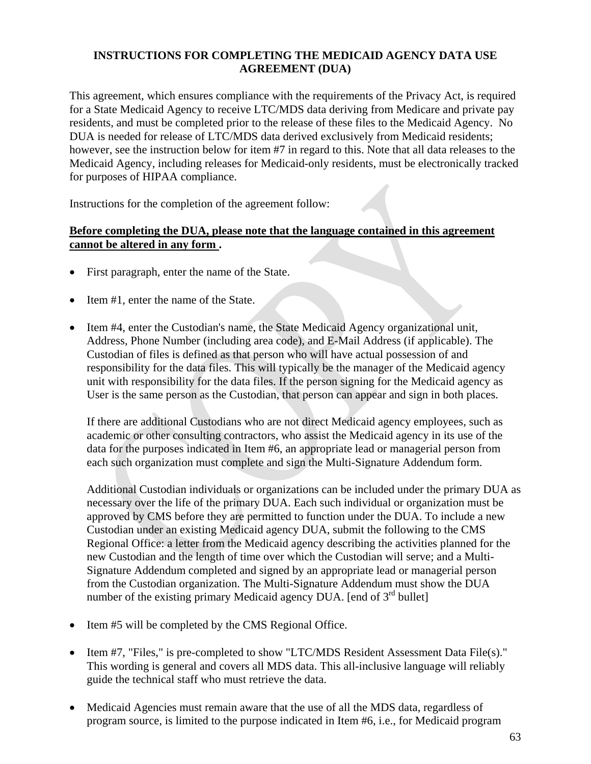#### **INSTRUCTIONS FOR COMPLETING THE MEDICAID AGENCY DATA USE AGREEMENT (DUA)**

This agreement, which ensures compliance with the requirements of the Privacy Act, is required for a State Medicaid Agency to receive LTC/MDS data deriving from Medicare and private pay residents, and must be completed prior to the release of these files to the Medicaid Agency. No DUA is needed for release of LTC/MDS data derived exclusively from Medicaid residents; however, see the instruction below for item #7 in regard to this. Note that all data releases to the Medicaid Agency, including releases for Medicaid-only residents, must be electronically tracked for purposes of HIPAA compliance.

Instructions for the completion of the agreement follow:

#### **Before completing the DUA, please note that the language contained in this agreement cannot be altered in any form .**

- First paragraph, enter the name of the State.
- Item #1, enter the name of the State.
- Item #4, enter the Custodian's name, the State Medicaid Agency organizational unit, Address, Phone Number (including area code), and E-Mail Address (if applicable). The Custodian of files is defined as that person who will have actual possession of and responsibility for the data files. This will typically be the manager of the Medicaid agency unit with responsibility for the data files. If the person signing for the Medicaid agency as User is the same person as the Custodian, that person can appear and sign in both places.

If there are additional Custodians who are not direct Medicaid agency employees, such as academic or other consulting contractors, who assist the Medicaid agency in its use of the data for the purposes indicated in Item #6, an appropriate lead or managerial person from each such organization must complete and sign the Multi-Signature Addendum form.

Additional Custodian individuals or organizations can be included under the primary DUA as necessary over the life of the primary DUA. Each such individual or organization must be approved by CMS before they are permitted to function under the DUA. To include a new Custodian under an existing Medicaid agency DUA, submit the following to the CMS Regional Office: a letter from the Medicaid agency describing the activities planned for the new Custodian and the length of time over which the Custodian will serve; and a Multi-Signature Addendum completed and signed by an appropriate lead or managerial person from the Custodian organization. The Multi-Signature Addendum must show the DUA number of the existing primary Medicaid agency DUA. [end of  $3<sup>rd</sup>$  bullet]

- Item #5 will be completed by the CMS Regional Office.
- Item #7, "Files," is pre-completed to show "LTC/MDS Resident Assessment Data File(s)." This wording is general and covers all MDS data. This all-inclusive language will reliably guide the technical staff who must retrieve the data.
- Medicaid Agencies must remain aware that the use of all the MDS data, regardless of program source, is limited to the purpose indicated in Item #6, i.e., for Medicaid program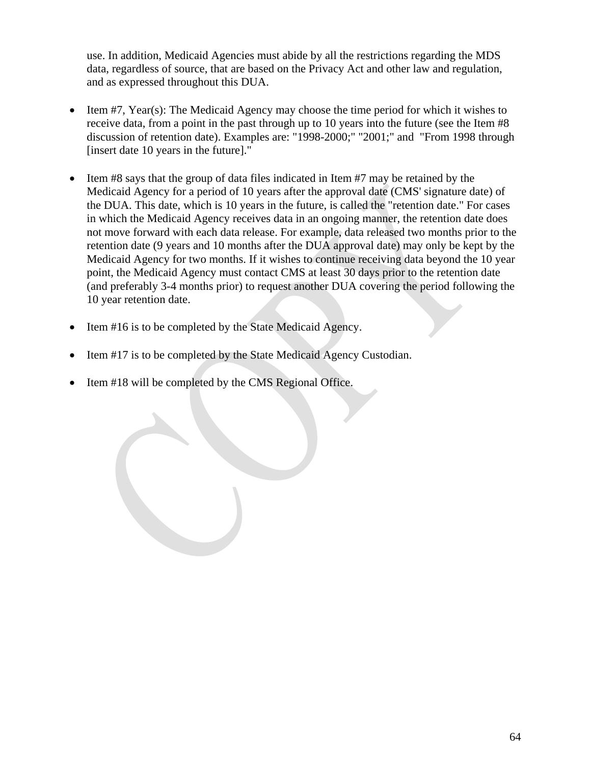use. In addition, Medicaid Agencies must abide by all the restrictions regarding the MDS data, regardless of source, that are based on the Privacy Act and other law and regulation, and as expressed throughout this DUA.

- Item #7, Year(s): The Medicaid Agency may choose the time period for which it wishes to receive data, from a point in the past through up to 10 years into the future (see the Item #8 discussion of retention date). Examples are: "1998-2000;" "2001;" and "From 1998 through [insert date 10 years in the future]."
- Item #8 says that the group of data files indicated in Item #7 may be retained by the Medicaid Agency for a period of 10 years after the approval date (CMS' signature date) of the DUA. This date, which is 10 years in the future, is called the "retention date." For cases in which the Medicaid Agency receives data in an ongoing manner, the retention date does not move forward with each data release. For example, data released two months prior to the retention date (9 years and 10 months after the DUA approval date) may only be kept by the Medicaid Agency for two months. If it wishes to continue receiving data beyond the 10 year point, the Medicaid Agency must contact CMS at least 30 days prior to the retention date (and preferably 3-4 months prior) to request another DUA covering the period following the 10 year retention date.
- Item #16 is to be completed by the State Medicaid Agency.
- Item #17 is to be completed by the State Medicaid Agency Custodian.
- Item #18 will be completed by the CMS Regional Office.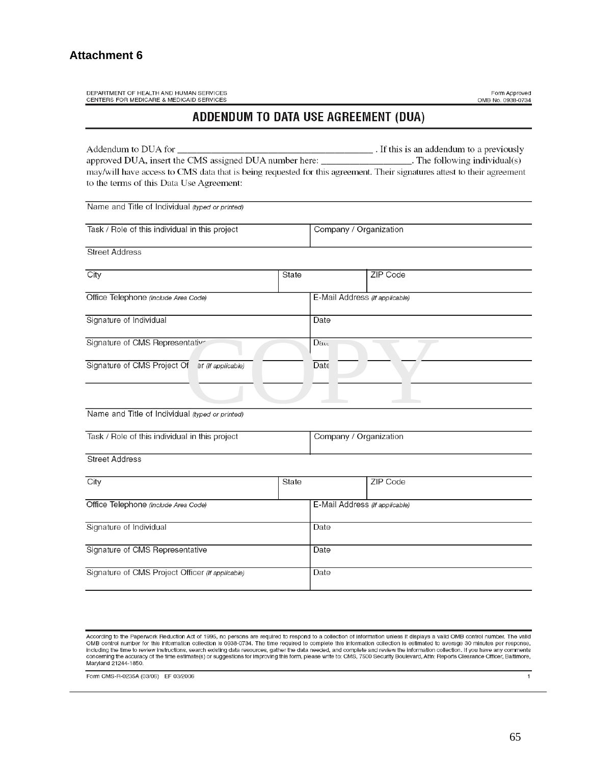#### **Attachment 6**

| DEPARTMENT OF HEALTH AND HUMAN SERVICES<br>CENTERS FOR MEDICARE & MEDICAID SERVICES                                                                                                                                                                                                                  | Form Approved<br>OMB No. 0938-0734 |                                |                 |  |  |  |  |
|------------------------------------------------------------------------------------------------------------------------------------------------------------------------------------------------------------------------------------------------------------------------------------------------------|------------------------------------|--------------------------------|-----------------|--|--|--|--|
| <b>ADDENDUM TO DATA USE AGREEMENT (DUA)</b>                                                                                                                                                                                                                                                          |                                    |                                |                 |  |  |  |  |
| Addendum to DUA for<br>approved DUA, insert the CMS assigned DUA number here: __________________. The following individual(s)<br>may/will have access to CMS data that is being requested for this agreement. Their signatures attest to their agreement<br>to the terms of this Data Use Agreement: |                                    |                                |                 |  |  |  |  |
| Name and Title of Individual (typed or printed)                                                                                                                                                                                                                                                      |                                    |                                |                 |  |  |  |  |
| Task / Role of this individual in this project                                                                                                                                                                                                                                                       | Company / Organization             |                                |                 |  |  |  |  |
| <b>Street Address</b>                                                                                                                                                                                                                                                                                |                                    |                                |                 |  |  |  |  |
| City                                                                                                                                                                                                                                                                                                 | State                              |                                | <b>ZIP Code</b> |  |  |  |  |
| Office Telephone (Include Area Code)                                                                                                                                                                                                                                                                 |                                    | E-Mail Address (If applicable) |                 |  |  |  |  |
| Signature of Individual                                                                                                                                                                                                                                                                              | Date                               |                                |                 |  |  |  |  |
| Signature of CMS Representativ<br>Signature of CMS Project Of<br>er (If applicable)                                                                                                                                                                                                                  |                                    | Dar<br><b>Date</b>             |                 |  |  |  |  |
|                                                                                                                                                                                                                                                                                                      |                                    |                                |                 |  |  |  |  |
| Name and Title of Individual (typed or printed)                                                                                                                                                                                                                                                      |                                    |                                |                 |  |  |  |  |
| Task / Role of this individual in this project                                                                                                                                                                                                                                                       | Company / Organization             |                                |                 |  |  |  |  |
| <b>Street Address</b>                                                                                                                                                                                                                                                                                |                                    |                                |                 |  |  |  |  |
| $\overline{City}$                                                                                                                                                                                                                                                                                    | <b>State</b>                       |                                | <b>ZIP Code</b> |  |  |  |  |
| Office Telephone (Include Area Code)                                                                                                                                                                                                                                                                 | E-Mail Address (If applicable)     |                                |                 |  |  |  |  |
| Signature of Individual                                                                                                                                                                                                                                                                              | Date                               |                                |                 |  |  |  |  |
| Signature of CMS Representative                                                                                                                                                                                                                                                                      | Date                               |                                |                 |  |  |  |  |
| Signature of CMS Project Officer (If applicable)                                                                                                                                                                                                                                                     | Date                               |                                |                 |  |  |  |  |

According to the Paperwork Reduction Act of 1995, no persons are required to respond to a collection of information unless it displays a valid OMB control number. The valid OMB control number is information collection is 0

Form CMS-R-0235A (03/06) EF 03/2006